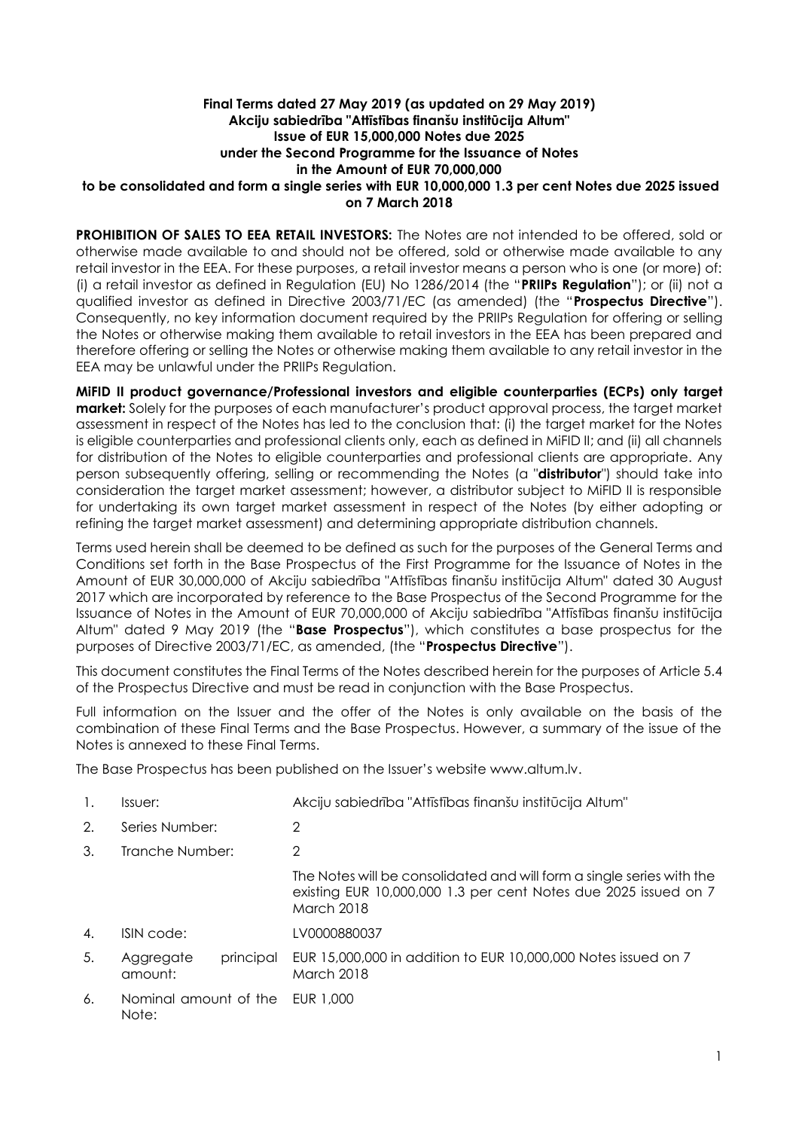### **Final Terms dated 27 May 2019 (as updated on 29 May 2019) Akciju sabiedrība "Attīstības finanšu institūcija Altum" Issue of EUR 15,000,000 Notes due 2025 under the Second Programme for the Issuance of Notes in the Amount of EUR 70,000,000 to be consolidated and form a single series with EUR 10,000,000 1.3 per cent Notes due 2025 issued on 7 March 2018**

**PROHIBITION OF SALES TO EEA RETAIL INVESTORS:** The Notes are not intended to be offered, sold or otherwise made available to and should not be offered, sold or otherwise made available to any retail investor in the EEA. For these purposes, a retail investor means a person who is one (or more) of: (i) a retail investor as defined in Regulation (EU) No 1286/2014 (the "**PRIIPs Regulation**"); or (ii) not a qualified investor as defined in Directive 2003/71/EC (as amended) (the "**Prospectus Directive**"). Consequently, no key information document required by the PRIIPs Regulation for offering or selling the Notes or otherwise making them available to retail investors in the EEA has been prepared and therefore offering or selling the Notes or otherwise making them available to any retail investor in the EEA may be unlawful under the PRIIPs Regulation.

**MiFID II product governance/Professional investors and eligible counterparties (ECPs) only target market:** Solely for the purposes of each manufacturer's product approval process, the target market assessment in respect of the Notes has led to the conclusion that: (i) the target market for the Notes is eligible counterparties and professional clients only, each as defined in MiFID II; and (ii) all channels for distribution of the Notes to eligible counterparties and professional clients are appropriate. Any person subsequently offering, selling or recommending the Notes (a "**distributor**") should take into consideration the target market assessment; however, a distributor subject to MiFID II is responsible for undertaking its own target market assessment in respect of the Notes (by either adopting or refining the target market assessment) and determining appropriate distribution channels.

Terms used herein shall be deemed to be defined as such for the purposes of the General Terms and Conditions set forth in the Base Prospectus of the First Programme for the Issuance of Notes in the Amount of EUR 30,000,000 of Akciju sabiedrība "Attīstības finanšu institūcija Altum" dated 30 August 2017 which are incorporated by reference to the Base Prospectus of the Second Programme for the Issuance of Notes in the Amount of EUR 70,000,000 of Akciju sabiedrība "Attīstības finanšu institūcija Altum" dated 9 May 2019 (the "**Base Prospectus**"), which constitutes a base prospectus for the purposes of Directive 2003/71/EC, as amended, (the "**Prospectus Directive**").

This document constitutes the Final Terms of the Notes described herein for the purposes of Article 5.4 of the Prospectus Directive and must be read in conjunction with the Base Prospectus.

Full information on the Issuer and the offer of the Notes is only available on the basis of the combination of these Final Terms and the Base Prospectus. However, a summary of the issue of the Notes is annexed to these Final Terms.

The Base Prospectus has been published on the Issuer's website www.altum.lv.

| $\mathbf{1}$ . | Issuer:                           | Akciju sabiedrība "Attīstības finanšu institūcija Altum"                                                                                                      |
|----------------|-----------------------------------|---------------------------------------------------------------------------------------------------------------------------------------------------------------|
| 2.             | Series Number:                    | 2                                                                                                                                                             |
| 3.             | Tranche Number:                   | 2                                                                                                                                                             |
|                |                                   | The Notes will be consolidated and will form a single series with the<br>existing EUR 10,000,000 1.3 per cent Notes due 2025 issued on 7<br><b>March 2018</b> |
| 4.             | ISIN code:                        | LV0000880037                                                                                                                                                  |
| 5.             | principal<br>Aggregate<br>amount: | EUR 15,000,000 in addition to EUR 10,000,000 Notes issued on 7<br><b>March 2018</b>                                                                           |
| 6.             | Nominal amount of the<br>Note:    | EUR 1.000                                                                                                                                                     |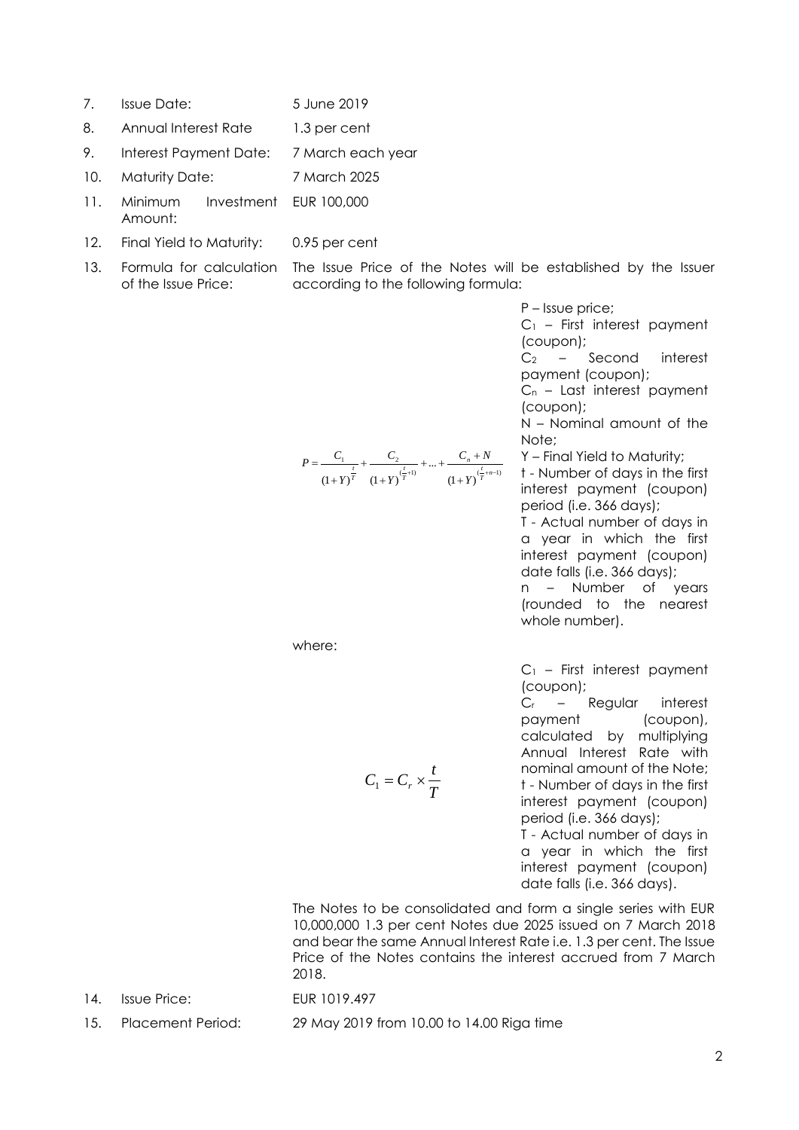- 7. Issue Date: 5 June 2019
- 8. Annual Interest Rate 1.3 per cent
- 9. Interest Payment Date: 7 March each year
- 10. Maturity Date: 7 March 2025
- 11. Minimum Investment EUR 100,000 Amount:
- 12. Final Yield to Maturity: 0.95 per cent
- 13. Formula for calculation The Issue Price of the Notes will be established by the Issuer of the Issue Price: according to the following formula:

P – Issue price;

C<sup>1</sup> – First interest payment (coupon);

C<sup>2</sup> – Second interest payment (coupon);

 $C_n$  – Last interest payment (coupon);

N – Nominal amount of the Note; Y – Final Yield to Maturity;

$$
P = \frac{C_1}{\left(1+Y\right)^{\frac{t}{T}}} + \frac{C_2}{\left(1+Y\right)^{\frac{t}{T}+1)}} + \dots + \frac{C_n + N}{\left(1+Y\right)^{\frac{t}{T}+n-1}}
$$

t - Number of days in the first interest payment (coupon)

period (i.e. 366 days); T - Actual number of days in a year in which the first interest payment (coupon) date falls (i.e. 366 days); n – Number of years

(rounded to the nearest whole number).

 $C_1$  – First interest payment (coupon);

C<sup>r</sup> – Regular interest payment (coupon), calculated by multiplying Annual Interest Rate with nominal amount of the Note; t - Number of days in the first interest payment (coupon) period (i.e. 366 days);

T - Actual number of days in a year in which the first interest payment (coupon) date falls (i.e. 366 days).

The Notes to be consolidated and form a single series with EUR 10,000,000 1.3 per cent Notes due 2025 issued on 7 March 2018 and bear the same Annual Interest Rate i.e. 1.3 per cent. The Issue Price of the Notes contains the interest accrued from 7 March 2018.

14. Issue Price: EUR 1019.497

where:

15. Placement Period: 29 May 2019 from 10.00 to 14.00 Riga time

*T*

 $C_1 = C_r \times \frac{t}{a}$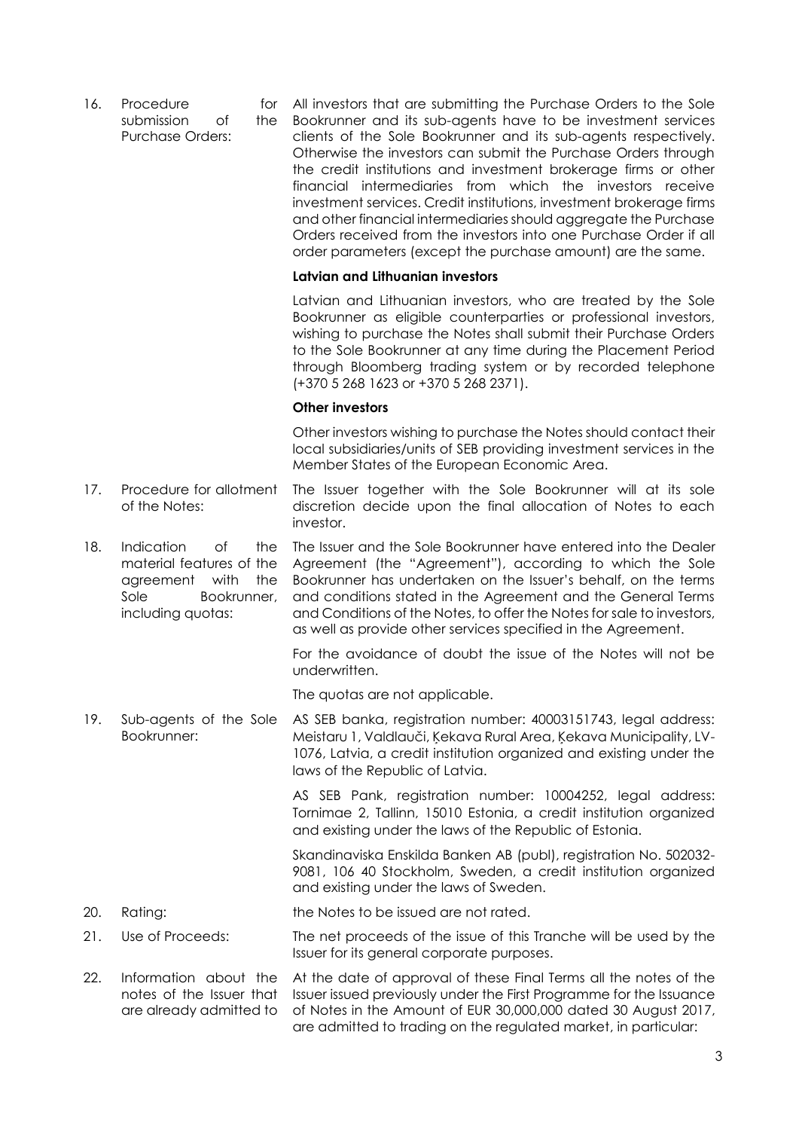16. Procedure for submission of the Purchase Orders:

All investors that are submitting the Purchase Orders to the Sole Bookrunner and its sub-agents have to be investment services clients of the Sole Bookrunner and its sub-agents respectively. Otherwise the investors can submit the Purchase Orders through the credit institutions and investment brokerage firms or other financial intermediaries from which the investors receive investment services. Credit institutions, investment brokerage firms and other financial intermediaries should aggregate the Purchase Orders received from the investors into one Purchase Order if all order parameters (except the purchase amount) are the same.

#### **Latvian and Lithuanian investors**

Latvian and Lithuanian investors, who are treated by the Sole Bookrunner as eligible counterparties or professional investors, wishing to purchase the Notes shall submit their Purchase Orders to the Sole Bookrunner at any time during the Placement Period through Bloomberg trading system or by recorded telephone (+370 5 268 1623 or +370 5 268 2371).

#### **Other investors**

Other investors wishing to purchase the Notes should contact their local subsidiaries/units of SEB providing investment services in the Member States of the European Economic Area.

- 17. Procedure for allotment of the Notes: The Issuer together with the Sole Bookrunner will at its sole discretion decide upon the final allocation of Notes to each investor.
- 18. Indication of the material features of the agreement with the Sole Bookrunner, including quotas: The Issuer and the Sole Bookrunner have entered into the Dealer Agreement (the "Agreement"), according to which the Sole Bookrunner has undertaken on the Issuer's behalf, on the terms and conditions stated in the Agreement and the General Terms and Conditions of the Notes, to offer the Notes for sale to investors, as well as provide other services specified in the Agreement.

For the avoidance of doubt the issue of the Notes will not be underwritten.

The quotas are not applicable.

19. Sub-agents of the Sole Bookrunner: AS SEB banka, registration number: 40003151743, legal address: Meistaru 1, Valdlauči, Ķekava Rural Area, Ķekava Municipality, LV-1076, Latvia, a credit institution organized and existing under the laws of the Republic of Latvia.

> AS SEB Pank, registration number: 10004252, legal address: Tornimae 2, Tallinn, 15010 Estonia, a credit institution organized and existing under the laws of the Republic of Estonia.

> Skandinaviska Enskilda Banken AB (publ), registration No. 502032- 9081, 106 40 Stockholm, Sweden, a credit institution organized and existing under the laws of Sweden.

- 20. Rating: the Notes to be issued are not rated.
- 21. Use of Proceeds: The net proceeds of the issue of this Tranche will be used by the Issuer for its general corporate purposes.
- 22. Information about the notes of the Issuer that are already admitted to At the date of approval of these Final Terms all the notes of the Issuer issued previously under the First Programme for the Issuance of Notes in the Amount of EUR 30,000,000 dated 30 August 2017, are admitted to trading on the regulated market, in particular: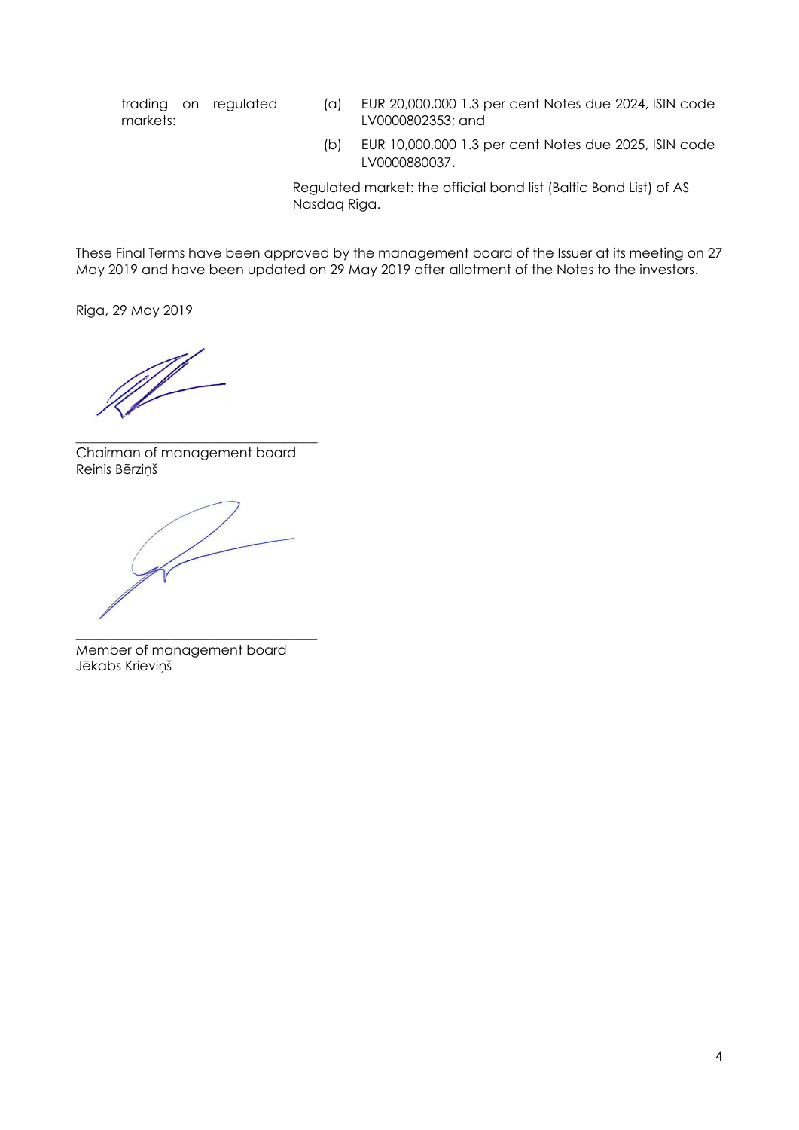trading on regulated markets:

- (a) EUR 20,000,000 1.3 per cent Notes due 2024, ISIN code LV0000802353; and
- (b) EUR 10,000,000 1.3 per cent Notes due 2025, ISIN code LV0000880037.

Regulated market: the official bond list (Baltic Bond List) of AS Nasdaq Riga.

These Final Terms have been approved by the management board of the Issuer at its meeting on 27 May 2019 and have been updated on 29 May 2019 after allotment of the Notes to the investors.

Riga, 29 May 2019

\_\_\_\_\_\_\_\_\_\_\_\_\_\_\_\_\_\_\_\_\_\_\_\_\_\_\_\_\_\_\_\_\_\_\_\_ Chairman of management board Reinis Bērziņš

\_\_\_\_\_\_\_\_\_\_\_\_\_\_\_\_\_\_\_\_\_\_\_\_\_\_\_\_\_\_\_\_\_\_\_\_ Member of management board Jēkabs Krieviņš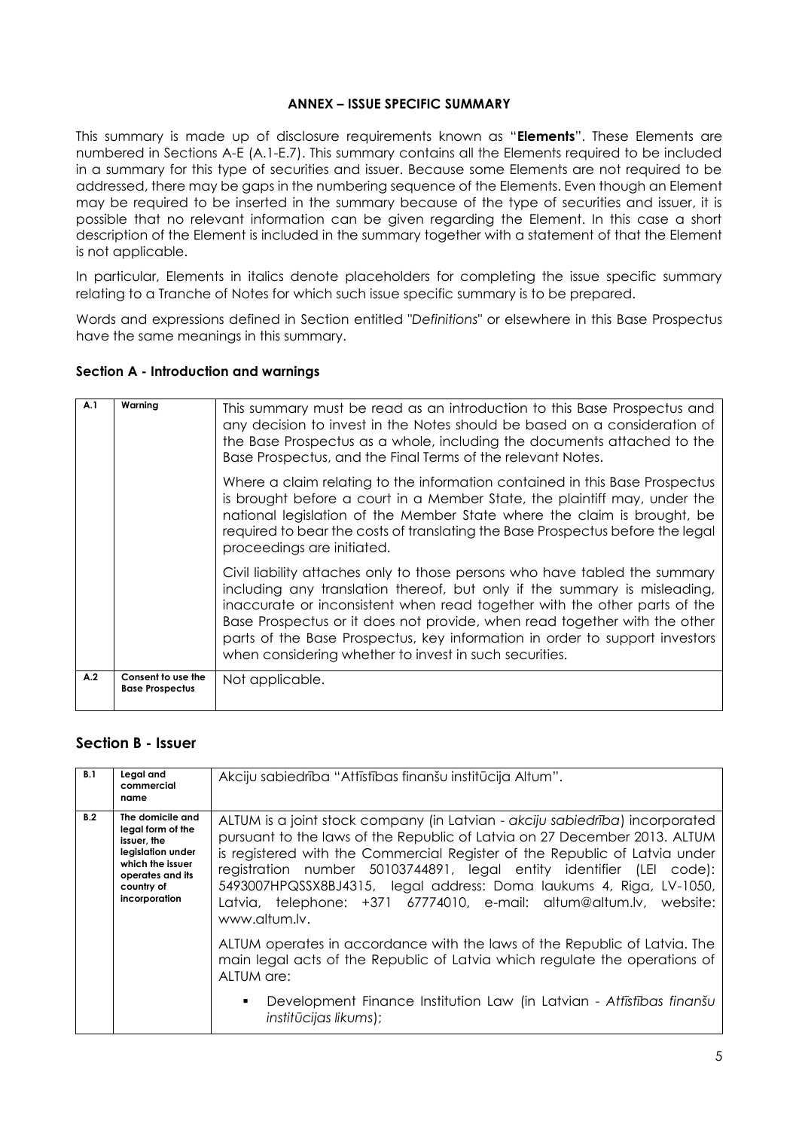### **ANNEX – ISSUE SPECIFIC SUMMARY**

This summary is made up of disclosure requirements known as "**Elements**". These Elements are numbered in Sections A-E (A.1-E.7). This summary contains all the Elements required to be included in a summary for this type of securities and issuer. Because some Elements are not required to be addressed, there may be gaps in the numbering sequence of the Elements. Even though an Element may be required to be inserted in the summary because of the type of securities and issuer, it is possible that no relevant information can be given regarding the Element. In this case a short description of the Element is included in the summary together with a statement of that the Element is not applicable.

In particular, Elements in italics denote placeholders for completing the issue specific summary relating to a Tranche of Notes for which such issue specific summary is to be prepared.

Words and expressions defined in Section entitled "*Definitions*" or elsewhere in this Base Prospectus have the same meanings in this summary.

### **Section A - Introduction and warnings**

| A.1                                                                    | This summary must be read as an introduction to this Base Prospectus and<br>any decision to invest in the Notes should be based on a consideration of<br>the Base Prospectus as a whole, including the documents attached to the |                                                                                                                                                                                                                                                                                                                                                                                                                                                            |
|------------------------------------------------------------------------|----------------------------------------------------------------------------------------------------------------------------------------------------------------------------------------------------------------------------------|------------------------------------------------------------------------------------------------------------------------------------------------------------------------------------------------------------------------------------------------------------------------------------------------------------------------------------------------------------------------------------------------------------------------------------------------------------|
|                                                                        |                                                                                                                                                                                                                                  | Base Prospectus, and the Final Terms of the relevant Notes.                                                                                                                                                                                                                                                                                                                                                                                                |
| proceedings are initiated.                                             |                                                                                                                                                                                                                                  | Where a claim relating to the information contained in this Base Prospectus<br>is brought before a court in a Member State, the plaintiff may, under the<br>national legislation of the Member State where the claim is brought, be<br>required to bear the costs of translating the Base Prospectus before the legal                                                                                                                                      |
|                                                                        |                                                                                                                                                                                                                                  | Civil liability attaches only to those persons who have tabled the summary<br>including any translation thereof, but only if the summary is misleading,<br>inaccurate or inconsistent when read together with the other parts of the<br>Base Prospectus or it does not provide, when read together with the other<br>parts of the Base Prospectus, key information in order to support investors<br>when considering whether to invest in such securities. |
| A.2<br>Consent to use the<br>Not applicable.<br><b>Base Prospectus</b> |                                                                                                                                                                                                                                  |                                                                                                                                                                                                                                                                                                                                                                                                                                                            |

### **Section B - Issuer**

| B.1 | Legal and<br>commercial<br>name                                                                                                                  | Akciju sabiedrība "Attīstības finanšu institūcija Altum".                                                                                                                                                                                                                                                                                                                                                                                                                     |
|-----|--------------------------------------------------------------------------------------------------------------------------------------------------|-------------------------------------------------------------------------------------------------------------------------------------------------------------------------------------------------------------------------------------------------------------------------------------------------------------------------------------------------------------------------------------------------------------------------------------------------------------------------------|
| B.2 | The domicile and<br>legal form of the<br>issuer, the<br>legislation under<br>which the issuer<br>operates and its<br>country of<br>incorporation | ALTUM is a joint stock company (in Latvian - akciju sabiedrība) incorporated<br>pursuant to the laws of the Republic of Latvia on 27 December 2013. ALTUM<br>is registered with the Commercial Register of the Republic of Latvia under<br>registration number 50103744891, legal entity identifier (LEI code):<br>5493007HPQSSX8BJ4315, legal address: Doma laukums 4, Riga, LV-1050,<br>Latvia, telephone: +371 67774010, e-mail: altum@altum.lv, website:<br>www.altum.lv. |
|     |                                                                                                                                                  | ALTUM operates in accordance with the laws of the Republic of Latvia. The<br>main legal acts of the Republic of Latvia which regulate the operations of<br>ALTUM are:                                                                                                                                                                                                                                                                                                         |
|     |                                                                                                                                                  | Development Finance Institution Law (in Latvian - Attīstības finanšu<br>$\blacksquare$<br>institūcijas likums);                                                                                                                                                                                                                                                                                                                                                               |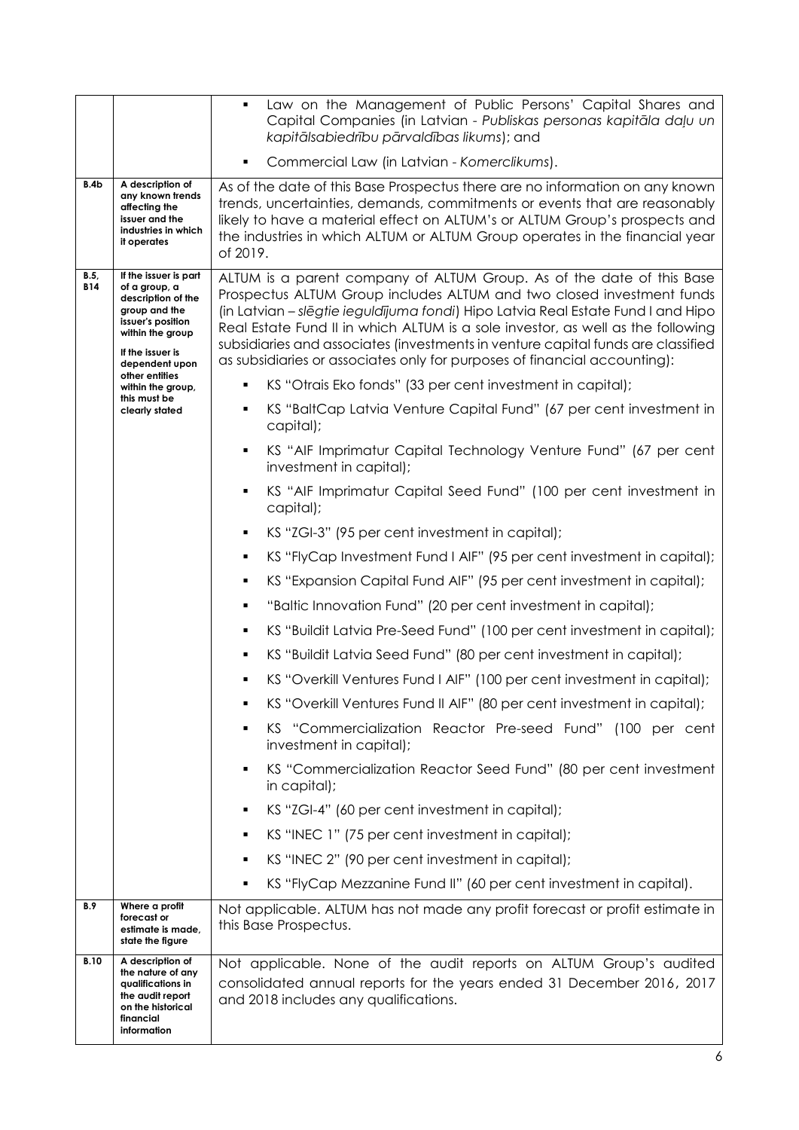|                                                                                                                                                                                    |                                                                                                                                 | Law on the Management of Public Persons' Capital Shares and<br>٠<br>Capital Companies (in Latvian - Publiskas personas kapitāla daļu un<br>kapitālsabiedrību pārvaldības likums); and                                                                                                                                                                                                                                                                                                  |  |  |
|------------------------------------------------------------------------------------------------------------------------------------------------------------------------------------|---------------------------------------------------------------------------------------------------------------------------------|----------------------------------------------------------------------------------------------------------------------------------------------------------------------------------------------------------------------------------------------------------------------------------------------------------------------------------------------------------------------------------------------------------------------------------------------------------------------------------------|--|--|
|                                                                                                                                                                                    |                                                                                                                                 | Commercial Law (in Latvian - Komerclikums).                                                                                                                                                                                                                                                                                                                                                                                                                                            |  |  |
| B.4b                                                                                                                                                                               | A description of<br>any known trends<br>affecting the<br>issuer and the<br>industries in which<br>it operates                   | As of the date of this Base Prospectus there are no information on any known<br>trends, uncertainties, demands, commitments or events that are reasonably<br>likely to have a material effect on ALTUM's or ALTUM Group's prospects and<br>the industries in which ALTUM or ALTUM Group operates in the financial year<br>of 2019.                                                                                                                                                     |  |  |
| If the issuer is part<br>B.5,<br><b>B14</b><br>of a group, a<br>description of the<br>group and the<br>issuer's position<br>within the group<br>If the issuer is<br>dependent upon |                                                                                                                                 | ALTUM is a parent company of ALTUM Group. As of the date of this Base<br>Prospectus ALTUM Group includes ALTUM and two closed investment funds<br>(in Latvian – slēgtie ieguldījuma fondi) Hipo Latvia Real Estate Fund I and Hipo<br>Real Estate Fund II in which ALTUM is a sole investor, as well as the following<br>subsidiaries and associates (investments in venture capital funds are classified<br>as subsidiaries or associates only for purposes of financial accounting): |  |  |
|                                                                                                                                                                                    | other entities<br>within the group,                                                                                             | KS "Otrais Eko fonds" (33 per cent investment in capital);                                                                                                                                                                                                                                                                                                                                                                                                                             |  |  |
|                                                                                                                                                                                    | this must be<br>clearly stated                                                                                                  | KS "BaltCap Latvia Venture Capital Fund" (67 per cent investment in<br>capital);                                                                                                                                                                                                                                                                                                                                                                                                       |  |  |
|                                                                                                                                                                                    |                                                                                                                                 | KS "AIF Imprimatur Capital Technology Venture Fund" (67 per cent<br>investment in capital);                                                                                                                                                                                                                                                                                                                                                                                            |  |  |
|                                                                                                                                                                                    |                                                                                                                                 | KS "AIF Imprimatur Capital Seed Fund" (100 per cent investment in<br>capital);                                                                                                                                                                                                                                                                                                                                                                                                         |  |  |
|                                                                                                                                                                                    |                                                                                                                                 | KS "ZGI-3" (95 per cent investment in capital);<br>٠                                                                                                                                                                                                                                                                                                                                                                                                                                   |  |  |
|                                                                                                                                                                                    |                                                                                                                                 | KS "FlyCap Investment Fund I AIF" (95 per cent investment in capital);<br>٠                                                                                                                                                                                                                                                                                                                                                                                                            |  |  |
|                                                                                                                                                                                    |                                                                                                                                 | KS "Expansion Capital Fund AIF" (95 per cent investment in capital);<br>٠                                                                                                                                                                                                                                                                                                                                                                                                              |  |  |
|                                                                                                                                                                                    |                                                                                                                                 | "Baltic Innovation Fund" (20 per cent investment in capital);<br>٠                                                                                                                                                                                                                                                                                                                                                                                                                     |  |  |
|                                                                                                                                                                                    |                                                                                                                                 | KS "Buildit Latvia Pre-Seed Fund" (100 per cent investment in capital);<br>٠                                                                                                                                                                                                                                                                                                                                                                                                           |  |  |
|                                                                                                                                                                                    |                                                                                                                                 | KS "Buildit Latvia Seed Fund" (80 per cent investment in capital);                                                                                                                                                                                                                                                                                                                                                                                                                     |  |  |
|                                                                                                                                                                                    |                                                                                                                                 | KS "Overkill Ventures Fund I AIF" (100 per cent investment in capital);                                                                                                                                                                                                                                                                                                                                                                                                                |  |  |
|                                                                                                                                                                                    |                                                                                                                                 | KS "Overkill Ventures Fund II AIF" (80 per cent investment in capital);                                                                                                                                                                                                                                                                                                                                                                                                                |  |  |
|                                                                                                                                                                                    |                                                                                                                                 | KS "Commercialization Reactor Pre-seed Fund" (100 per cent<br>investment in capital);                                                                                                                                                                                                                                                                                                                                                                                                  |  |  |
|                                                                                                                                                                                    |                                                                                                                                 | KS "Commercialization Reactor Seed Fund" (80 per cent investment<br>in capital);                                                                                                                                                                                                                                                                                                                                                                                                       |  |  |
|                                                                                                                                                                                    |                                                                                                                                 | KS "ZGI-4" (60 per cent investment in capital);<br>٠                                                                                                                                                                                                                                                                                                                                                                                                                                   |  |  |
|                                                                                                                                                                                    |                                                                                                                                 | KS "INEC 1" (75 per cent investment in capital);                                                                                                                                                                                                                                                                                                                                                                                                                                       |  |  |
|                                                                                                                                                                                    |                                                                                                                                 | KS "INEC 2" (90 per cent investment in capital);                                                                                                                                                                                                                                                                                                                                                                                                                                       |  |  |
|                                                                                                                                                                                    |                                                                                                                                 | KS "FlyCap Mezzanine Fund II" (60 per cent investment in capital).                                                                                                                                                                                                                                                                                                                                                                                                                     |  |  |
| <b>B.9</b>                                                                                                                                                                         | Where a profit<br>forecast or<br>estimate is made,<br>state the figure                                                          | Not applicable. ALTUM has not made any profit forecast or profit estimate in<br>this Base Prospectus.                                                                                                                                                                                                                                                                                                                                                                                  |  |  |
| <b>B.10</b>                                                                                                                                                                        | A description of<br>the nature of any<br>qualifications in<br>the audit report<br>on the historical<br>financial<br>information | Not applicable. None of the audit reports on ALTUM Group's audited<br>consolidated annual reports for the years ended 31 December 2016, 2017<br>and 2018 includes any qualifications.                                                                                                                                                                                                                                                                                                  |  |  |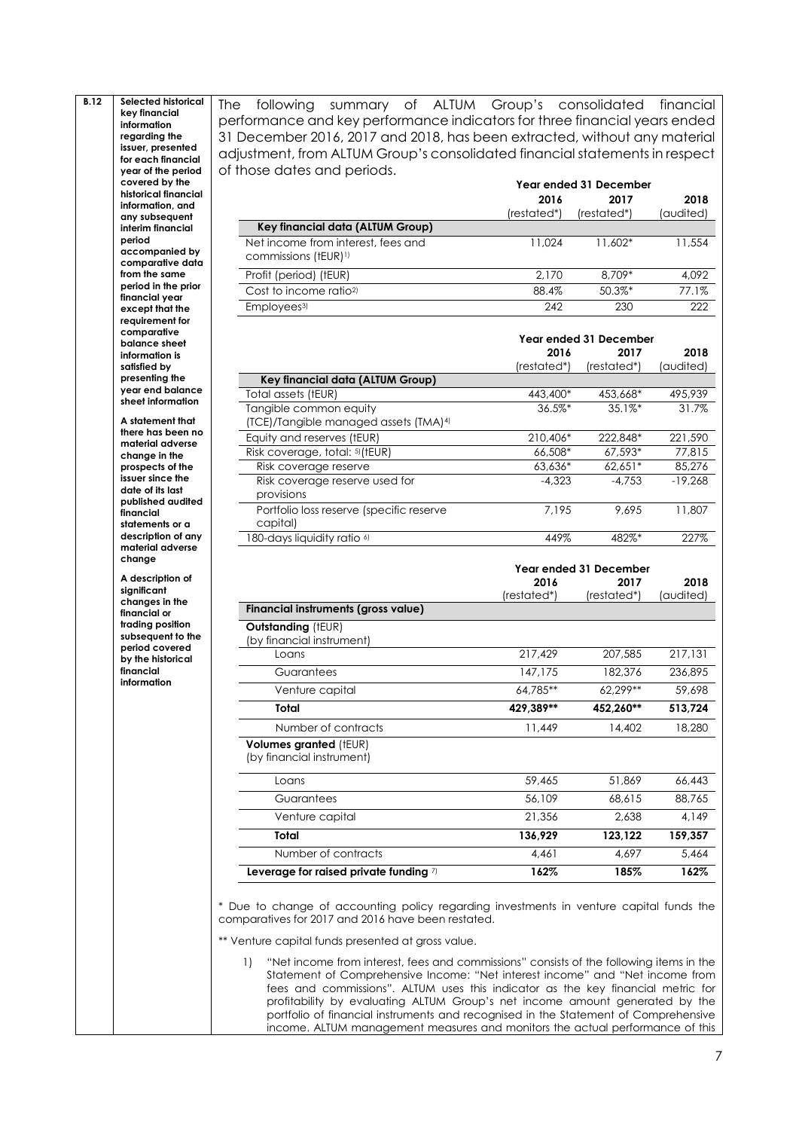**B.12 Selected historical key financial information regarding the issuer, presented for each financial year of the period covered by the historical financial information, and any subsequent interim financial period accompanied by comparative data from the same period in the prior financial year except that the requirement for comparative balance sheet information is satisfied by presenting the year end balance sheet information**

> **A statement that there has been no material adverse change in the prospects of the issuer since the date of its last published audited financial statements or a description of any material adverse change**

**A description of significant changes in the financial or trading position subsequent to the period covered by the historical financial information**

The following summary of ALTUM Group's consolidated financial performance and key performance indicators for three financial years ended 31 December 2016, 2017 and 2018, has been extracted, without any material adjustment, from ALTUM Group's consolidated financial statements in respect of those dates and periods. **Year ended 31 December**

|                                                                        | 2016<br>(restated*) | 2017<br>(restated*) | 2018<br>(audited) |
|------------------------------------------------------------------------|---------------------|---------------------|-------------------|
| Key financial data (ALTUM Group)                                       |                     |                     |                   |
| Net income from interest, fees and<br>commissions (tEUR) <sup>1)</sup> | 11.024              | 11,602*             | 11,554            |
| Profit (period) (tEUR)                                                 | 2.170               | 8.709*              | 4.092             |
| Cost to income ratio <sup>2)</sup>                                     | 88.4%               | $50.3%$ *           | 77.1%             |
| Employees <sup>3)</sup>                                                | 242                 | 230                 | 222               |

|                                                      | Year ended 31 December |             |           |
|------------------------------------------------------|------------------------|-------------|-----------|
|                                                      | 2016                   | 2017        | 2018      |
|                                                      | (restated*)            | (restated*) | (audited) |
| Key financial data (ALTUM Group)                     |                        |             |           |
| Total assets (tEUR)                                  | 443,400*               | 453,668*    | 495,939   |
| Tangible common equity                               | $36.5\%$ *             | 35.1%       | 31.7%     |
| (TCE)/Tangible managed assets (TMA) <sup>4)</sup>    |                        |             |           |
| Equity and reserves (tEUR)                           | 210,406*               | 222,848*    | 221,590   |
| Risk coverage, total: <sup>5)</sup> (tEUR)           | 66,508*                | 67,593*     | 77,815    |
| Risk coverage reserve                                | $63.636*$              | $62.651*$   | 85,276    |
| Risk coverage reserve used for<br>provisions         | $-4.323$               | $-4.753$    | $-19.268$ |
| Portfolio loss reserve (specific reserve<br>capital) | 7.195                  | 9.695       | 11,807    |
| 180-days liquidity ratio <sup>6)</sup>               | 449%                   | 482%*       | 227%      |

|                                                            | Year ended 31 December |             |           |
|------------------------------------------------------------|------------------------|-------------|-----------|
|                                                            | 2016                   | 2017        | 2018      |
|                                                            | (restated*)            | (restated*) | (audited) |
| Financial instruments (gross value)                        |                        |             |           |
| <b>Outstanding (tEUR)</b><br>by financial instrument)      |                        |             |           |
| Loans                                                      | 217,429                | 207,585     | 217,131   |
| Guarantees                                                 | 147.175                | 182,376     | 236,895   |
| Venture capital                                            | 64,785**               | 62.299**    | 59,698    |
| Total                                                      | 429,389**              | 452,260**   | 513,724   |
| Number of contracts                                        | 11,449                 | 14,402      | 18,280    |
| <b>Volumes granted (tEUR)</b><br>(by financial instrument) |                        |             |           |
| Loans                                                      | 59,465                 | 51,869      | 66,443    |
| Guarantees                                                 | 56,109                 | 68,615      | 88,765    |
| Venture capital                                            | 21,356                 | 2.638       | 4,149     |
| Total                                                      | 136,929                | 123,122     | 159,357   |
| Number of contracts                                        | 4.461                  | 4,697       | 5.464     |

\* Due to change of accounting policy regarding investments in venture capital funds the comparatives for 2017 and 2016 have been restated.

**Leverage for raised private funding** 7) **162% 185% 162%**

\*\* Venture capital funds presented at gross value.

1) "Net income from interest, fees and commissions" consists of the following items in the Statement of Comprehensive Income: "Net interest income" and "Net income from fees and commissions". ALTUM uses this indicator as the key financial metric for profitability by evaluating ALTUM Group's net income amount generated by the portfolio of financial instruments and recognised in the Statement of Comprehensive income. ALTUM management measures and monitors the actual performance of this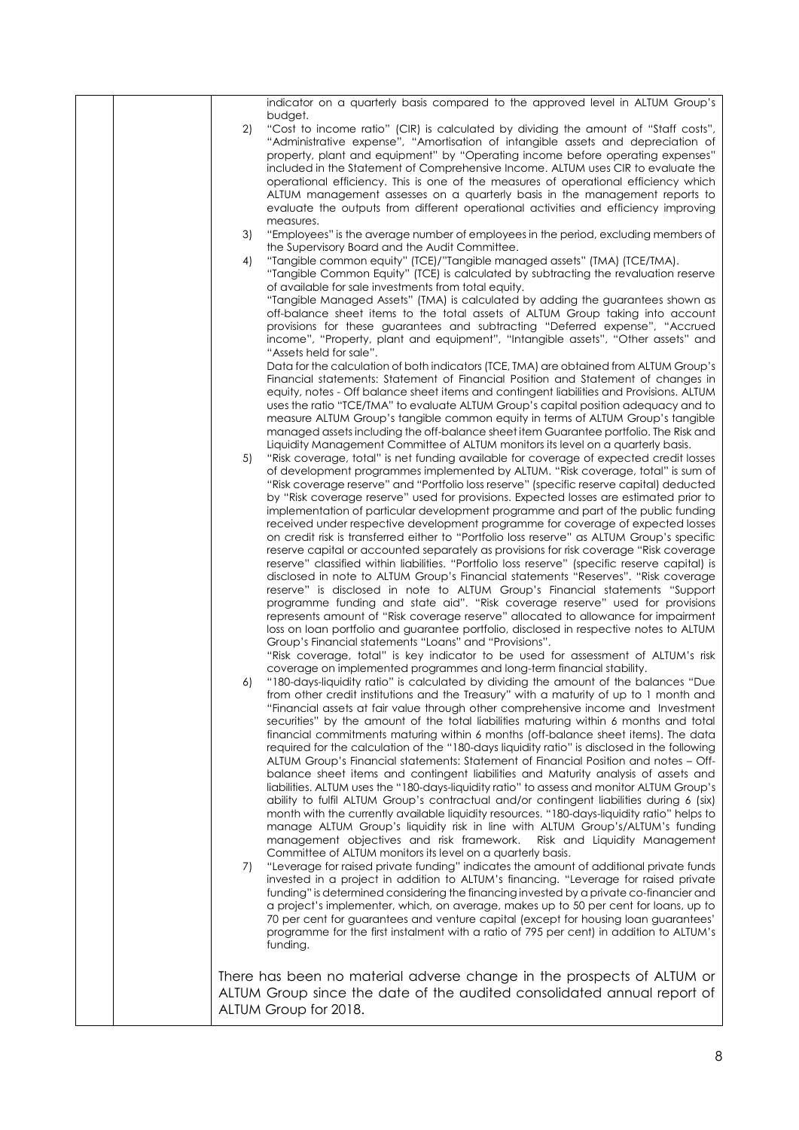|  |    | indicator on a quarterly basis compared to the approved level in ALTUM Group's                                                                                                       |
|--|----|--------------------------------------------------------------------------------------------------------------------------------------------------------------------------------------|
|  |    | budget.                                                                                                                                                                              |
|  | 2) | "Cost to income ratio" (CIR) is calculated by dividing the amount of "Staff costs",<br>"Administrative expense", "Amortisation of intangible assets and depreciation of              |
|  |    | property, plant and equipment" by "Operating income before operating expenses"                                                                                                       |
|  |    | included in the Statement of Comprehensive Income. ALTUM uses CIR to evaluate the                                                                                                    |
|  |    | operational efficiency. This is one of the measures of operational efficiency which<br>ALTUM management assesses on a quarterly basis in the management reports to                   |
|  |    | evaluate the outputs from different operational activities and efficiency improving                                                                                                  |
|  |    | measures.                                                                                                                                                                            |
|  | 3) | "Employees" is the average number of employees in the period, excluding members of                                                                                                   |
|  | 4) | the Supervisory Board and the Audit Committee.<br>"Tangible common equity" (TCE)/"Tangible managed assets" (TMA) (TCE/TMA).                                                          |
|  |    | "Tangible Common Equity" (TCE) is calculated by subtracting the revaluation reserve                                                                                                  |
|  |    | of available for sale investments from total equity.                                                                                                                                 |
|  |    | "Tangible Managed Assets" (TMA) is calculated by adding the guarantees shown as<br>off-balance sheet items to the total assets of ALTUM Group taking into account                    |
|  |    | provisions for these guarantees and subtracting "Deferred expense", "Accrued                                                                                                         |
|  |    | income", "Property, plant and equipment", "Intangible assets", "Other assets" and                                                                                                    |
|  |    | "Assets held for sale".                                                                                                                                                              |
|  |    | Data for the calculation of both indicators (TCE, TMA) are obtained from ALTUM Group's<br>Financial statements: Statement of Financial Position and Statement of changes in          |
|  |    | equity, notes - Off balance sheet items and contingent liabilities and Provisions. ALTUM                                                                                             |
|  |    | uses the ratio "TCE/TMA" to evaluate ALTUM Group's capital position adequacy and to                                                                                                  |
|  |    | measure ALTUM Group's tangible common equity in terms of ALTUM Group's tangible<br>managed assets including the off-balance sheet item Guarantee portfolio. The Risk and             |
|  |    | Liquidity Management Committee of ALTUM monitors its level on a quarterly basis.                                                                                                     |
|  | 5) | "Risk coverage, total" is net funding available for coverage of expected credit losses                                                                                               |
|  |    | of development programmes implemented by ALTUM. "Risk coverage, total" is sum of<br>"Risk coverage reserve" and "Portfolio loss reserve" (specific reserve capital) deducted         |
|  |    | by "Risk coverage reserve" used for provisions. Expected losses are estimated prior to                                                                                               |
|  |    | implementation of particular development programme and part of the public funding                                                                                                    |
|  |    | received under respective development programme for coverage of expected losses                                                                                                      |
|  |    | on credit risk is transferred either to "Portfolio loss reserve" as ALTUM Group's specific<br>reserve capital or accounted separately as provisions for risk coverage "Risk coverage |
|  |    | reserve" classified within liabilities. "Portfolio loss reserve" (specific reserve capital) is                                                                                       |
|  |    | disclosed in note to ALTUM Group's Financial statements "Reserves". "Risk coverage                                                                                                   |
|  |    | reserve" is disclosed in note to ALTUM Group's Financial statements "Support<br>programme funding and state aid". "Risk coverage reserve" used for provisions                        |
|  |    | represents amount of "Risk coverage reserve" allocated to allowance for impairment                                                                                                   |
|  |    | loss on loan portfolio and guarantee portfolio, disclosed in respective notes to ALTUM                                                                                               |
|  |    | Group's Financial statements "Loans" and "Provisions".<br>"Risk coverage, total" is key indicator to be used for assessment of ALTUM's risk                                          |
|  |    | coverage on implemented programmes and long-term financial stability.                                                                                                                |
|  | 6) | "180-days-liquidity ratio" is calculated by dividing the amount of the balances "Due                                                                                                 |
|  |    | from other credit institutions and the Treasury" with a maturity of up to 1 month and<br>"Financial assets at fair value through other comprehensive income and Investment           |
|  |    | securities" by the amount of the total liabilities maturing within 6 months and total                                                                                                |
|  |    | financial commitments maturing within 6 months (off-balance sheet items). The data                                                                                                   |
|  |    | required for the calculation of the "180-days liquidity ratio" is disclosed in the following                                                                                         |
|  |    | ALTUM Group's Financial statements: Statement of Financial Position and notes - Off-<br>balance sheet items and contingent liabilities and Maturity analysis of assets and           |
|  |    | liabilities. ALTUM uses the "180-days-liquidity ratio" to assess and monitor ALTUM Group's                                                                                           |
|  |    | ability to fulfil ALTUM Group's contractual and/or contingent liabilities during 6 (six)                                                                                             |
|  |    | month with the currently available liquidity resources. "180-days-liquidity ratio" helps to<br>manage ALTUM Group's liquidity risk in line with ALTUM Group's/ALTUM's funding        |
|  |    | management objectives and risk framework.<br>Risk and Liquidity Management                                                                                                           |
|  |    | Committee of ALTUM monitors its level on a quarterly basis.                                                                                                                          |
|  | 7) | "Leverage for raised private funding" indicates the amount of additional private funds<br>invested in a project in addition to ALTUM's financing. "Leverage for raised private       |
|  |    | funding" is determined considering the financing invested by a private co-financier and                                                                                              |
|  |    | a project's implementer, which, on average, makes up to 50 per cent for loans, up to                                                                                                 |
|  |    | 70 per cent for guarantees and venture capital (except for housing loan guarantees'<br>programme for the first instalment with a ratio of 795 per cent) in addition to ALTUM's       |
|  |    | funding.                                                                                                                                                                             |
|  |    |                                                                                                                                                                                      |
|  |    | There has been no material adverse change in the prospects of ALTUM or                                                                                                               |
|  |    | ALTUM Group since the date of the audited consolidated annual report of                                                                                                              |
|  |    | ALTUM Group for 2018.                                                                                                                                                                |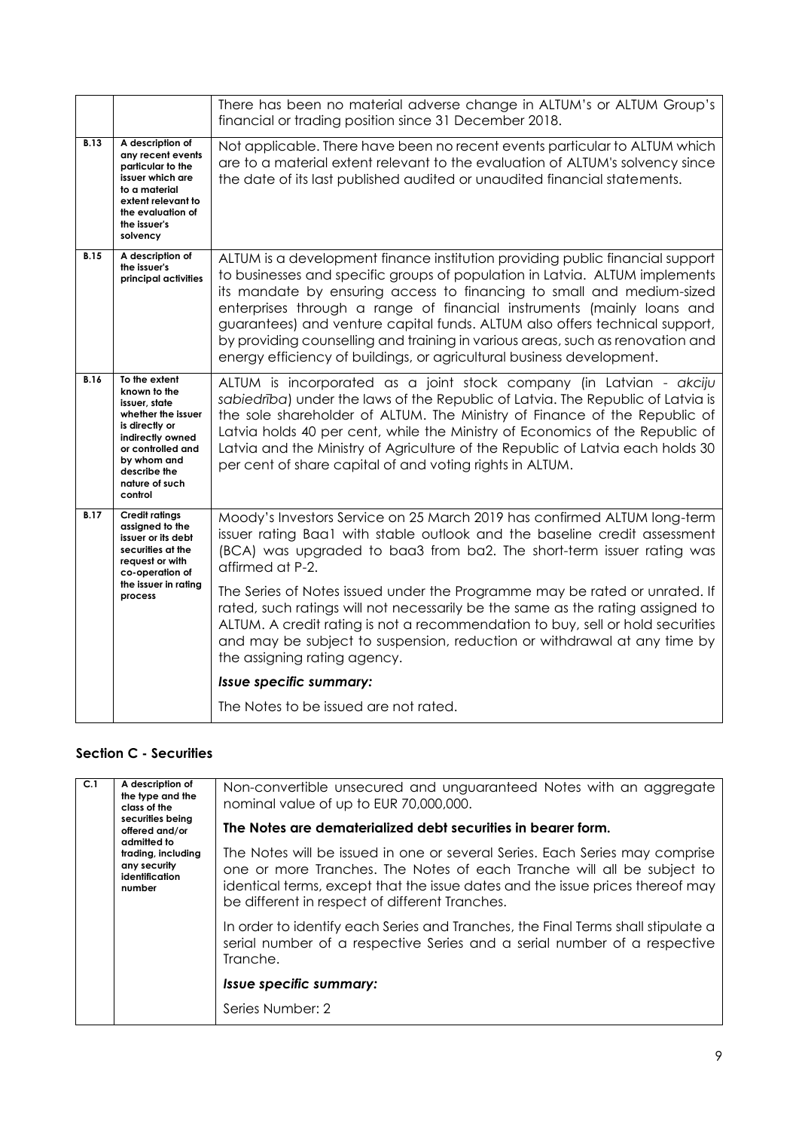|             |                                                                                                                                                                                             | There has been no material adverse change in ALTUM's or ALTUM Group's<br>financial or trading position since 31 December 2018.                                                                                                                                                                                                                                                                                                                                                                                                                            |  |  |
|-------------|---------------------------------------------------------------------------------------------------------------------------------------------------------------------------------------------|-----------------------------------------------------------------------------------------------------------------------------------------------------------------------------------------------------------------------------------------------------------------------------------------------------------------------------------------------------------------------------------------------------------------------------------------------------------------------------------------------------------------------------------------------------------|--|--|
| <b>B.13</b> | A description of<br>any recent events<br>particular to the<br>issuer which are<br>to a material<br>extent relevant to<br>the evaluation of<br>the issuer's<br>solvency                      | Not applicable. There have been no recent events particular to ALTUM which<br>are to a material extent relevant to the evaluation of ALTUM's solvency since<br>the date of its last published audited or unaudited financial statements.                                                                                                                                                                                                                                                                                                                  |  |  |
| <b>B.15</b> | A description of<br>the issuer's<br>principal activities                                                                                                                                    | ALTUM is a development finance institution providing public financial support<br>to businesses and specific groups of population in Latvia. ALTUM implements<br>its mandate by ensuring access to financing to small and medium-sized<br>enterprises through a range of financial instruments (mainly loans and<br>guarantees) and venture capital funds. ALTUM also offers technical support,<br>by providing counselling and training in various areas, such as renovation and<br>energy efficiency of buildings, or agricultural business development. |  |  |
| <b>B.16</b> | To the extent<br>known to the<br>issuer, state<br>whether the issuer<br>is directly or<br>indirectly owned<br>or controlled and<br>by whom and<br>describe the<br>nature of such<br>control | ALTUM is incorporated as a joint stock company (in Latvian - akciju<br>sabiedriba) under the laws of the Republic of Latvia. The Republic of Latvia is<br>the sole shareholder of ALTUM. The Ministry of Finance of the Republic of<br>Latvia holds 40 per cent, while the Ministry of Economics of the Republic of<br>Latvia and the Ministry of Agriculture of the Republic of Latvia each holds 30<br>per cent of share capital of and voting rights in ALTUM.                                                                                         |  |  |
| <b>B.17</b> | <b>Credit ratings</b><br>assigned to the<br>issuer or its debt<br>securities at the<br>request or with<br>co-operation of                                                                   | Moody's Investors Service on 25 March 2019 has confirmed ALTUM long-term<br>issuer rating Baa1 with stable outlook and the baseline credit assessment<br>(BCA) was upgraded to baa3 from ba2. The short-term issuer rating was<br>affirmed at P-2.                                                                                                                                                                                                                                                                                                        |  |  |
|             | the issuer in rating<br>process                                                                                                                                                             | The Series of Notes issued under the Programme may be rated or unrated. If<br>rated, such ratings will not necessarily be the same as the rating assigned to<br>ALTUM. A credit rating is not a recommendation to buy, sell or hold securities<br>and may be subject to suspension, reduction or withdrawal at any time by<br>the assigning rating agency.                                                                                                                                                                                                |  |  |
|             |                                                                                                                                                                                             | Issue specific summary:                                                                                                                                                                                                                                                                                                                                                                                                                                                                                                                                   |  |  |
|             |                                                                                                                                                                                             | The Notes to be issued are not rated.                                                                                                                                                                                                                                                                                                                                                                                                                                                                                                                     |  |  |

## **Section C - Securities**

| C.1 | A description of<br>the type and the<br>class of the<br>securities being<br>offered and/or<br>admitted to<br>trading, including<br>any security<br>identification<br>number | Non-convertible unsecured and unguaranteed Notes with an aggregate<br>nominal value of up to EUR 70,000,000.                                                                                                                                                                             |
|-----|-----------------------------------------------------------------------------------------------------------------------------------------------------------------------------|------------------------------------------------------------------------------------------------------------------------------------------------------------------------------------------------------------------------------------------------------------------------------------------|
|     |                                                                                                                                                                             | The Notes are dematerialized debt securities in bearer form.                                                                                                                                                                                                                             |
|     |                                                                                                                                                                             | The Notes will be issued in one or several Series. Each Series may comprise<br>one or more Tranches. The Notes of each Tranche will all be subject to<br>identical terms, except that the issue dates and the issue prices thereof may<br>be different in respect of different Tranches. |
|     |                                                                                                                                                                             | In order to identify each Series and Tranches, the Final Terms shall stipulate a<br>serial number of a respective Series and a serial number of a respective<br>Tranche.                                                                                                                 |
|     |                                                                                                                                                                             | <i><b>Issue specific summary:</b></i>                                                                                                                                                                                                                                                    |
|     |                                                                                                                                                                             | Series Number: 2                                                                                                                                                                                                                                                                         |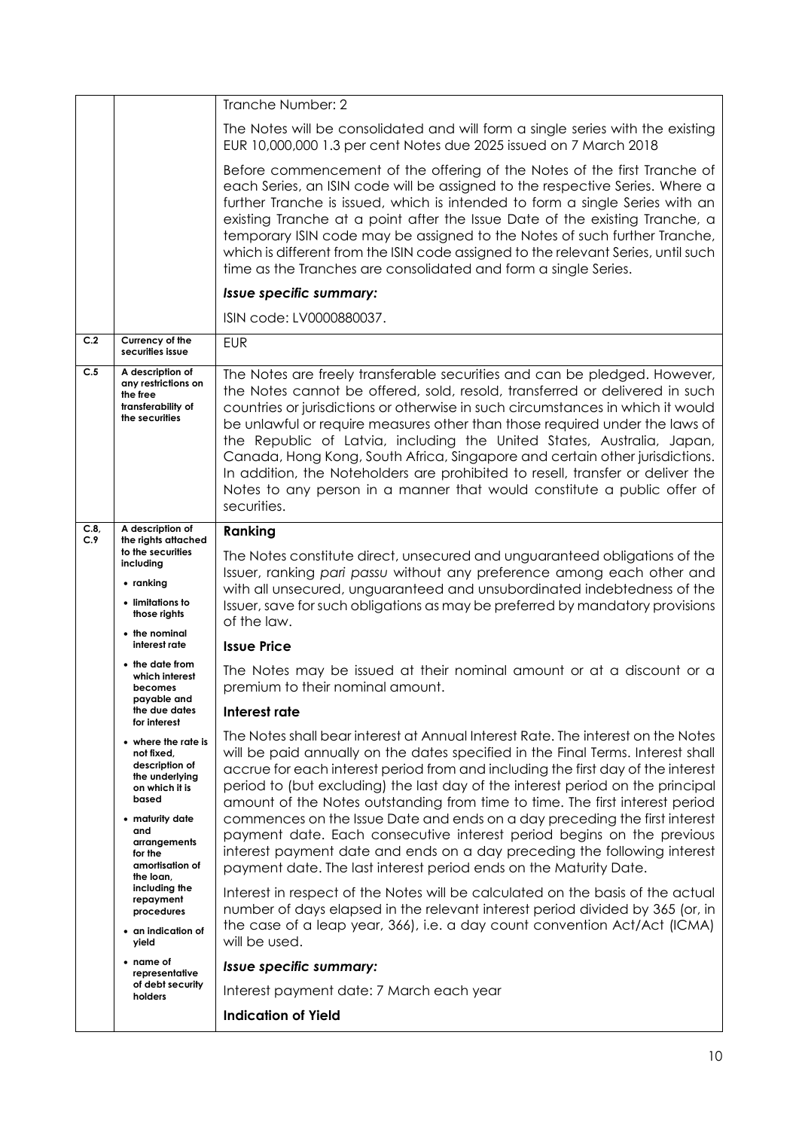|                                                                                                    |                                                                                                  | Tranche Number: 2                                                                                                                                                                                                                                                                                                                                                                                                                                                                                                                                                                                                                                               |  |
|----------------------------------------------------------------------------------------------------|--------------------------------------------------------------------------------------------------|-----------------------------------------------------------------------------------------------------------------------------------------------------------------------------------------------------------------------------------------------------------------------------------------------------------------------------------------------------------------------------------------------------------------------------------------------------------------------------------------------------------------------------------------------------------------------------------------------------------------------------------------------------------------|--|
|                                                                                                    |                                                                                                  | The Notes will be consolidated and will form a single series with the existing<br>EUR 10,000,000 1.3 per cent Notes due 2025 issued on 7 March 2018                                                                                                                                                                                                                                                                                                                                                                                                                                                                                                             |  |
|                                                                                                    |                                                                                                  | Before commencement of the offering of the Notes of the first Tranche of<br>each Series, an ISIN code will be assigned to the respective Series. Where a<br>further Tranche is issued, which is intended to form a single Series with an<br>existing Tranche at a point after the Issue Date of the existing Tranche, a<br>temporary ISIN code may be assigned to the Notes of such further Tranche,<br>which is different from the ISIN code assigned to the relevant Series, until such<br>time as the Tranches are consolidated and form a single Series.                                                                                                    |  |
| Issue specific summary:                                                                            |                                                                                                  |                                                                                                                                                                                                                                                                                                                                                                                                                                                                                                                                                                                                                                                                 |  |
|                                                                                                    |                                                                                                  | ISIN code: LV0000880037.                                                                                                                                                                                                                                                                                                                                                                                                                                                                                                                                                                                                                                        |  |
| C.2                                                                                                | Currency of the<br>securities issue                                                              | <b>EUR</b>                                                                                                                                                                                                                                                                                                                                                                                                                                                                                                                                                                                                                                                      |  |
| C.5<br>A description of<br>any restrictions on<br>the free<br>transferability of<br>the securities |                                                                                                  | The Notes are freely transferable securities and can be pledged. However,<br>the Notes cannot be offered, sold, resold, transferred or delivered in such<br>countries or jurisdictions or otherwise in such circumstances in which it would<br>be unlawful or require measures other than those required under the laws of<br>the Republic of Latvia, including the United States, Australia, Japan,<br>Canada, Hong Kong, South Africa, Singapore and certain other jurisdictions.<br>In addition, the Noteholders are prohibited to resell, transfer or deliver the<br>Notes to any person in a manner that would constitute a public offer of<br>securities. |  |
| C.8<br>C.9                                                                                         | A description of<br>the rights attached<br>to the securities<br>including                        | Ranking                                                                                                                                                                                                                                                                                                                                                                                                                                                                                                                                                                                                                                                         |  |
|                                                                                                    |                                                                                                  | The Notes constitute direct, unsecured and unguaranteed obligations of the                                                                                                                                                                                                                                                                                                                                                                                                                                                                                                                                                                                      |  |
|                                                                                                    | $\bullet$ ranking<br>• limitations to<br>those rights                                            | Issuer, ranking pari passu without any preference among each other and<br>with all unsecured, unguaranteed and unsubordinated indebtedness of the<br>Issuer, save for such obligations as may be preferred by mandatory provisions<br>of the law.                                                                                                                                                                                                                                                                                                                                                                                                               |  |
| • the nominal<br>interest rate                                                                     |                                                                                                  | <b>Issue Price</b>                                                                                                                                                                                                                                                                                                                                                                                                                                                                                                                                                                                                                                              |  |
|                                                                                                    | • the date from<br>which interest<br>becomes<br>payable and<br>the due dates<br>for interest     | The Notes may be issued at their nominal amount or at a discount or a<br>premium to their nominal amount.                                                                                                                                                                                                                                                                                                                                                                                                                                                                                                                                                       |  |
|                                                                                                    |                                                                                                  | Interest rate                                                                                                                                                                                                                                                                                                                                                                                                                                                                                                                                                                                                                                                   |  |
|                                                                                                    | • where the rate is<br>not fixed,<br>description of<br>the underlying<br>on which it is<br>based | The Notes shall bear interest at Annual Interest Rate. The interest on the Notes<br>will be paid annually on the dates specified in the Final Terms. Interest shall<br>accrue for each interest period from and including the first day of the interest<br>period to (but excluding) the last day of the interest period on the principal<br>amount of the Notes outstanding from time to time. The first interest period                                                                                                                                                                                                                                       |  |
|                                                                                                    | • maturity date<br>and<br>arrangements<br>for the<br>amortisation of<br>the loan,                | commences on the Issue Date and ends on a day preceding the first interest<br>payment date. Each consecutive interest period begins on the previous<br>interest payment date and ends on a day preceding the following interest<br>payment date. The last interest period ends on the Maturity Date.                                                                                                                                                                                                                                                                                                                                                            |  |
|                                                                                                    | including the<br>repayment<br>procedures<br>• an indication of<br>yield                          | Interest in respect of the Notes will be calculated on the basis of the actual<br>number of days elapsed in the relevant interest period divided by 365 (or, in<br>the case of a leap year, 366), i.e. a day count convention Act/Act (ICMA)<br>will be used.                                                                                                                                                                                                                                                                                                                                                                                                   |  |
|                                                                                                    | • name of<br>representative                                                                      | Issue specific summary:                                                                                                                                                                                                                                                                                                                                                                                                                                                                                                                                                                                                                                         |  |
|                                                                                                    | of debt security<br>holders                                                                      | Interest payment date: 7 March each year                                                                                                                                                                                                                                                                                                                                                                                                                                                                                                                                                                                                                        |  |
|                                                                                                    |                                                                                                  | <b>Indication of Yield</b>                                                                                                                                                                                                                                                                                                                                                                                                                                                                                                                                                                                                                                      |  |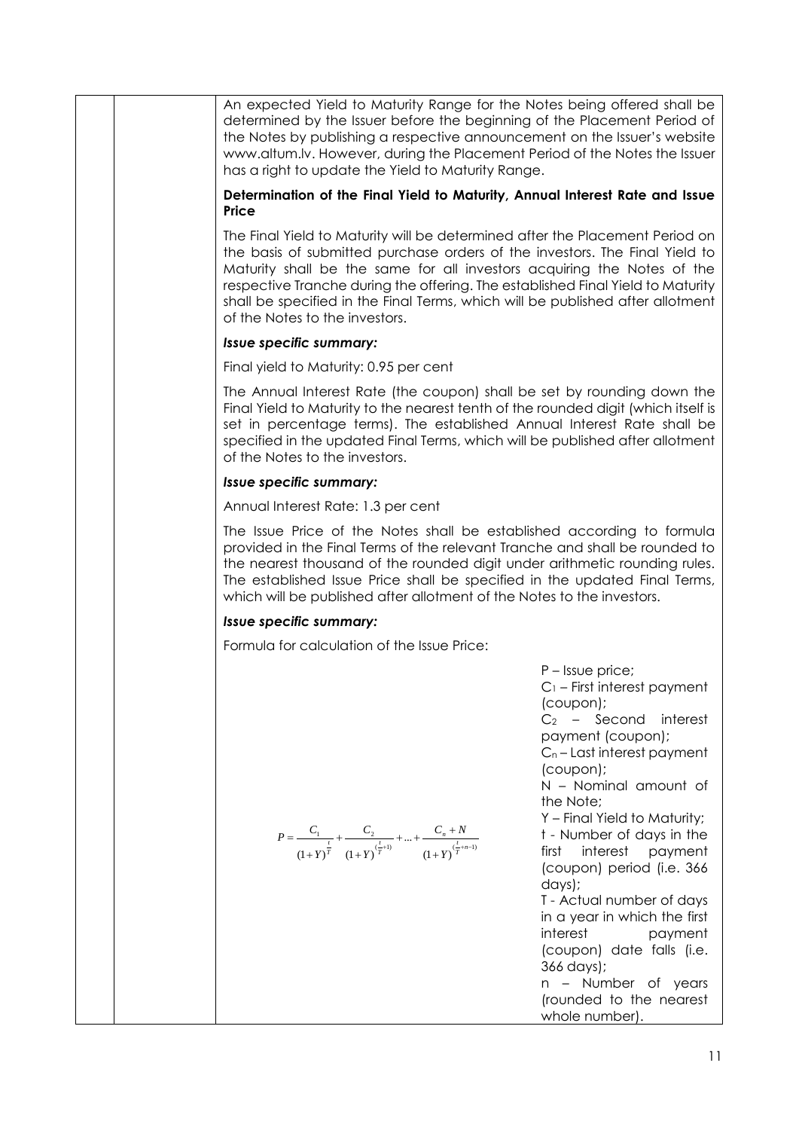|  | An expected Yield to Maturity Range for the Notes being offered shall be<br>determined by the Issuer before the beginning of the Placement Period of<br>the Notes by publishing a respective announcement on the Issuer's website<br>www.altum.lv. However, during the Placement Period of the Notes the Issuer<br>has a right to update the Yield to Maturity Range.                                                                         |                                                                                                                                                                                                                                                                                                                                                                                                                                                                                                                                                 |  |
|--|-----------------------------------------------------------------------------------------------------------------------------------------------------------------------------------------------------------------------------------------------------------------------------------------------------------------------------------------------------------------------------------------------------------------------------------------------|-------------------------------------------------------------------------------------------------------------------------------------------------------------------------------------------------------------------------------------------------------------------------------------------------------------------------------------------------------------------------------------------------------------------------------------------------------------------------------------------------------------------------------------------------|--|
|  | Determination of the Final Yield to Maturity, Annual Interest Rate and Issue<br>Price                                                                                                                                                                                                                                                                                                                                                         |                                                                                                                                                                                                                                                                                                                                                                                                                                                                                                                                                 |  |
|  | The Final Yield to Maturity will be determined after the Placement Period on<br>the basis of submitted purchase orders of the investors. The Final Yield to<br>Maturity shall be the same for all investors acquiring the Notes of the<br>respective Tranche during the offering. The established Final Yield to Maturity<br>shall be specified in the Final Terms, which will be published after allotment<br>of the Notes to the investors. |                                                                                                                                                                                                                                                                                                                                                                                                                                                                                                                                                 |  |
|  | Issue specific summary:                                                                                                                                                                                                                                                                                                                                                                                                                       |                                                                                                                                                                                                                                                                                                                                                                                                                                                                                                                                                 |  |
|  | Final yield to Maturity: 0.95 per cent                                                                                                                                                                                                                                                                                                                                                                                                        |                                                                                                                                                                                                                                                                                                                                                                                                                                                                                                                                                 |  |
|  | The Annual Interest Rate (the coupon) shall be set by rounding down the<br>Final Yield to Maturity to the nearest tenth of the rounded digit (which itself is<br>set in percentage terms). The established Annual Interest Rate shall be<br>specified in the updated Final Terms, which will be published after allotment<br>of the Notes to the investors.                                                                                   |                                                                                                                                                                                                                                                                                                                                                                                                                                                                                                                                                 |  |
|  | Issue specific summary:                                                                                                                                                                                                                                                                                                                                                                                                                       |                                                                                                                                                                                                                                                                                                                                                                                                                                                                                                                                                 |  |
|  | Annual Interest Rate: 1.3 per cent                                                                                                                                                                                                                                                                                                                                                                                                            |                                                                                                                                                                                                                                                                                                                                                                                                                                                                                                                                                 |  |
|  | The Issue Price of the Notes shall be established according to formula<br>provided in the Final Terms of the relevant Tranche and shall be rounded to<br>the nearest thousand of the rounded digit under arithmetic rounding rules.<br>The established Issue Price shall be specified in the updated Final Terms,<br>which will be published after allotment of the Notes to the investors.                                                   |                                                                                                                                                                                                                                                                                                                                                                                                                                                                                                                                                 |  |
|  | Issue specific summary:                                                                                                                                                                                                                                                                                                                                                                                                                       |                                                                                                                                                                                                                                                                                                                                                                                                                                                                                                                                                 |  |
|  | Formula for calculation of the Issue Price:                                                                                                                                                                                                                                                                                                                                                                                                   |                                                                                                                                                                                                                                                                                                                                                                                                                                                                                                                                                 |  |
|  | $P = \frac{C_1}{\left(1+Y\right)^{\frac{t}{T}}} + \frac{C_2}{\left(1+Y\right)^{(\frac{t}{T}+1)}} + \dots + \frac{C_n+N}{\left(1+Y\right)^{(\frac{t}{T}+n-1)}}$                                                                                                                                                                                                                                                                                | $P$ – Issue price;<br>$C_1$ – First interest payment<br>(coupon);<br>$C_2$ – Second<br>interest<br>payment (coupon);<br>$C_n$ – Last interest payment<br>(coupon);<br>N - Nominal amount of<br>the Note;<br>Y - Final Yield to Maturity;<br>t - Number of days in the<br>interest<br>payment<br>first<br>(coupon) period (i.e. 366<br>days);<br>T - Actual number of days<br>in a year in which the first<br>interest<br>payment<br>(coupon) date falls (i.e.<br>366 days);<br>n - Number of years<br>(rounded to the nearest<br>whole number). |  |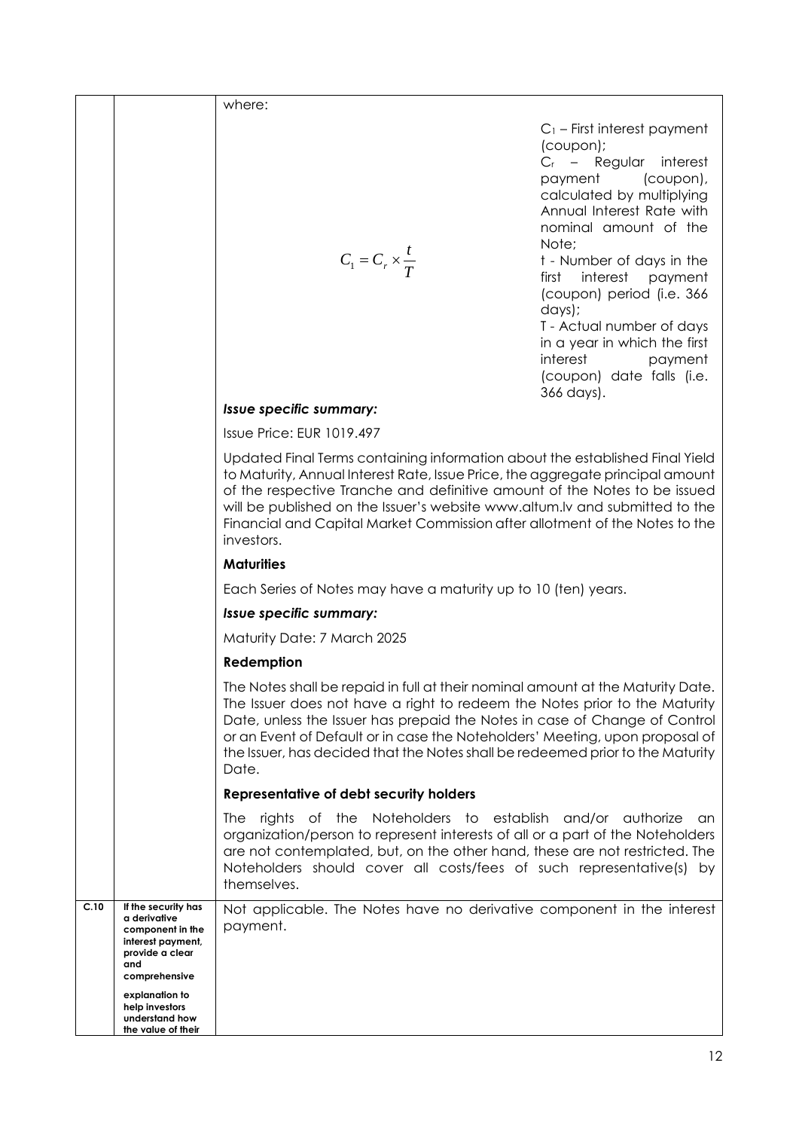|      |                                                                                                                                           | where:                                                                                                                                                                                                                                                                                                                                                                                                                  |                                                                                                                                                                                                                                                                                                                                                                                                                             |
|------|-------------------------------------------------------------------------------------------------------------------------------------------|-------------------------------------------------------------------------------------------------------------------------------------------------------------------------------------------------------------------------------------------------------------------------------------------------------------------------------------------------------------------------------------------------------------------------|-----------------------------------------------------------------------------------------------------------------------------------------------------------------------------------------------------------------------------------------------------------------------------------------------------------------------------------------------------------------------------------------------------------------------------|
|      |                                                                                                                                           | $C_1 = C_r \times \frac{I}{T}$                                                                                                                                                                                                                                                                                                                                                                                          | $C_1$ – First interest payment<br>(coupon);<br>$C_r$ – Regular interest<br>payment<br>(coupon),<br>calculated by multiplying<br>Annual Interest Rate with<br>nominal amount of the<br>Note;<br>t - Number of days in the<br>interest payment<br>first<br>(coupon) period (i.e. 366<br>days);<br>T - Actual number of days<br>in a year in which the first<br>interest<br>payment<br>(coupon) date falls (i.e.<br>366 days). |
|      |                                                                                                                                           | Issue specific summary:                                                                                                                                                                                                                                                                                                                                                                                                 |                                                                                                                                                                                                                                                                                                                                                                                                                             |
|      |                                                                                                                                           | Issue Price: EUR 1019.497                                                                                                                                                                                                                                                                                                                                                                                               |                                                                                                                                                                                                                                                                                                                                                                                                                             |
|      |                                                                                                                                           | Updated Final Terms containing information about the established Final Yield<br>to Maturity, Annual Interest Rate, Issue Price, the aggregate principal amount<br>of the respective Tranche and definitive amount of the Notes to be issued<br>will be published on the Issuer's website www.altum.Iv and submitted to the<br>Financial and Capital Market Commission after allotment of the Notes to the<br>investors. |                                                                                                                                                                                                                                                                                                                                                                                                                             |
|      |                                                                                                                                           | <b>Maturities</b>                                                                                                                                                                                                                                                                                                                                                                                                       |                                                                                                                                                                                                                                                                                                                                                                                                                             |
|      |                                                                                                                                           | Each Series of Notes may have a maturity up to 10 (ten) years.                                                                                                                                                                                                                                                                                                                                                          |                                                                                                                                                                                                                                                                                                                                                                                                                             |
|      |                                                                                                                                           | Issue specific summary:                                                                                                                                                                                                                                                                                                                                                                                                 |                                                                                                                                                                                                                                                                                                                                                                                                                             |
|      |                                                                                                                                           | Maturity Date: 7 March 2025                                                                                                                                                                                                                                                                                                                                                                                             |                                                                                                                                                                                                                                                                                                                                                                                                                             |
|      |                                                                                                                                           | Redemption                                                                                                                                                                                                                                                                                                                                                                                                              |                                                                                                                                                                                                                                                                                                                                                                                                                             |
|      |                                                                                                                                           | The Notes shall be repaid in full at their nominal amount at the Maturity Date.<br>The Issuer does not have a right to redeem the Notes prior to the Maturity<br>Date, unless the Issuer has prepaid the Notes in case of Change of Control<br>or an Event of Default or in case the Noteholders' Meeting, upon proposal of<br>the Issuer, has decided that the Notes shall be redeemed prior to the Maturity<br>Date.  |                                                                                                                                                                                                                                                                                                                                                                                                                             |
|      |                                                                                                                                           | Representative of debt security holders                                                                                                                                                                                                                                                                                                                                                                                 |                                                                                                                                                                                                                                                                                                                                                                                                                             |
|      |                                                                                                                                           | rights of the Noteholders to establish and/or authorize<br><b>The</b><br>organization/person to represent interests of all or a part of the Noteholders<br>are not contemplated, but, on the other hand, these are not restricted. The<br>Noteholders should cover all costs/fees of such representative(s) by<br>themselves.                                                                                           | an.                                                                                                                                                                                                                                                                                                                                                                                                                         |
| C.10 | If the security has<br>a derivative<br>component in the<br>interest payment,<br>provide a clear<br>and<br>comprehensive<br>explanation to | Not applicable. The Notes have no derivative component in the interest<br>payment.                                                                                                                                                                                                                                                                                                                                      |                                                                                                                                                                                                                                                                                                                                                                                                                             |
|      | help investors<br>understand how<br>the value of their                                                                                    |                                                                                                                                                                                                                                                                                                                                                                                                                         |                                                                                                                                                                                                                                                                                                                                                                                                                             |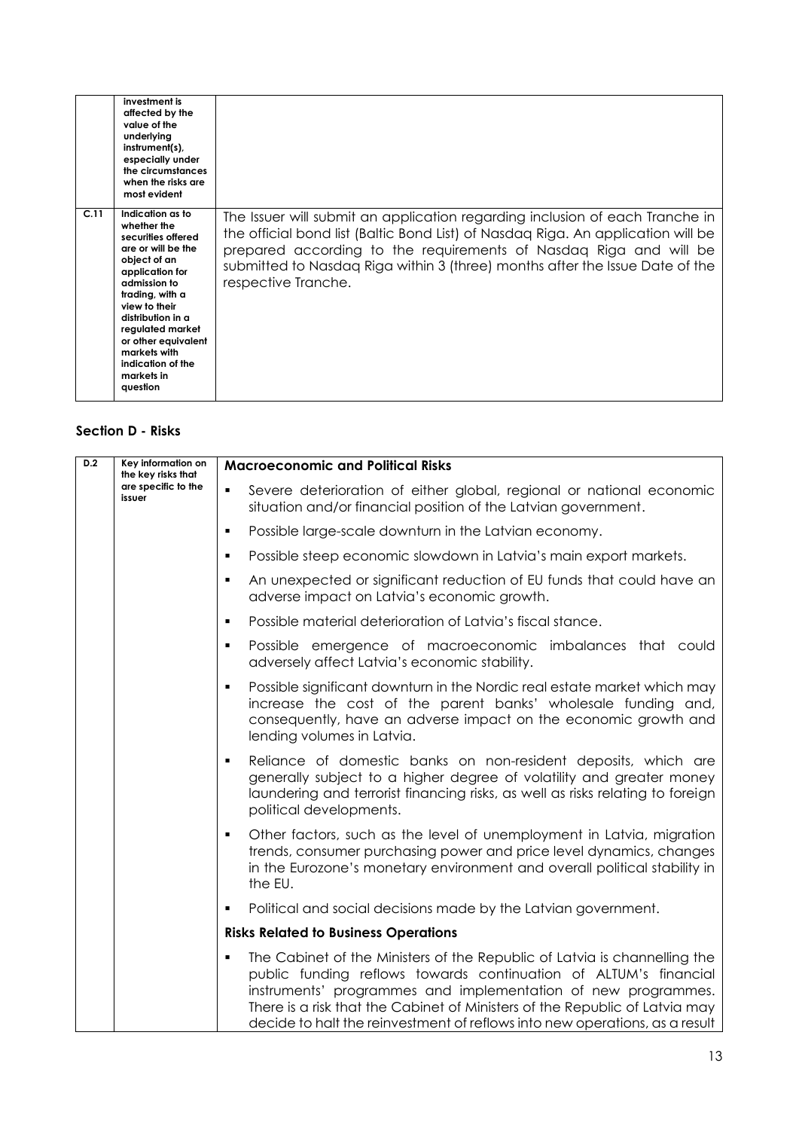|      | investment is<br>affected by the<br>value of the<br>underlying<br>instrument(s),<br>especially under<br>the circumstances<br>when the risks are<br>most evident                                                                                                                                   |                                                                                                                                                                                                                                                                                                                                              |
|------|---------------------------------------------------------------------------------------------------------------------------------------------------------------------------------------------------------------------------------------------------------------------------------------------------|----------------------------------------------------------------------------------------------------------------------------------------------------------------------------------------------------------------------------------------------------------------------------------------------------------------------------------------------|
| C.11 | Indication as to<br>whether the<br>securities offered<br>are or will be the<br>object of an<br>application for<br>admission to<br>trading, with a<br>view to their<br>distribution in a<br>regulated market<br>or other equivalent<br>markets with<br>indication of the<br>markets in<br>question | The Issuer will submit an application regarding inclusion of each Tranche in<br>the official bond list (Baltic Bond List) of Nasdaq Riga. An application will be<br>prepared according to the requirements of Nasdag Riga and will be<br>submitted to Nasdaq Riga within 3 (three) months after the Issue Date of the<br>respective Tranche. |

### **Section D - Risks**

| D.2 | Key information on<br>the key risks that | <b>Macroeconomic and Political Risks</b>                                                                                                                                                                                                                                                                                                                                          |
|-----|------------------------------------------|-----------------------------------------------------------------------------------------------------------------------------------------------------------------------------------------------------------------------------------------------------------------------------------------------------------------------------------------------------------------------------------|
|     | are specific to the<br>issuer            | Severe deterioration of either global, regional or national economic<br>$\blacksquare$<br>situation and/or financial position of the Latvian government.                                                                                                                                                                                                                          |
|     |                                          | Possible large-scale downturn in the Latvian economy.<br>٠                                                                                                                                                                                                                                                                                                                        |
|     |                                          | Possible steep economic slowdown in Latvia's main export markets.<br>٠                                                                                                                                                                                                                                                                                                            |
|     |                                          | An unexpected or significant reduction of EU funds that could have an<br>٠<br>adverse impact on Latvia's economic growth.                                                                                                                                                                                                                                                         |
|     |                                          | Possible material deterioration of Latvia's fiscal stance.<br>٠                                                                                                                                                                                                                                                                                                                   |
|     |                                          | Possible emergence of macroeconomic imbalances that could<br>٠<br>adversely affect Latvia's economic stability.                                                                                                                                                                                                                                                                   |
|     |                                          | Possible significant downturn in the Nordic real estate market which may<br>٠<br>increase the cost of the parent banks' wholesale funding and,<br>consequently, have an adverse impact on the economic growth and<br>lending volumes in Latvia.                                                                                                                                   |
|     |                                          | Reliance of domestic banks on non-resident deposits, which are<br>$\blacksquare$<br>generally subject to a higher degree of volatility and greater money<br>laundering and terrorist financing risks, as well as risks relating to foreign<br>political developments.                                                                                                             |
|     |                                          | Other factors, such as the level of unemployment in Latvia, migration<br>$\blacksquare$<br>trends, consumer purchasing power and price level dynamics, changes<br>in the Eurozone's monetary environment and overall political stability in<br>the EU.                                                                                                                            |
|     |                                          | Political and social decisions made by the Latvian government.<br>٠                                                                                                                                                                                                                                                                                                               |
|     |                                          | <b>Risks Related to Business Operations</b>                                                                                                                                                                                                                                                                                                                                       |
|     |                                          | The Cabinet of the Ministers of the Republic of Latvia is channelling the<br>٠<br>public funding reflows towards continuation of ALTUM's financial<br>instruments' programmes and implementation of new programmes.<br>There is a risk that the Cabinet of Ministers of the Republic of Latvia may<br>decide to halt the reinvestment of reflows into new operations, as a result |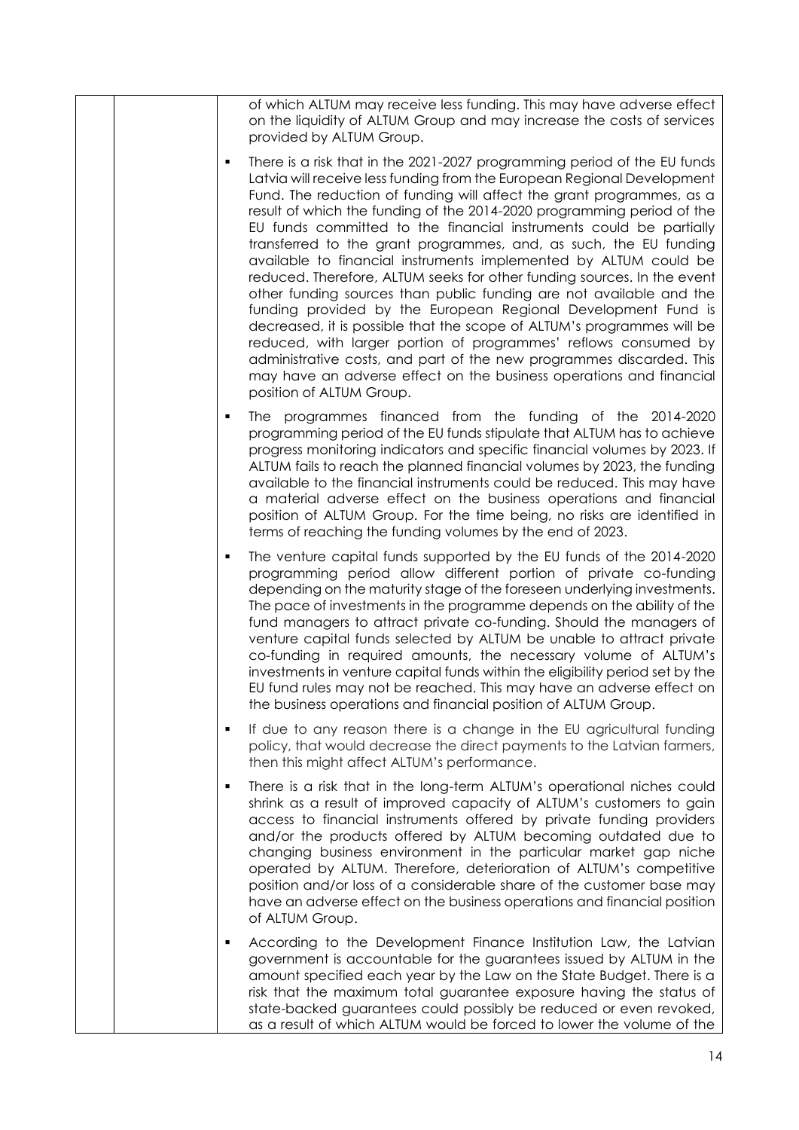| of which ALTUM may receive less funding. This may have adverse effect<br>on the liquidity of ALTUM Group and may increase the costs of services<br>provided by ALTUM Group.                                                                                                                                                                                                                                                                                                                                                                                                                                                                                                                                                                                                                                                                                                                                                                                                                                                                                           |
|-----------------------------------------------------------------------------------------------------------------------------------------------------------------------------------------------------------------------------------------------------------------------------------------------------------------------------------------------------------------------------------------------------------------------------------------------------------------------------------------------------------------------------------------------------------------------------------------------------------------------------------------------------------------------------------------------------------------------------------------------------------------------------------------------------------------------------------------------------------------------------------------------------------------------------------------------------------------------------------------------------------------------------------------------------------------------|
| There is a risk that in the 2021-2027 programming period of the EU funds<br>٠<br>Latvia will receive less funding from the European Regional Development<br>Fund. The reduction of funding will affect the grant programmes, as a<br>result of which the funding of the 2014-2020 programming period of the<br>EU funds committed to the financial instruments could be partially<br>transferred to the grant programmes, and, as such, the EU funding<br>available to financial instruments implemented by ALTUM could be<br>reduced. Therefore, ALTUM seeks for other funding sources. In the event<br>other funding sources than public funding are not available and the<br>funding provided by the European Regional Development Fund is<br>decreased, it is possible that the scope of ALTUM's programmes will be<br>reduced, with larger portion of programmes' reflows consumed by<br>administrative costs, and part of the new programmes discarded. This<br>may have an adverse effect on the business operations and financial<br>position of ALTUM Group. |
| The programmes financed from the funding of the 2014-2020<br>٠<br>programming period of the EU funds stipulate that ALTUM has to achieve<br>progress monitoring indicators and specific financial volumes by 2023. If<br>ALTUM fails to reach the planned financial volumes by 2023, the funding<br>available to the financial instruments could be reduced. This may have<br>a material adverse effect on the business operations and financial<br>position of ALTUM Group. For the time being, no risks are identified in<br>terms of reaching the funding volumes by the end of 2023.                                                                                                                                                                                                                                                                                                                                                                                                                                                                              |
| The venture capital funds supported by the EU funds of the 2014-2020<br>٠<br>programming period allow different portion of private co-funding<br>depending on the maturity stage of the foreseen underlying investments.<br>The pace of investments in the programme depends on the ability of the<br>fund managers to attract private co-funding. Should the managers of<br>venture capital funds selected by ALTUM be unable to attract private<br>co-funding in required amounts, the necessary volume of ALTUM's<br>investments in venture capital funds within the eligibility period set by the<br>EU fund rules may not be reached. This may have an adverse effect on<br>the business operations and financial position of ALTUM Group.                                                                                                                                                                                                                                                                                                                       |
| If due to any reason there is a change in the EU agricultural funding<br>٠<br>policy, that would decrease the direct payments to the Latvian farmers,<br>then this might affect ALTUM's performance.                                                                                                                                                                                                                                                                                                                                                                                                                                                                                                                                                                                                                                                                                                                                                                                                                                                                  |
| There is a risk that in the long-term ALTUM's operational niches could<br>п<br>shrink as a result of improved capacity of ALTUM's customers to gain<br>access to financial instruments offered by private funding providers<br>and/or the products offered by ALTUM becoming outdated due to<br>changing business environment in the particular market gap niche<br>operated by ALTUM. Therefore, deterioration of ALTUM's competitive<br>position and/or loss of a considerable share of the customer base may<br>have an adverse effect on the business operations and financial position<br>of ALTUM Group.                                                                                                                                                                                                                                                                                                                                                                                                                                                        |
| According to the Development Finance Institution Law, the Latvian<br>$\blacksquare$<br>government is accountable for the guarantees issued by ALTUM in the<br>amount specified each year by the Law on the State Budget. There is a<br>risk that the maximum total guarantee exposure having the status of<br>state-backed guarantees could possibly be reduced or even revoked,<br>as a result of which ALTUM would be forced to lower the volume of the                                                                                                                                                                                                                                                                                                                                                                                                                                                                                                                                                                                                             |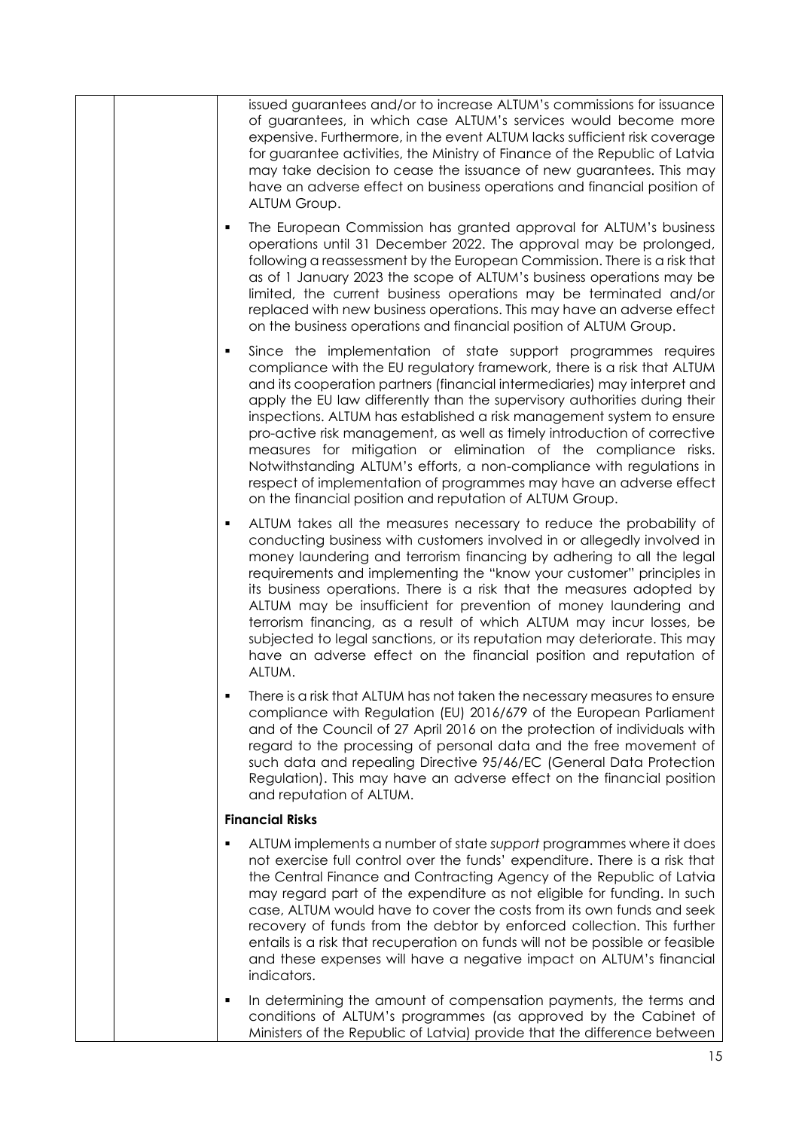|  | issued guarantees and/or to increase ALTUM's commissions for issuance<br>of guarantees, in which case ALTUM's services would become more<br>expensive. Furthermore, in the event ALTUM lacks sufficient risk coverage<br>for guarantee activities, the Ministry of Finance of the Republic of Latvia<br>may take decision to cease the issuance of new guarantees. This may<br>have an adverse effect on business operations and financial position of<br>ALTUM Group.                                                                                                                                                                                                                                                                      |
|--|---------------------------------------------------------------------------------------------------------------------------------------------------------------------------------------------------------------------------------------------------------------------------------------------------------------------------------------------------------------------------------------------------------------------------------------------------------------------------------------------------------------------------------------------------------------------------------------------------------------------------------------------------------------------------------------------------------------------------------------------|
|  | The European Commission has granted approval for ALTUM's business<br>٠<br>operations until 31 December 2022. The approval may be prolonged,<br>following a reassessment by the European Commission. There is a risk that<br>as of 1 January 2023 the scope of ALTUM's business operations may be<br>limited, the current business operations may be terminated and/or<br>replaced with new business operations. This may have an adverse effect<br>on the business operations and financial position of ALTUM Group.                                                                                                                                                                                                                        |
|  | Since the implementation of state support programmes requires<br>٠<br>compliance with the EU regulatory framework, there is a risk that ALTUM<br>and its cooperation partners (financial intermediaries) may interpret and<br>apply the EU law differently than the supervisory authorities during their<br>inspections. ALTUM has established a risk management system to ensure<br>pro-active risk management, as well as timely introduction of corrective<br>measures for mitigation or elimination of the compliance risks.<br>Notwithstanding ALTUM's efforts, a non-compliance with regulations in<br>respect of implementation of programmes may have an adverse effect<br>on the financial position and reputation of ALTUM Group. |
|  | ALTUM takes all the measures necessary to reduce the probability of<br>٠<br>conducting business with customers involved in or allegedly involved in<br>money laundering and terrorism financing by adhering to all the legal<br>requirements and implementing the "know your customer" principles in<br>its business operations. There is a risk that the measures adopted by<br>ALTUM may be insufficient for prevention of money laundering and<br>terrorism financing, as a result of which ALTUM may incur losses, be<br>subjected to legal sanctions, or its reputation may deteriorate. This may<br>have an adverse effect on the financial position and reputation of<br>ALTUM.                                                      |
|  | There is a risk that ALTUM has not taken the necessary measures to ensure<br>compliance with Regulation (EU) 2016/679 of the European Parliament<br>and of the Council of 27 April 2016 on the protection of individuals with<br>regard to the processing of personal data and the free movement of<br>such data and repealing Directive 95/46/EC (General Data Protection<br>Regulation). This may have an adverse effect on the financial position<br>and reputation of ALTUM.                                                                                                                                                                                                                                                            |
|  | <b>Financial Risks</b>                                                                                                                                                                                                                                                                                                                                                                                                                                                                                                                                                                                                                                                                                                                      |
|  | ALTUM implements a number of state support programmes where it does<br>٠<br>not exercise full control over the funds' expenditure. There is a risk that<br>the Central Finance and Contracting Agency of the Republic of Latvia<br>may regard part of the expenditure as not eligible for funding. In such<br>case, ALTUM would have to cover the costs from its own funds and seek<br>recovery of funds from the debtor by enforced collection. This further<br>entails is a risk that recuperation on funds will not be possible or feasible<br>and these expenses will have a negative impact on ALTUM's financial<br>indicators.                                                                                                        |
|  | In determining the amount of compensation payments, the terms and<br>٠<br>conditions of ALTUM's programmes (as approved by the Cabinet of<br>Ministers of the Republic of Latvia) provide that the difference between                                                                                                                                                                                                                                                                                                                                                                                                                                                                                                                       |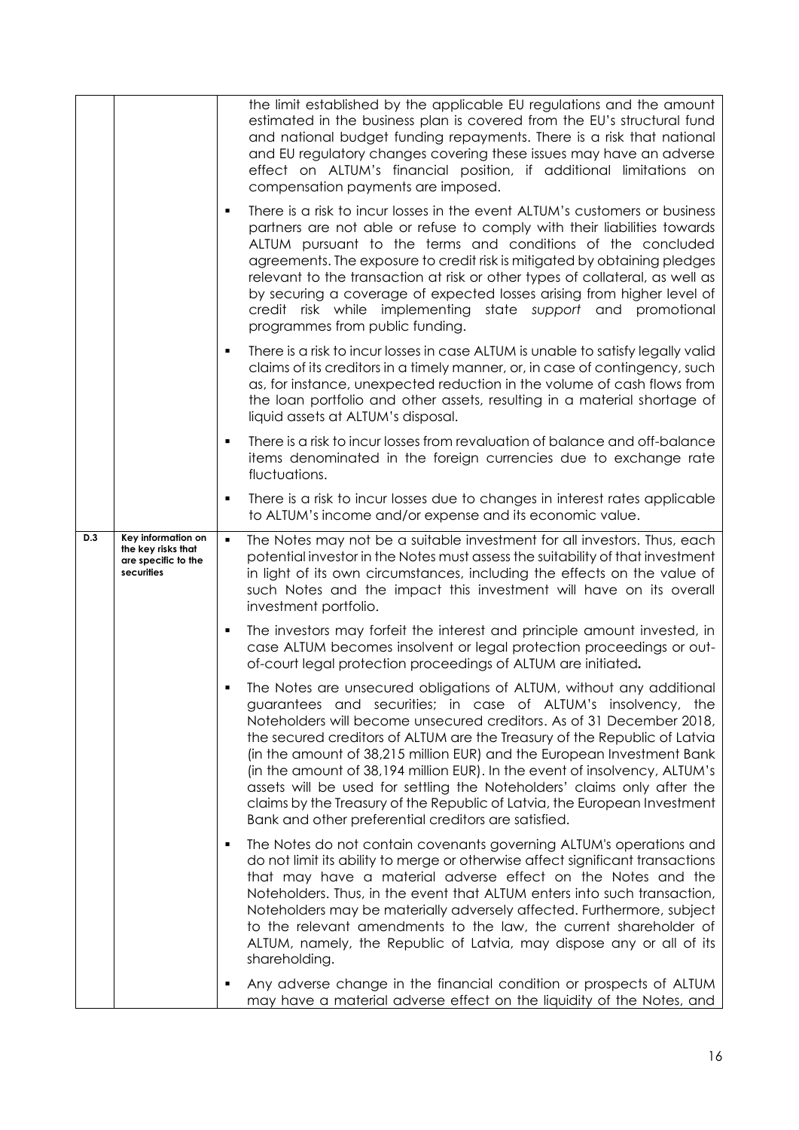|     |                                                                               |                | the limit established by the applicable EU regulations and the amount<br>estimated in the business plan is covered from the EU's structural fund<br>and national budget funding repayments. There is a risk that national<br>and EU regulatory changes covering these issues may have an adverse<br>effect on ALTUM's financial position, if additional limitations on<br>compensation payments are imposed.                                                                                                                                                                                                                                                       |
|-----|-------------------------------------------------------------------------------|----------------|--------------------------------------------------------------------------------------------------------------------------------------------------------------------------------------------------------------------------------------------------------------------------------------------------------------------------------------------------------------------------------------------------------------------------------------------------------------------------------------------------------------------------------------------------------------------------------------------------------------------------------------------------------------------|
|     |                                                                               | ٠              | There is a risk to incur losses in the event ALTUM's customers or business<br>partners are not able or refuse to comply with their liabilities towards<br>ALTUM pursuant to the terms and conditions of the concluded<br>agreements. The exposure to credit risk is mitigated by obtaining pledges<br>relevant to the transaction at risk or other types of collateral, as well as<br>by securing a coverage of expected losses arising from higher level of<br>credit risk while implementing state support and promotional<br>programmes from public funding.                                                                                                    |
|     |                                                                               | ٠              | There is a risk to incur losses in case ALTUM is unable to satisfy legally valid<br>claims of its creditors in a timely manner, or, in case of contingency, such<br>as, for instance, unexpected reduction in the volume of cash flows from<br>the loan portfolio and other assets, resulting in a material shortage of<br>liquid assets at ALTUM's disposal.                                                                                                                                                                                                                                                                                                      |
|     |                                                                               | ×,             | There is a risk to incur losses from revaluation of balance and off-balance<br>items denominated in the foreign currencies due to exchange rate<br>fluctuations.                                                                                                                                                                                                                                                                                                                                                                                                                                                                                                   |
|     |                                                                               | ٠              | There is a risk to incur losses due to changes in interest rates applicable<br>to ALTUM's income and/or expense and its economic value.                                                                                                                                                                                                                                                                                                                                                                                                                                                                                                                            |
| D.3 | Key information on<br>the key risks that<br>are specific to the<br>securities | $\blacksquare$ | The Notes may not be a suitable investment for all investors. Thus, each<br>potential investor in the Notes must assess the suitability of that investment<br>in light of its own circumstances, including the effects on the value of<br>such Notes and the impact this investment will have on its overall<br>investment portfolio.                                                                                                                                                                                                                                                                                                                              |
|     |                                                                               | п              | The investors may forfeit the interest and principle amount invested, in<br>case ALTUM becomes insolvent or legal protection proceedings or out-<br>of-court legal protection proceedings of ALTUM are initiated.                                                                                                                                                                                                                                                                                                                                                                                                                                                  |
|     |                                                                               |                | The Notes are unsecured obligations of ALTUM, without any additional<br>guarantees and securities; in case of ALTUM's insolvency, the<br>Noteholders will become unsecured creditors. As of 31 December 2018,<br>the secured creditors of ALTUM are the Treasury of the Republic of Latvia<br>(in the amount of 38,215 million EUR) and the European Investment Bank<br>(in the amount of 38,194 million EUR). In the event of insolvency, ALTUM's<br>assets will be used for settling the Noteholders' claims only after the<br>claims by the Treasury of the Republic of Latvia, the European Investment<br>Bank and other preferential creditors are satisfied. |
|     |                                                                               | ٠              | The Notes do not contain covenants governing ALTUM's operations and<br>do not limit its ability to merge or otherwise affect significant transactions<br>that may have a material adverse effect on the Notes and the<br>Noteholders. Thus, in the event that ALTUM enters into such transaction,<br>Noteholders may be materially adversely affected. Furthermore, subject<br>to the relevant amendments to the law, the current shareholder of<br>ALTUM, namely, the Republic of Latvia, may dispose any or all of its<br>shareholding.                                                                                                                          |
|     |                                                                               | ٠              | Any adverse change in the financial condition or prospects of ALTUM<br>may have a material adverse effect on the liquidity of the Notes, and                                                                                                                                                                                                                                                                                                                                                                                                                                                                                                                       |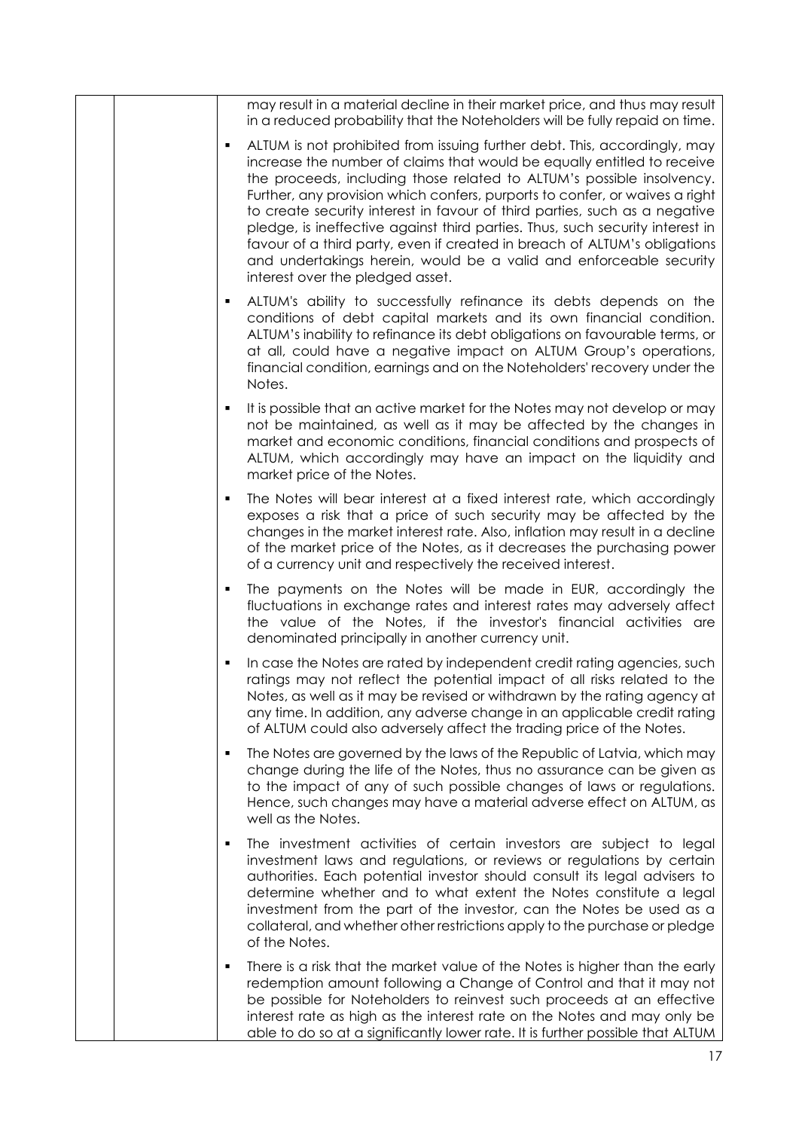|  | may result in a material decline in their market price, and thus may result<br>in a reduced probability that the Noteholders will be fully repaid on time.                                                                                                                                                                                                                                                                                                                                                                                                                                                                                                              |
|--|-------------------------------------------------------------------------------------------------------------------------------------------------------------------------------------------------------------------------------------------------------------------------------------------------------------------------------------------------------------------------------------------------------------------------------------------------------------------------------------------------------------------------------------------------------------------------------------------------------------------------------------------------------------------------|
|  | ALTUM is not prohibited from issuing further debt. This, accordingly, may<br>٠<br>increase the number of claims that would be equally entitled to receive<br>the proceeds, including those related to ALTUM's possible insolvency.<br>Further, any provision which confers, purports to confer, or waives a right<br>to create security interest in favour of third parties, such as a negative<br>pledge, is ineffective against third parties. Thus, such security interest in<br>favour of a third party, even if created in breach of ALTUM's obligations<br>and undertakings herein, would be a valid and enforceable security<br>interest over the pledged asset. |
|  | ALTUM's ability to successfully refinance its debts depends on the<br>٠<br>conditions of debt capital markets and its own financial condition.<br>ALTUM's inability to refinance its debt obligations on favourable terms, or<br>at all, could have a negative impact on ALTUM Group's operations,<br>financial condition, earnings and on the Noteholders' recovery under the<br>Notes.                                                                                                                                                                                                                                                                                |
|  | It is possible that an active market for the Notes may not develop or may<br>٠<br>not be maintained, as well as it may be affected by the changes in<br>market and economic conditions, financial conditions and prospects of<br>ALTUM, which accordingly may have an impact on the liquidity and<br>market price of the Notes.                                                                                                                                                                                                                                                                                                                                         |
|  | The Notes will bear interest at a fixed interest rate, which accordingly<br>٠<br>exposes a risk that a price of such security may be affected by the<br>changes in the market interest rate. Also, inflation may result in a decline<br>of the market price of the Notes, as it decreases the purchasing power<br>of a currency unit and respectively the received interest.                                                                                                                                                                                                                                                                                            |
|  | The payments on the Notes will be made in EUR, accordingly the<br>٠<br>fluctuations in exchange rates and interest rates may adversely affect<br>the value of the Notes, if the investor's financial activities are<br>denominated principally in another currency unit.                                                                                                                                                                                                                                                                                                                                                                                                |
|  | In case the Notes are rated by independent credit rating agencies, such<br>٠<br>ratings may not reflect the potential impact of all risks related to the<br>Notes, as well as it may be revised or withdrawn by the rating agency at<br>any time. In addition, any adverse change in an applicable credit rating<br>of ALTUM could also adversely affect the trading price of the Notes.                                                                                                                                                                                                                                                                                |
|  | The Notes are governed by the laws of the Republic of Latvia, which may<br>٠<br>change during the life of the Notes, thus no assurance can be given as<br>to the impact of any of such possible changes of laws or regulations.<br>Hence, such changes may have a material adverse effect on ALTUM, as<br>well as the Notes.                                                                                                                                                                                                                                                                                                                                            |
|  | The investment activities of certain investors are subject to legal<br>٠<br>investment laws and regulations, or reviews or regulations by certain<br>authorities. Each potential investor should consult its legal advisers to<br>determine whether and to what extent the Notes constitute a legal<br>investment from the part of the investor, can the Notes be used as a<br>collateral, and whether other restrictions apply to the purchase or pledge<br>of the Notes.                                                                                                                                                                                              |
|  | There is a risk that the market value of the Notes is higher than the early<br>٠<br>redemption amount following a Change of Control and that it may not<br>be possible for Noteholders to reinvest such proceeds at an effective<br>interest rate as high as the interest rate on the Notes and may only be<br>able to do so at a significantly lower rate. It is further possible that ALTUM                                                                                                                                                                                                                                                                           |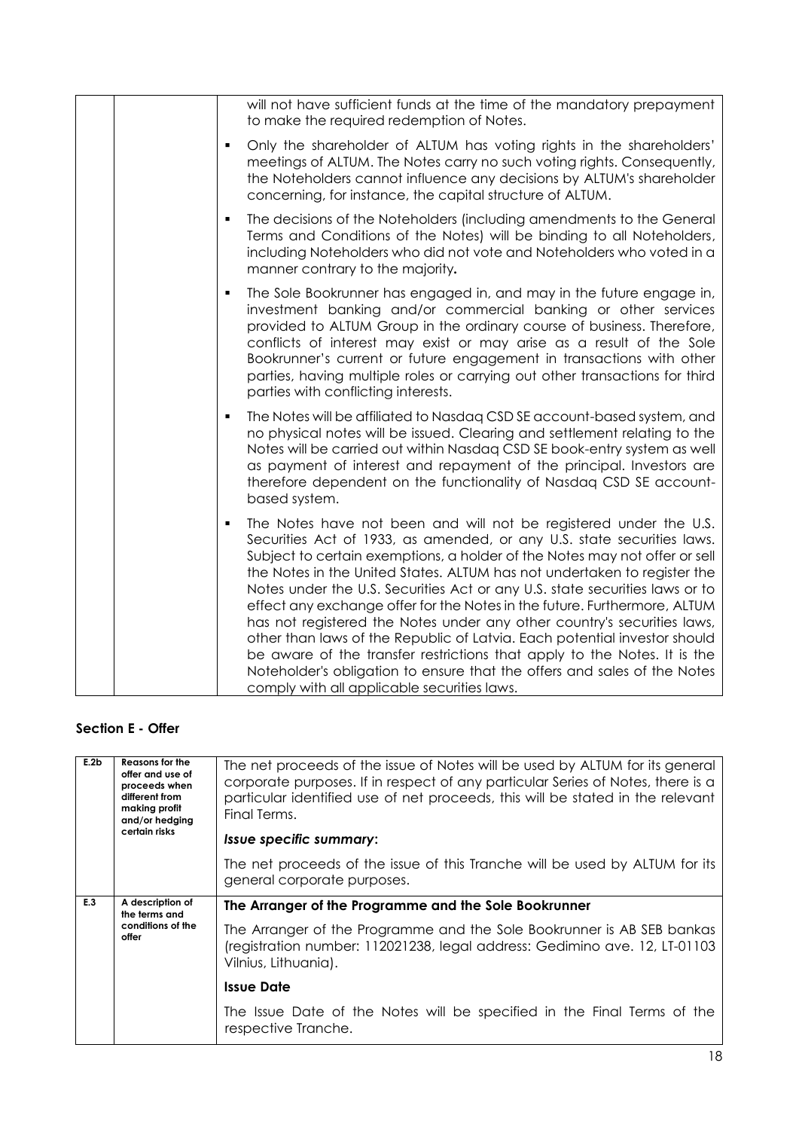| will not have sufficient funds at the time of the mandatory prepayment<br>to make the required redemption of Notes.                                                                                                                                                                                                                                                                                                                                                                                                                                                                                                                                                                                                                                                                                                                                |
|----------------------------------------------------------------------------------------------------------------------------------------------------------------------------------------------------------------------------------------------------------------------------------------------------------------------------------------------------------------------------------------------------------------------------------------------------------------------------------------------------------------------------------------------------------------------------------------------------------------------------------------------------------------------------------------------------------------------------------------------------------------------------------------------------------------------------------------------------|
| Only the shareholder of ALTUM has voting rights in the shareholders'<br>٠<br>meetings of ALTUM. The Notes carry no such voting rights. Consequently,<br>the Noteholders cannot influence any decisions by ALTUM's shareholder<br>concerning, for instance, the capital structure of ALTUM.                                                                                                                                                                                                                                                                                                                                                                                                                                                                                                                                                         |
| The decisions of the Noteholders (including amendments to the General<br>٠<br>Terms and Conditions of the Notes) will be binding to all Noteholders,<br>including Noteholders who did not vote and Noteholders who voted in a<br>manner contrary to the majority.                                                                                                                                                                                                                                                                                                                                                                                                                                                                                                                                                                                  |
| The Sole Bookrunner has engaged in, and may in the future engage in,<br>٠<br>investment banking and/or commercial banking or other services<br>provided to ALTUM Group in the ordinary course of business. Therefore,<br>conflicts of interest may exist or may arise as a result of the Sole<br>Bookrunner's current or future engagement in transactions with other<br>parties, having multiple roles or carrying out other transactions for third<br>parties with conflicting interests.                                                                                                                                                                                                                                                                                                                                                        |
| The Notes will be affiliated to Nasdag CSD SE account-based system, and<br>٠<br>no physical notes will be issued. Clearing and settlement relating to the<br>Notes will be carried out within Nasdaq CSD SE book-entry system as well<br>as payment of interest and repayment of the principal. Investors are<br>therefore dependent on the functionality of Nasdaq CSD SE account-<br>based system.                                                                                                                                                                                                                                                                                                                                                                                                                                               |
| The Notes have not been and will not be registered under the U.S.<br>$\blacksquare$<br>Securities Act of 1933, as amended, or any U.S. state securities laws.<br>Subject to certain exemptions, a holder of the Notes may not offer or sell<br>the Notes in the United States. ALTUM has not undertaken to register the<br>Notes under the U.S. Securities Act or any U.S. state securities laws or to<br>effect any exchange offer for the Notes in the future. Furthermore, ALTUM<br>has not registered the Notes under any other country's securities laws,<br>other than laws of the Republic of Latvia. Each potential investor should<br>be aware of the transfer restrictions that apply to the Notes. It is the<br>Noteholder's obligation to ensure that the offers and sales of the Notes<br>comply with all applicable securities laws. |

## **Section E - Offer**

| E.2b | Reasons for the<br>offer and use of<br>proceeds when<br>different from<br>making profit<br>and/or hedging<br>certain risks | The net proceeds of the issue of Notes will be used by ALTUM for its general<br>corporate purposes. If in respect of any particular Series of Notes, there is a<br>particular identified use of net proceeds, this will be stated in the relevant<br>Final Terms. |
|------|----------------------------------------------------------------------------------------------------------------------------|-------------------------------------------------------------------------------------------------------------------------------------------------------------------------------------------------------------------------------------------------------------------|
|      |                                                                                                                            | <i><b>Issue specific summary:</b></i>                                                                                                                                                                                                                             |
|      |                                                                                                                            | The net proceeds of the issue of this Tranche will be used by ALTUM for its<br>general corporate purposes.                                                                                                                                                        |
| E.3  | A description of<br>the terms and                                                                                          |                                                                                                                                                                                                                                                                   |
|      |                                                                                                                            | The Arranger of the Programme and the Sole Bookrunner                                                                                                                                                                                                             |
|      | conditions of the<br>offer                                                                                                 | The Arranger of the Programme and the Sole Bookrunner is AB SEB bankas<br>(registration number: 112021238, legal address: Gedimino ave. 12, LT-01103<br>Vilnius, Lithuania).                                                                                      |
|      |                                                                                                                            | <b>Issue Date</b>                                                                                                                                                                                                                                                 |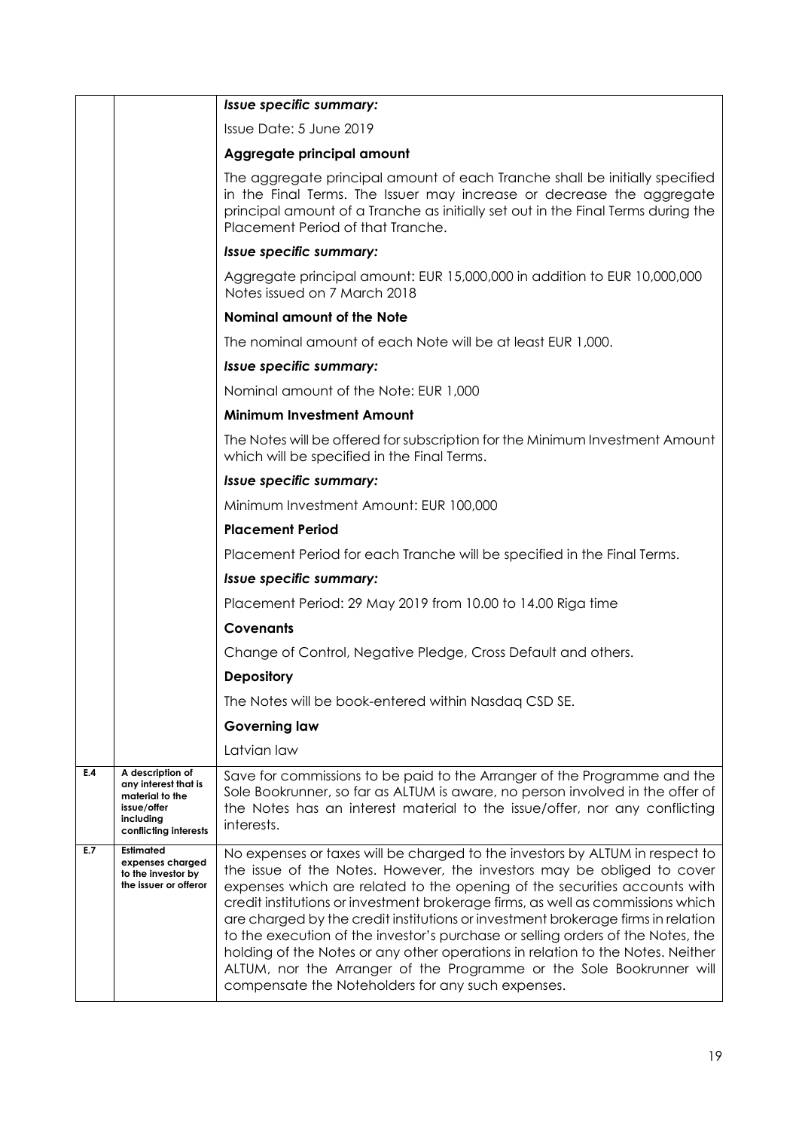|     |                                                                                                                  | Issue specific summary:                                                                                                                                                                                                                                                                                                                                                                                                                                                                                                                                                                                                                                                                                      |
|-----|------------------------------------------------------------------------------------------------------------------|--------------------------------------------------------------------------------------------------------------------------------------------------------------------------------------------------------------------------------------------------------------------------------------------------------------------------------------------------------------------------------------------------------------------------------------------------------------------------------------------------------------------------------------------------------------------------------------------------------------------------------------------------------------------------------------------------------------|
|     |                                                                                                                  | Issue Date: 5 June 2019                                                                                                                                                                                                                                                                                                                                                                                                                                                                                                                                                                                                                                                                                      |
|     |                                                                                                                  | Aggregate principal amount                                                                                                                                                                                                                                                                                                                                                                                                                                                                                                                                                                                                                                                                                   |
|     |                                                                                                                  | The aggregate principal amount of each Tranche shall be initially specified<br>in the Final Terms. The Issuer may increase or decrease the aggregate<br>principal amount of a Tranche as initially set out in the Final Terms during the<br>Placement Period of that Tranche.                                                                                                                                                                                                                                                                                                                                                                                                                                |
|     |                                                                                                                  | Issue specific summary:                                                                                                                                                                                                                                                                                                                                                                                                                                                                                                                                                                                                                                                                                      |
|     |                                                                                                                  | Aggregate principal amount: EUR 15,000,000 in addition to EUR 10,000,000<br>Notes issued on 7 March 2018                                                                                                                                                                                                                                                                                                                                                                                                                                                                                                                                                                                                     |
|     |                                                                                                                  | <b>Nominal amount of the Note</b>                                                                                                                                                                                                                                                                                                                                                                                                                                                                                                                                                                                                                                                                            |
|     |                                                                                                                  | The nominal amount of each Note will be at least EUR 1,000.                                                                                                                                                                                                                                                                                                                                                                                                                                                                                                                                                                                                                                                  |
|     |                                                                                                                  | Issue specific summary:                                                                                                                                                                                                                                                                                                                                                                                                                                                                                                                                                                                                                                                                                      |
|     |                                                                                                                  | Nominal amount of the Note: EUR 1,000                                                                                                                                                                                                                                                                                                                                                                                                                                                                                                                                                                                                                                                                        |
|     |                                                                                                                  | <b>Minimum Investment Amount</b>                                                                                                                                                                                                                                                                                                                                                                                                                                                                                                                                                                                                                                                                             |
|     |                                                                                                                  | The Notes will be offered for subscription for the Minimum Investment Amount<br>which will be specified in the Final Terms.                                                                                                                                                                                                                                                                                                                                                                                                                                                                                                                                                                                  |
|     |                                                                                                                  | Issue specific summary:                                                                                                                                                                                                                                                                                                                                                                                                                                                                                                                                                                                                                                                                                      |
|     |                                                                                                                  | Minimum Investment Amount: EUR 100,000                                                                                                                                                                                                                                                                                                                                                                                                                                                                                                                                                                                                                                                                       |
|     |                                                                                                                  | <b>Placement Period</b>                                                                                                                                                                                                                                                                                                                                                                                                                                                                                                                                                                                                                                                                                      |
|     |                                                                                                                  | Placement Period for each Tranche will be specified in the Final Terms.                                                                                                                                                                                                                                                                                                                                                                                                                                                                                                                                                                                                                                      |
|     |                                                                                                                  | Issue specific summary:                                                                                                                                                                                                                                                                                                                                                                                                                                                                                                                                                                                                                                                                                      |
|     |                                                                                                                  | Placement Period: 29 May 2019 from 10.00 to 14.00 Riga time                                                                                                                                                                                                                                                                                                                                                                                                                                                                                                                                                                                                                                                  |
|     |                                                                                                                  | <b>Covenants</b>                                                                                                                                                                                                                                                                                                                                                                                                                                                                                                                                                                                                                                                                                             |
|     |                                                                                                                  | Change of Control, Negative Pledge, Cross Default and others.                                                                                                                                                                                                                                                                                                                                                                                                                                                                                                                                                                                                                                                |
|     |                                                                                                                  | <b>Depository</b>                                                                                                                                                                                                                                                                                                                                                                                                                                                                                                                                                                                                                                                                                            |
|     |                                                                                                                  | The Notes will be book-entered within Nasdaq CSD SE.                                                                                                                                                                                                                                                                                                                                                                                                                                                                                                                                                                                                                                                         |
|     |                                                                                                                  | <b>Governing law</b>                                                                                                                                                                                                                                                                                                                                                                                                                                                                                                                                                                                                                                                                                         |
|     |                                                                                                                  | Latvian law                                                                                                                                                                                                                                                                                                                                                                                                                                                                                                                                                                                                                                                                                                  |
| E.4 | A description of<br>any interest that is<br>material to the<br>issue/offer<br>including<br>conflicting interests | Save for commissions to be paid to the Arranger of the Programme and the<br>Sole Bookrunner, so far as ALTUM is aware, no person involved in the offer of<br>the Notes has an interest material to the issue/offer, nor any conflicting<br>interests.                                                                                                                                                                                                                                                                                                                                                                                                                                                        |
| E.7 | Estimated<br>expenses charged<br>to the investor by<br>the issuer or offeror                                     | No expenses or taxes will be charged to the investors by ALTUM in respect to<br>the issue of the Notes. However, the investors may be obliged to cover<br>expenses which are related to the opening of the securities accounts with<br>credit institutions or investment brokerage firms, as well as commissions which<br>are charged by the credit institutions or investment brokerage firms in relation<br>to the execution of the investor's purchase or selling orders of the Notes, the<br>holding of the Notes or any other operations in relation to the Notes. Neither<br>ALTUM, nor the Arranger of the Programme or the Sole Bookrunner will<br>compensate the Noteholders for any such expenses. |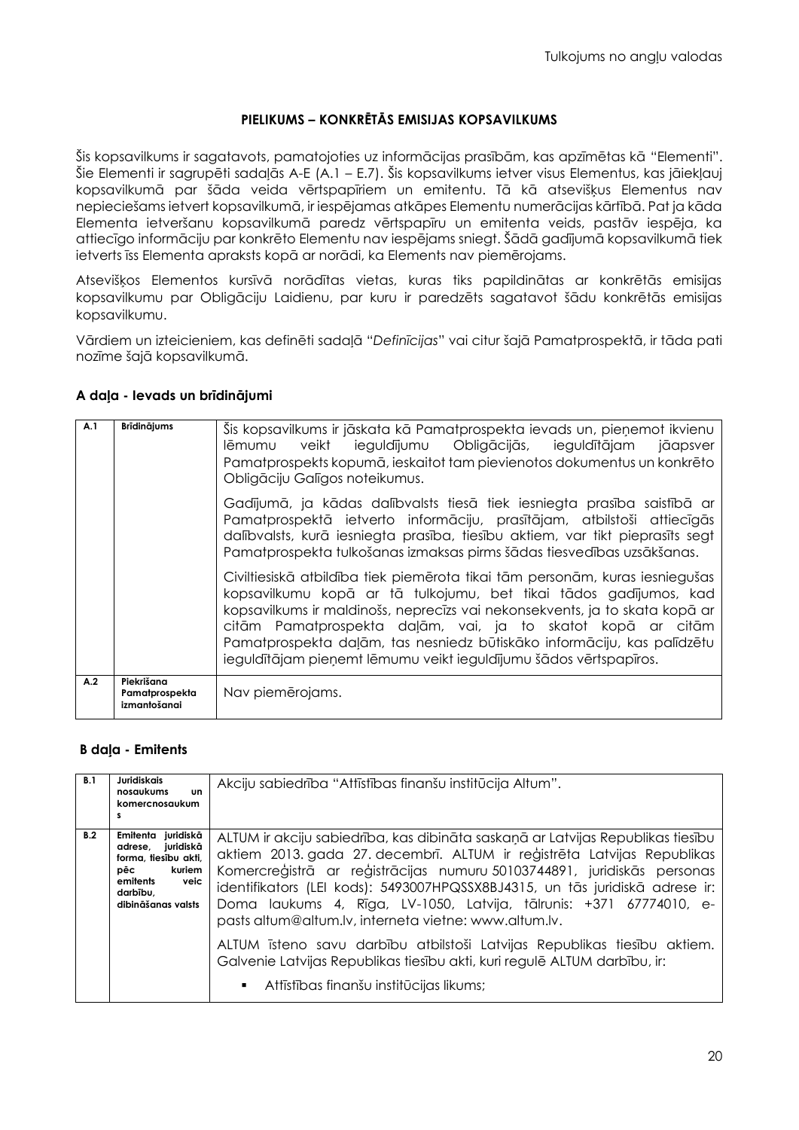### **PIELIKUMS – KONKRĒTĀS EMISIJAS KOPSAVILKUMS**

Šis kopsavilkums ir sagatavots, pamatojoties uz informācijas prasībām, kas apzīmētas kā "Elementi". Šie Elementi ir sagrupēti sadaļās A-E (A.1 – E.7). Šis kopsavilkums ietver visus Elementus, kas jāiekļauj kopsavilkumā par šāda veida vērtspapīriem un emitentu. Tā kā atsevišķus Elementus nav nepieciešams ietvert kopsavilkumā, ir iespējamas atkāpes Elementu numerācijas kārtībā. Pat ja kāda Elementa ietveršanu kopsavilkumā paredz vērtspapīru un emitenta veids, pastāv iespēja, ka attiecīgo informāciju par konkrēto Elementu nav iespējams sniegt. Šādā gadījumā kopsavilkumā tiek ietverts īss Elementa apraksts kopā ar norādi, ka Elements nav piemērojams.

Atsevišķos Elementos kursīvā norādītas vietas, kuras tiks papildinātas ar konkrētās emisijas kopsavilkumu par Obligāciju Laidienu, par kuru ir paredzēts sagatavot šādu konkrētās emisijas kopsavilkumu.

Vārdiem un izteicieniem, kas definēti sadaļā "*Definīcijas*" vai citur šajā Pamatprospektā, ir tāda pati nozīme šajā kopsavilkumā.

### **A daļa - Ievads un brīdinājumi**

| A.1 | <b>Brīdinājums</b>                           | Šis kopsavilkums ir jāskata kā Pamatprospekta ievads un, pieņemot ikvienu<br>veikt ieguldījumu Obligācijās, ieguldītājam jāapsver<br>lēmumu<br>Pamatprospekts kopumā, ieskaitot tam pievienotos dokumentus un konkrēto<br>Obligāciju Galīgos noteikumus.                                                                                                                                                                                        |
|-----|----------------------------------------------|-------------------------------------------------------------------------------------------------------------------------------------------------------------------------------------------------------------------------------------------------------------------------------------------------------------------------------------------------------------------------------------------------------------------------------------------------|
|     |                                              | Gadījumā, ja kādas dalībvalsts tiesā tiek iesniegta prasība saistībā ar<br>Pamatprospektā ietverto informāciju, prasītājam, atbilstoši attiecīgās<br>dalībvalsts, kurā iesniegta prasība, tiesību aktiem, var tikt pieprasīts segt<br>Pamatprospekta tulkošanas izmaksas pirms šādas tiesvedības uzsākšanas.                                                                                                                                    |
|     |                                              | Civiltiesiskā atbildība tiek piemērota tikai tām personām, kuras iesniegušas<br>kopsavilkumu kopā ar tā tulkojumu, bet tikai tādos gadījumos, kad<br>kopsavilkums ir maldinošs, neprecīzs vai nekonsekvents, ja to skata kopā ar<br>citām Pamatprospekta daļām, vai, ja to skatot kopā ar citām<br>Pamatprospekta daļām, tas nesniedz būtiskāko informāciju, kas palīdzētu<br>ieguldītājam pieņemt lēmumu veikt ieguldījumu šādos vērtspapīros. |
| A.2 | Piekrišana<br>Pamatprospekta<br>izmantošanai | Nav piemērojams.                                                                                                                                                                                                                                                                                                                                                                                                                                |

### **B daļa - Emitents**

| B.1 | Juridiskais<br>nosaukums<br><b>un</b><br>komercnosaukum<br>s                                                                                 | Akciju sabiedrība "Attīstības finanšu institūcija Altum".                                                                                                                                                                                                                                                                                                                                                                                                                                                                                                                                                                                                 |
|-----|----------------------------------------------------------------------------------------------------------------------------------------------|-----------------------------------------------------------------------------------------------------------------------------------------------------------------------------------------------------------------------------------------------------------------------------------------------------------------------------------------------------------------------------------------------------------------------------------------------------------------------------------------------------------------------------------------------------------------------------------------------------------------------------------------------------------|
| B.2 | Emitenta<br>juridiskā<br>juridiskā<br>adrese,<br>forma, tiesību akti,<br>kuriem<br>pēc<br>emitents<br>veic<br>darbību,<br>dibināšanas valsts | ALTUM ir akciju sabiedrība, kas dibināta saskaņā ar Latvijas Republikas tiesību<br>aktiem 2013. gada 27. decembrī. ALTUM ir reģistrēta Latvijas Republikas<br>Komercreģistrā ar reģistrācijas numuru 50103744891, juridiskās personas<br>identifikators (LEI kods): 5493007HPQSSX8BJ4315, un tās juridiskā adrese ir:<br>Doma laukums 4, Rīga, LV-1050, Latvija, tālrunis: +371 67774010, e-<br>pasts altum@altum.lv, interneta vietne: www.altum.lv.<br>ALTUM īsteno savu darbību atbilstoši Latvijas Republikas tiesību aktiem.<br>Galvenie Latvijas Republikas tiesību akti, kuri regulē ALTUM darbību, ir:<br>Attīstības finanšu institūcijas likums; |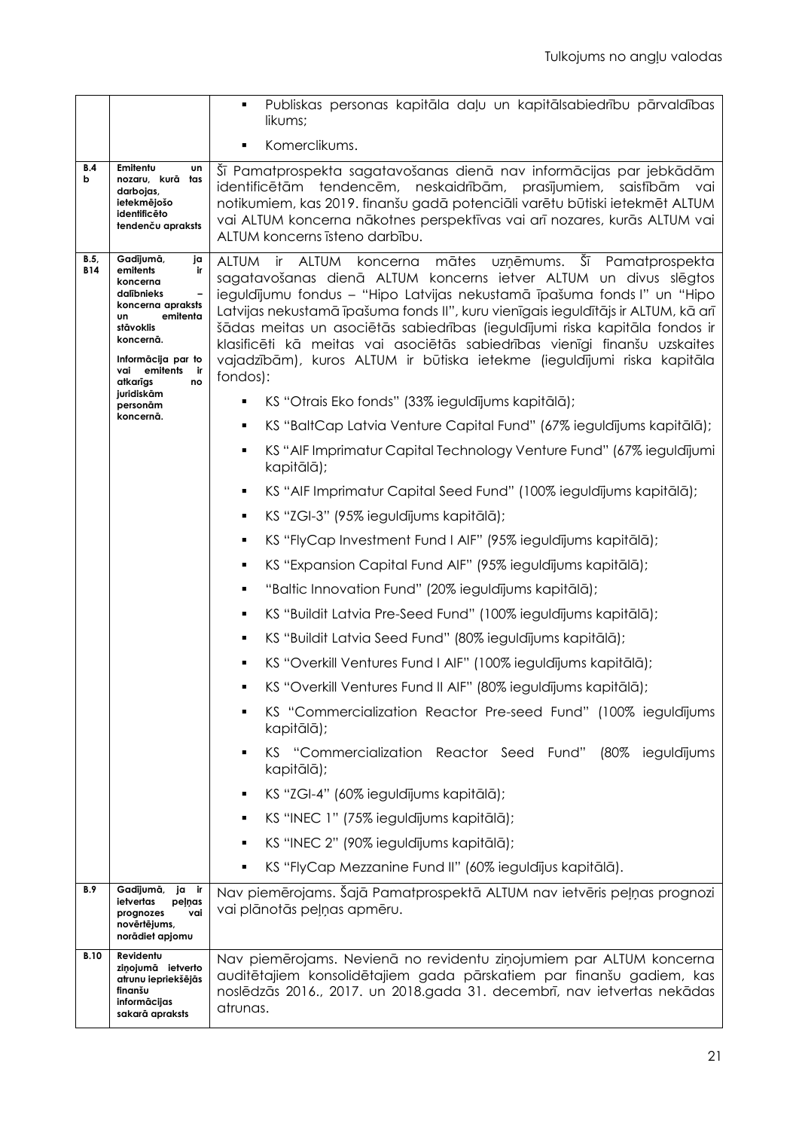|                    |                                                                                                                                                                                                                                               | Publiskas personas kapitāla daļu un kapitālsabiedrību pārvaldības<br>٠<br>likums;                                                                                                                                                                                                                                                                                                                                                                                                                                                                                     |
|--------------------|-----------------------------------------------------------------------------------------------------------------------------------------------------------------------------------------------------------------------------------------------|-----------------------------------------------------------------------------------------------------------------------------------------------------------------------------------------------------------------------------------------------------------------------------------------------------------------------------------------------------------------------------------------------------------------------------------------------------------------------------------------------------------------------------------------------------------------------|
|                    |                                                                                                                                                                                                                                               | Komerclikums.<br>П                                                                                                                                                                                                                                                                                                                                                                                                                                                                                                                                                    |
| B.4<br>b           | Emitentu<br>υn<br>nozaru, kurā tas<br>darbojas,<br>ietekmējošo<br>identificēto<br>tendenču apraksts                                                                                                                                           | Šī Pamatprospekta sagatavošanas dienā nav informācijas par jebkādām<br>identificētām tendencēm, neskaidrībām, prasījumiem,<br>saistībām vai<br>notikumiem, kas 2019. finanšu gadā potenciāli varētu būtiski ietekmēt ALTUM<br>vai ALTUM koncerna nākotnes perspektīvas vai arī nozares, kurās ALTUM vai<br>ALTUM koncerns īsteno darbību.                                                                                                                                                                                                                             |
| B.5,<br><b>B14</b> | Gadījumā,<br>ja<br>emitents<br>ir<br>koncerna<br>dalībnieks<br>$\overline{\phantom{0}}$<br>koncerna apraksts<br>emitenta<br><b>un</b><br>stāvoklis<br>koncernā.<br>Informācija par to<br>vai emitents<br>ir i<br>atkarīgs<br>no<br>juridiskām | <b>ALTUM</b><br>mātes<br>uzņēmums. Šī Pamatprospekta<br>ALTUM koncerna<br>ir —<br>sagatavošanas dienā ALTUM koncerns ietver ALTUM un divus slēgtos<br>ieguldījumu fondus - "Hipo Latvijas nekustamā īpašuma fonds l" un "Hipo<br>Latvijas nekustamā īpašuma fonds II", kuru vienīgais ieguldītājs ir ALTUM, kā arī<br>šādas meitas un asociētās sabiedrības (ieguldījumi riska kapitāla fondos ir<br>klasificēti kā meitas vai asociētās sabiedrības vienīgi finanšu uzskaites<br>vajadzībām), kuros ALTUM ir būtiska ietekme (ieguldījumi riska kapitāla<br>fondos): |
|                    | personām<br>koncernā.                                                                                                                                                                                                                         | KS "Otrais Eko fonds" (33% ieguldījums kapitālā);                                                                                                                                                                                                                                                                                                                                                                                                                                                                                                                     |
|                    |                                                                                                                                                                                                                                               | KS "BaltCap Latvia Venture Capital Fund" (67% ieguldījums kapitālā);<br>٠                                                                                                                                                                                                                                                                                                                                                                                                                                                                                             |
|                    |                                                                                                                                                                                                                                               | KS "AIF Imprimatur Capital Technology Venture Fund" (67% ieguldījumi<br>٠<br>kapitālā);                                                                                                                                                                                                                                                                                                                                                                                                                                                                               |
|                    |                                                                                                                                                                                                                                               | KS "AIF Imprimatur Capital Seed Fund" (100% ieguldījums kapitālā);<br>٠                                                                                                                                                                                                                                                                                                                                                                                                                                                                                               |
|                    |                                                                                                                                                                                                                                               | KS "ZGI-3" (95% ieguldījums kapitālā);<br>٠                                                                                                                                                                                                                                                                                                                                                                                                                                                                                                                           |
|                    |                                                                                                                                                                                                                                               | KS "FlyCap Investment Fund I AIF" (95% ieguldījums kapitālā);<br>٠                                                                                                                                                                                                                                                                                                                                                                                                                                                                                                    |
|                    |                                                                                                                                                                                                                                               | KS "Expansion Capital Fund AIF" (95% ieguldījums kapitālā);<br>٠                                                                                                                                                                                                                                                                                                                                                                                                                                                                                                      |
|                    |                                                                                                                                                                                                                                               | "Baltic Innovation Fund" (20% ieguldījums kapitālā);<br>٠                                                                                                                                                                                                                                                                                                                                                                                                                                                                                                             |
|                    |                                                                                                                                                                                                                                               | KS "Buildit Latvia Pre-Seed Fund" (100% ieguldījums kapitālā);<br>٠                                                                                                                                                                                                                                                                                                                                                                                                                                                                                                   |
|                    |                                                                                                                                                                                                                                               | KS "Buildit Latvia Seed Fund" (80% ieguldījums kapitālā);<br>٠                                                                                                                                                                                                                                                                                                                                                                                                                                                                                                        |
|                    |                                                                                                                                                                                                                                               | KS "Overkill Ventures Fund I AIF" (100% ieguldījums kapitālā);                                                                                                                                                                                                                                                                                                                                                                                                                                                                                                        |
|                    |                                                                                                                                                                                                                                               | KS "Overkill Ventures Fund II AIF" (80% ieguldījums kapitālā);                                                                                                                                                                                                                                                                                                                                                                                                                                                                                                        |
|                    |                                                                                                                                                                                                                                               | KS "Commercialization Reactor Pre-seed Fund" (100% ieguldījums<br>kapitālā);                                                                                                                                                                                                                                                                                                                                                                                                                                                                                          |
|                    |                                                                                                                                                                                                                                               | KS "Commercialization Reactor Seed Fund" (80% ieguldījums<br>٠<br>kapitālā);                                                                                                                                                                                                                                                                                                                                                                                                                                                                                          |
|                    |                                                                                                                                                                                                                                               | KS "ZGI-4" (60% ieguldījums kapitālā);<br>٠                                                                                                                                                                                                                                                                                                                                                                                                                                                                                                                           |
|                    |                                                                                                                                                                                                                                               | KS "INEC 1" (75% ieguldījums kapitālā);<br>٠                                                                                                                                                                                                                                                                                                                                                                                                                                                                                                                          |
|                    |                                                                                                                                                                                                                                               | KS "INEC 2" (90% ieguldījums kapitālā);<br>٠                                                                                                                                                                                                                                                                                                                                                                                                                                                                                                                          |
|                    |                                                                                                                                                                                                                                               | KS "FlyCap Mezzanine Fund II" (60% ieguldījus kapitālā).                                                                                                                                                                                                                                                                                                                                                                                                                                                                                                              |
| B.9                | Gadījumā, ja ir<br>ietvertas<br>peļņas<br>vai<br>prognozes<br>novērtējums,<br>norādiet apjomu                                                                                                                                                 | Nav piemērojams. Šajā Pamatprospektā ALTUM nav ietvēris peļņas prognozi<br>vai plānotās peļņas apmēru.                                                                                                                                                                                                                                                                                                                                                                                                                                                                |
| <b>B.10</b>        | Revidentu<br>ziņojumā ietverto<br>atrunu iepriekšējās<br>finanšu<br>informācijas<br>sakarā apraksts                                                                                                                                           | Nav piemērojams. Nevienā no revidentu ziņojumiem par ALTUM koncerna<br>auditētajiem konsolidētajiem gada pārskatiem par finanšu gadiem, kas<br>noslēdzās 2016., 2017. un 2018.gada 31. decembrī, nav ietvertas nekādas<br>atrunas.                                                                                                                                                                                                                                                                                                                                    |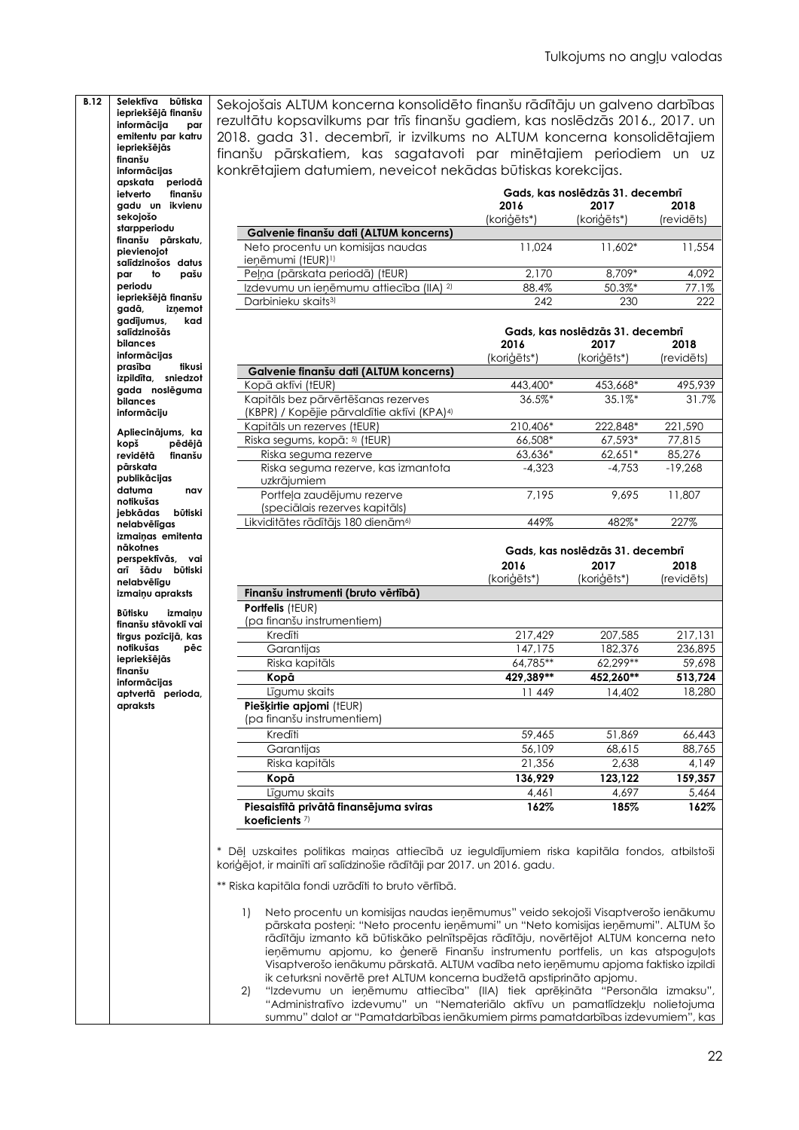| <b>B.12</b>              | Selektīva būtiska                |                  | Sekojošais ALTUM koncerna konsolidēto finanšu rādītāju un galveno darbības                                                                                                                                                                                                                                                                                                                                                                                                                                   |                          |                                  |            |
|--------------------------|----------------------------------|------------------|--------------------------------------------------------------------------------------------------------------------------------------------------------------------------------------------------------------------------------------------------------------------------------------------------------------------------------------------------------------------------------------------------------------------------------------------------------------------------------------------------------------|--------------------------|----------------------------------|------------|
| informācija              | iepriekšējā finanšu<br>par       |                  | rezultātu kopsavilkums par trīs finanšu gadiem, kas noslēdzās 2016., 2017. un                                                                                                                                                                                                                                                                                                                                                                                                                                |                          |                                  |            |
|                          | emitentu par katru               |                  | 2018. gada 31. decembrī, ir izvilkums no ALTUM koncerna konsolidētajiem                                                                                                                                                                                                                                                                                                                                                                                                                                      |                          |                                  |            |
| iepriekšējās             |                                  |                  |                                                                                                                                                                                                                                                                                                                                                                                                                                                                                                              |                          |                                  |            |
| finanšu                  |                                  |                  | finanšu pārskatiem, kas sagatavoti par minētajiem periodiem un uz                                                                                                                                                                                                                                                                                                                                                                                                                                            |                          |                                  |            |
| informācijas             |                                  |                  | konkrētajiem datumiem, neveicot nekādas būtiskas korekcijas.                                                                                                                                                                                                                                                                                                                                                                                                                                                 |                          |                                  |            |
| apskata<br>ietverto      | periodā<br>finanšu               |                  |                                                                                                                                                                                                                                                                                                                                                                                                                                                                                                              |                          | Gads, kas noslēdzās 31. decembrī |            |
|                          | gadu un ikvienu                  |                  |                                                                                                                                                                                                                                                                                                                                                                                                                                                                                                              | 2016                     | 2017                             | 2018       |
| sekojošo                 |                                  |                  |                                                                                                                                                                                                                                                                                                                                                                                                                                                                                                              | (koriģēts*)              | (koriģēts*)                      | (revidēts) |
| starpperiodu             |                                  |                  | Galvenie finanšu dati (ALTUM koncerns)                                                                                                                                                                                                                                                                                                                                                                                                                                                                       |                          |                                  |            |
|                          | finanšu pārskatu,                |                  | Neto procentu un komisijas naudas                                                                                                                                                                                                                                                                                                                                                                                                                                                                            | 11,024                   | $11,602*$                        | 11,554     |
| pievienojot              |                                  |                  | ieņēmumi (tEUR) <sup>1)</sup>                                                                                                                                                                                                                                                                                                                                                                                                                                                                                |                          |                                  |            |
| par                      | salīdzinošos datus<br>to<br>pašu |                  | Peļņa (pārskata periodā) (tEUR)                                                                                                                                                                                                                                                                                                                                                                                                                                                                              | 2,170                    | 8,709*                           | 4,092      |
| periodu                  |                                  |                  | Izdevumu un ieņēmumu attiecība (IIA) <sup>2)</sup>                                                                                                                                                                                                                                                                                                                                                                                                                                                           | 88.4%                    | 50.3%*                           | 77.1%      |
|                          | iepriekšējā finanšu              |                  | Darbinieku skaits <sup>3)</sup>                                                                                                                                                                                                                                                                                                                                                                                                                                                                              | 242                      | 230                              | 222        |
| gadā,                    | iznemot                          |                  |                                                                                                                                                                                                                                                                                                                                                                                                                                                                                                              |                          |                                  |            |
| gadījumus,               | kad                              |                  |                                                                                                                                                                                                                                                                                                                                                                                                                                                                                                              |                          |                                  |            |
| salīdzinošās             |                                  |                  |                                                                                                                                                                                                                                                                                                                                                                                                                                                                                                              |                          | Gads, kas noslēdzās 31. decembrī |            |
| bilances<br>informācijas |                                  |                  |                                                                                                                                                                                                                                                                                                                                                                                                                                                                                                              | 2016                     | 2017                             | 2018       |
| prasība                  | tikusi                           |                  |                                                                                                                                                                                                                                                                                                                                                                                                                                                                                                              | (koriģēts*)              | (koriģēts*)                      | (revidēts) |
|                          | izpildīta, sniedzot              |                  | Galvenie finanšu dati (ALTUM koncerns)                                                                                                                                                                                                                                                                                                                                                                                                                                                                       |                          |                                  |            |
|                          | gada noslēguma                   |                  | Kopā aktīvi (tEUR)                                                                                                                                                                                                                                                                                                                                                                                                                                                                                           | 443,400*                 | 453,668*                         | 495.939    |
| bilances                 |                                  |                  | Kapitāls bez pārvērtēšanas rezerves                                                                                                                                                                                                                                                                                                                                                                                                                                                                          | 36.5%*                   | 35.1%*                           | 31.7%      |
| informāciju              |                                  |                  | (KBPR) / Kopējie pārvaldītie aktīvi (KPA) <sup>4)</sup>                                                                                                                                                                                                                                                                                                                                                                                                                                                      |                          |                                  |            |
|                          |                                  |                  | Kapitāls un rezerves (tEUR)                                                                                                                                                                                                                                                                                                                                                                                                                                                                                  | 210,406*                 | 222,848*                         | 221,590    |
| kopš                     | Apliecinājums, ka<br>pēdējā      |                  | Riska segums, kopā: 5) (tEUR)                                                                                                                                                                                                                                                                                                                                                                                                                                                                                | 66,508*                  | 67,593*                          | 77,815     |
| revidētā                 | finanšu                          |                  | Riska seguma rezerve                                                                                                                                                                                                                                                                                                                                                                                                                                                                                         | 63,636*                  | 62,651*                          | 85,276     |
| pārskata                 |                                  |                  | Riska seguma rezerve, kas izmantota                                                                                                                                                                                                                                                                                                                                                                                                                                                                          | $-4,323$                 | $-4,753$                         | $-19,268$  |
| publikācijas             |                                  |                  | uzkrājumiem                                                                                                                                                                                                                                                                                                                                                                                                                                                                                                  |                          |                                  |            |
| datuma                   | nav                              |                  | Portfeļa zaudējumu rezerve                                                                                                                                                                                                                                                                                                                                                                                                                                                                                   | 7,195                    | 9,695                            | 11,807     |
| notikušas                |                                  |                  | (speciālais rezerves kapitāls)                                                                                                                                                                                                                                                                                                                                                                                                                                                                               |                          |                                  |            |
| jebkādas                 | būtiski                          |                  | Likviditātes rādītājs 180 dienām <sup>6)</sup>                                                                                                                                                                                                                                                                                                                                                                                                                                                               | 449%                     | 482%*                            | 227%       |
| nelabvēlīgas             | izmainas emitenta                |                  |                                                                                                                                                                                                                                                                                                                                                                                                                                                                                                              |                          |                                  |            |
| nākotnes                 |                                  |                  |                                                                                                                                                                                                                                                                                                                                                                                                                                                                                                              |                          |                                  |            |
|                          | perspektīvās, vai                |                  |                                                                                                                                                                                                                                                                                                                                                                                                                                                                                                              |                          | Gads, kas noslēdzās 31. decembrī |            |
|                          | arī šādu būtiski                 |                  |                                                                                                                                                                                                                                                                                                                                                                                                                                                                                                              | 2016                     | 2017                             | 2018       |
| nelabvēlīgu              |                                  |                  |                                                                                                                                                                                                                                                                                                                                                                                                                                                                                                              | (koriģēts*)              | (koriģēts*)                      | (revidēts) |
|                          | izmaiņu apraksts                 |                  | Finanšu instrumenti (bruto vērtībā)                                                                                                                                                                                                                                                                                                                                                                                                                                                                          |                          |                                  |            |
| Būtisku                  | izmainu                          |                  | Portfelis (tEUR)                                                                                                                                                                                                                                                                                                                                                                                                                                                                                             |                          |                                  |            |
|                          | finanšu stāvoklī vai             |                  | (pa finanšu instrumentiem)                                                                                                                                                                                                                                                                                                                                                                                                                                                                                   |                          |                                  |            |
|                          | tirgus pozīcijā, kas             |                  | Kredīti                                                                                                                                                                                                                                                                                                                                                                                                                                                                                                      | 217,429                  | 207,585                          | 217,131    |
| notikušas                | pēc                              |                  | Garantijas                                                                                                                                                                                                                                                                                                                                                                                                                                                                                                   | 147,175                  | 182,376                          | 236,895    |
| iepriekšējās             |                                  |                  | Riska kapitāls                                                                                                                                                                                                                                                                                                                                                                                                                                                                                               | 64,785**                 | 62,299**                         | 59,698     |
| finanšu                  |                                  |                  | Kopā                                                                                                                                                                                                                                                                                                                                                                                                                                                                                                         | 429,389**                | 452,260**                        | 513,724    |
| informācijas             |                                  |                  | Līgumu skaits                                                                                                                                                                                                                                                                                                                                                                                                                                                                                                | 11 449                   |                                  | 18,280     |
|                          | aprverra perioda,                |                  |                                                                                                                                                                                                                                                                                                                                                                                                                                                                                                              |                          | 14,402                           |            |
| apraksts                 |                                  |                  | Piešķirtie apjomi (tEUR)                                                                                                                                                                                                                                                                                                                                                                                                                                                                                     |                          |                                  |            |
|                          |                                  |                  | (pa finanšu instrumentiem)                                                                                                                                                                                                                                                                                                                                                                                                                                                                                   |                          |                                  |            |
|                          |                                  |                  | Kredīti                                                                                                                                                                                                                                                                                                                                                                                                                                                                                                      | 59,465                   | 51,869                           | 66,443     |
|                          |                                  |                  | Garantijas                                                                                                                                                                                                                                                                                                                                                                                                                                                                                                   | 56,109                   | 68,615                           | 88,765     |
|                          |                                  |                  | Riska kapitāls                                                                                                                                                                                                                                                                                                                                                                                                                                                                                               | 21,356                   | 2,638                            | 4,149      |
|                          |                                  |                  |                                                                                                                                                                                                                                                                                                                                                                                                                                                                                                              |                          |                                  | 159,357    |
|                          |                                  |                  |                                                                                                                                                                                                                                                                                                                                                                                                                                                                                                              |                          |                                  | 5,464      |
|                          |                                  |                  |                                                                                                                                                                                                                                                                                                                                                                                                                                                                                                              |                          |                                  | 162%       |
|                          |                                  |                  |                                                                                                                                                                                                                                                                                                                                                                                                                                                                                                              |                          |                                  |            |
|                          |                                  |                  | Kopā<br>Līgumu skaits<br>Piesaistītā privātā finansējuma sviras<br>koeficients <sup>7</sup><br>* Dēļ uzskaites politikas maiņas attiecībā uz ieguldījumiem riska kapitāla fondos, atbilstoši<br>koriģējot, ir mainīti arī salīdzinošie rādītāji par 2017. un 2016. gadu.                                                                                                                                                                                                                                     | 136,929<br>4,461<br>162% | 123,122<br>4,697<br>185%         |            |
|                          |                                  |                  | ** Riska kapitāla fondi uzrādīti to bruto vērtībā.                                                                                                                                                                                                                                                                                                                                                                                                                                                           |                          |                                  |            |
|                          |                                  | $\left  \right $ | Neto procentu un komisijas naudas ieņēmumus" veido sekojoši Visaptverošo ienākumu<br>pārskata posteņi: "Neto procentu ieņēmumi" un "Neto komisijas ieņēmumi". ALTUM šo<br>rādītāju izmanto kā būtiskāko pelnītspējas rādītāju, novērtējot ALTUM koncerna neto<br>ieņēmumu apjomu, ko ģenerē Finanšu instrumentu portfelis, un kas atspoguļots<br>Visaptverošo ienākumu pārskatā. ALTUM vadība neto ieņēmumu apjoma faktisko izpildi<br>ik ceturksni novērtē pret ALTUM koncerna budžetā apstiprināto apjomu. |                          |                                  |            |
|                          |                                  | 2)               | "Izdevumu un ieņēmumu attiecība" (IIA) tiek aprēķināta "Personāla izmaksu",                                                                                                                                                                                                                                                                                                                                                                                                                                  |                          |                                  |            |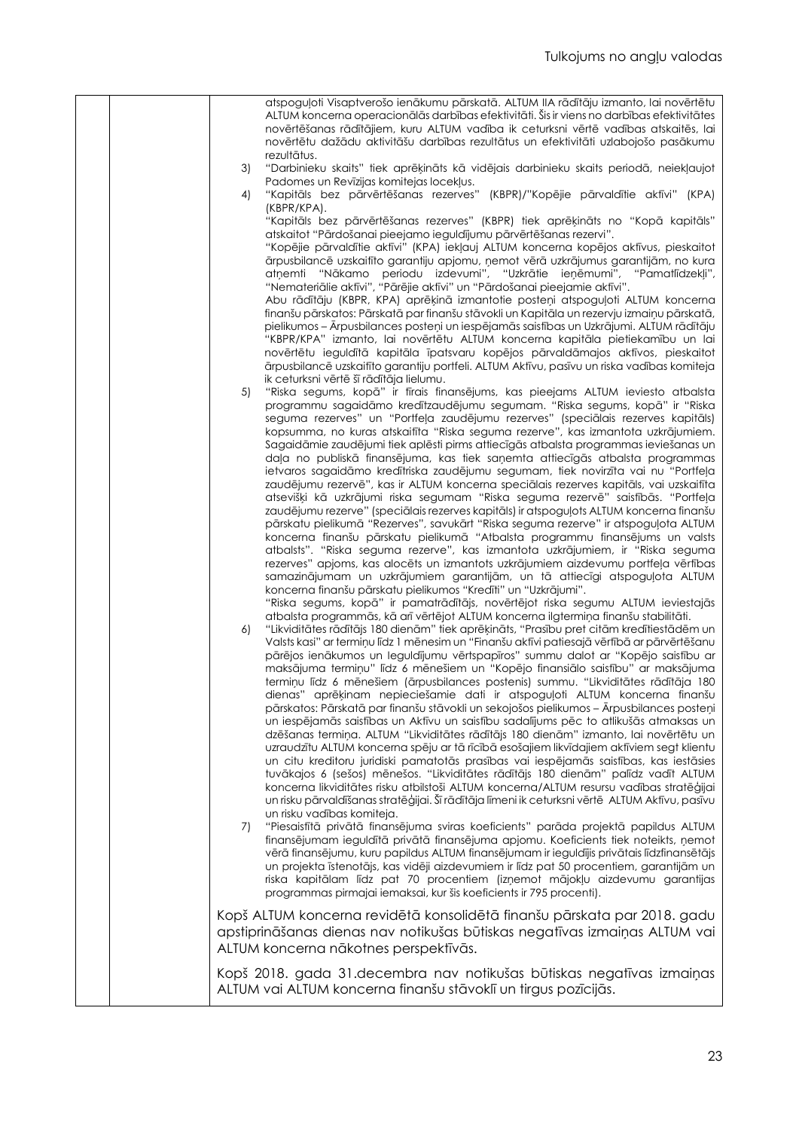|  |    | atspoguļoti Visaptverošo ienākumu pārskatā. ALTUM IIA rādītāju izmanto, lai novērtētu                                                                                                    |
|--|----|------------------------------------------------------------------------------------------------------------------------------------------------------------------------------------------|
|  |    | ALTUM koncerna operacionālās darbības efektivitāti. Šis ir viens no darbības efektivitātes                                                                                               |
|  |    | novērtēšanas rādītājiem, kuru ALTUM vadība ik ceturksni vērtē vadības atskaitēs, lai                                                                                                     |
|  |    | novērtētu dažādu aktivitāšu darbības rezultātus un efektivitāti uzlabojošo pasākumu                                                                                                      |
|  |    | rezultātus.                                                                                                                                                                              |
|  | 3) | "Darbinieku skaits" tiek aprēķināts kā vidējais darbinieku skaits periodā, neiekļaujot<br>Padomes un Revīzijas komitejas locekļus.                                                       |
|  | 4) | "Kapitāls bez pārvērtēšanas rezerves" (KBPR)/"Kopējie pārvaldītie aktīvi" (KPA)                                                                                                          |
|  |    | (KBPR/KPA).                                                                                                                                                                              |
|  |    | "Kapitāls bez pārvērtēšanas rezerves" (KBPR) tiek aprēķināts no "Kopā kapitāls"                                                                                                          |
|  |    | atskaitot "Pārdošanai pieejamo ieguldījumu pārvērtēšanas rezervi".                                                                                                                       |
|  |    | "Kopējie pārvaldītie aktīvi" (KPA) iekļauj ALTUM koncerna kopējos aktīvus, pieskaitot                                                                                                    |
|  |    | ārpusbilancē uzskaitīto garantiju apjomu, ņemot vērā uzkrājumus garantijām, no kura                                                                                                      |
|  |    | atņemti "Nākamo periodu izdevumi", "Uzkrātie ieņēmumi", "Pamatlīdzekļi",                                                                                                                 |
|  |    | "Nemateriālie aktīvi", "Pārējie aktīvi" un "Pārdošanai pieejamie aktīvi".<br>Abu rādītāju (KBPR, KPA) aprēķinā izmantotie posteņi atspoguļoti ALTUM koncerna                             |
|  |    | finanšu pārskatos: Pārskatā par finanšu stāvokli un Kapitāla un rezervju izmaiņu pārskatā,                                                                                               |
|  |    | pielikumos – Ārpusbilances posteņi un iespējamās saistības un Uzkrājumi. ALTUM rādītāju                                                                                                  |
|  |    | "KBPR/KPA" izmanto, lai novērtētu ALTUM koncerna kapitāla pietiekamību un lai                                                                                                            |
|  |    | novērtētu ieguldītā kapitāla īpatsvaru kopējos pārvaldāmajos aktīvos, pieskaitot                                                                                                         |
|  |    | ārpusbilancē uzskaitīto garantiju portfeli. ALTUM Aktīvu, pasīvu un riska vadības komiteja                                                                                               |
|  |    | ik ceturksni vērtē šī rādītāja lielumu.                                                                                                                                                  |
|  | 5) | "Riska segums, kopā" ir firais finansējums, kas pieejams ALTUM ieviesto atbalsta                                                                                                         |
|  |    | programmu sagaidāmo kredītzaudējumu segumam. "Riska segums, kopā" ir "Riska<br>seguma rezerves" un "Portfeļa zaudējumu rezerves" (speciālais rezerves kapitāls)                          |
|  |    | kopsumma, no kuras atskaifīta "Riska seguma rezerve", kas izmantota uzkrājumiem.                                                                                                         |
|  |    | Sagaidāmie zaudējumi tiek aplēsti pirms attiecīgās atbalsta programmas ieviešanas un                                                                                                     |
|  |    | daļa no publiskā finansējuma, kas tiek saņemta attiecīgās atbalsta programmas                                                                                                            |
|  |    | ietvaros sagaidāmo kredītriska zaudējumu segumam, tiek novirzīta vai nu "Portfeļa                                                                                                        |
|  |    | zaudējumu rezervē", kas ir ALTUM koncerna speciālais rezerves kapitāls, vai uzskaitīta                                                                                                   |
|  |    | atsevišķi kā uzkrājumi riska segumam "Riska seguma rezervē" saistībās. "Portfeļa                                                                                                         |
|  |    | zaudējumu rezerve" (speciālais rezerves kapitāls) ir atspoguļots ALTUM koncerna finanšu                                                                                                  |
|  |    | pārskatu pielikumā "Rezerves", savukārt "Riska seguma rezerve" ir atspoguļota ALTUM<br>koncerna finanšu pārskatu pielikumā "Atbalsta programmu finansējums un valsts                     |
|  |    | atbalsts". "Riska seguma rezerve", kas izmantota uzkrājumiem, ir "Riska seguma                                                                                                           |
|  |    | rezerves" apjoms, kas alocēts un izmantots uzkrājumiem aizdevumu portfeļa vērtības                                                                                                       |
|  |    | samazinājumam un uzkrājumiem garantijām, un tā attiecīgi atspoguļota ALTUM                                                                                                               |
|  |    | koncerna finanšu pārskatu pielikumos "Kredīti" un "Uzkrājumi".                                                                                                                           |
|  |    | "Riska segums, kopā" ir pamatrādītājs, novērtējot riska segumu ALTUM ieviestajās                                                                                                         |
|  |    | atbalsta programmās, kā arī vērtējot ALTUM koncerna ilgtermiņa finanšu stabilitāti.                                                                                                      |
|  | 6) | "Likviditātes rādītājs 180 dienām" tiek aprēķināts, "Prasību pret citām kredītiestādēm un<br>Valsts kasi" ar terminu līdz 1 mēnesim un "Finanšu aktīvi patiesajā vērtībā ar pārvērtēšanu |
|  |    | pārējos ienākumos un leguldījumu vērtspapīros" summu dalot ar "Kopējo saistību ar                                                                                                        |
|  |    | maksājuma termiņu" līdz 6 mēnešiem un "Kopējo finansiālo saistību" ar maksājuma                                                                                                          |
|  |    | termiņu līdz 6 mēnešiem (ārpusbilances postenis) summu. "Likviditātes rādītāja 180                                                                                                       |
|  |    | dienas" aprēķinam nepieciešamie dati ir atspoguļoti ALTUM koncerna finanšu                                                                                                               |
|  |    | pārskatos: Pārskatā par finanšu stāvokli un sekojošos pielikumos – Ārpusbilances posteņi                                                                                                 |
|  |    | un iespējamās saistības un Aktīvu un saistību sadalījums pēc to atlikušās atmaksas un                                                                                                    |
|  |    | dzēšanas termiņa. ALTUM "Likviditātes rādītājs 180 dienām" izmanto, lai novērtētu un                                                                                                     |
|  |    | uzraudzītu ALTUM koncerna spēju ar tā rīcībā esošajiem likvīdajiem aktīviem segt klientu<br>un citu kreditoru juridiski pamatotās prasības vai iespējamās saistības, kas iestāsies       |
|  |    | tuvākajos 6 (sešos) mēnešos. "Likviditātes rādītājs 180 dienām" palīdz vadīt ALTUM                                                                                                       |
|  |    | koncerna likviditātes risku atbilstoši ALTUM koncerna/ALTUM resursu vadības stratēģijai                                                                                                  |
|  |    | un risku pārvaldīšanas stratēģijai. Šī rādītāja līmeni ik ceturksni vērtē ALTUM Aktīvu, pasīvu                                                                                           |
|  |    | un risku vadības komiteja.                                                                                                                                                               |
|  | 7) | "Piesaisfītā privātā finansējuma sviras koeficients" parāda projektā papildus ALTUM                                                                                                      |
|  |    | finansējumam ieguldītā privātā finansējuma apjomu. Koeficients tiek noteikts, ņemot                                                                                                      |
|  |    | vērā finansējumu, kuru papildus ALTUM finansējumam ir ieguldījis privātais līdzfinansētājs                                                                                               |
|  |    | un projekta īstenotājs, kas vidēji aizdevumiem ir līdz pat 50 procentiem, garantijām un<br>riska kapitālam līdz pat 70 procentiem (izņemot mājokļu aizdevumu garantijas                  |
|  |    | programmas pirmajai iemaksai, kur šis koeficients ir 795 procenti).                                                                                                                      |
|  |    |                                                                                                                                                                                          |
|  |    | Kopš ALTUM koncerna revidētā konsolidētā finanšu pārskata par 2018. gadu                                                                                                                 |
|  |    | apstiprināšanas dienas nav notikušas būtiskas negatīvas izmaiņas ALTUM vai                                                                                                               |
|  |    | ALTUM koncerna nākotnes perspektīvās.                                                                                                                                                    |
|  |    | Kopš 2018. gada 31.decembra nav notikušas būtiskas negatīvas izmaiņas                                                                                                                    |
|  |    | ALTUM vai ALTUM koncerna finanšu stāvoklī un tirgus pozīcijās.                                                                                                                           |
|  |    |                                                                                                                                                                                          |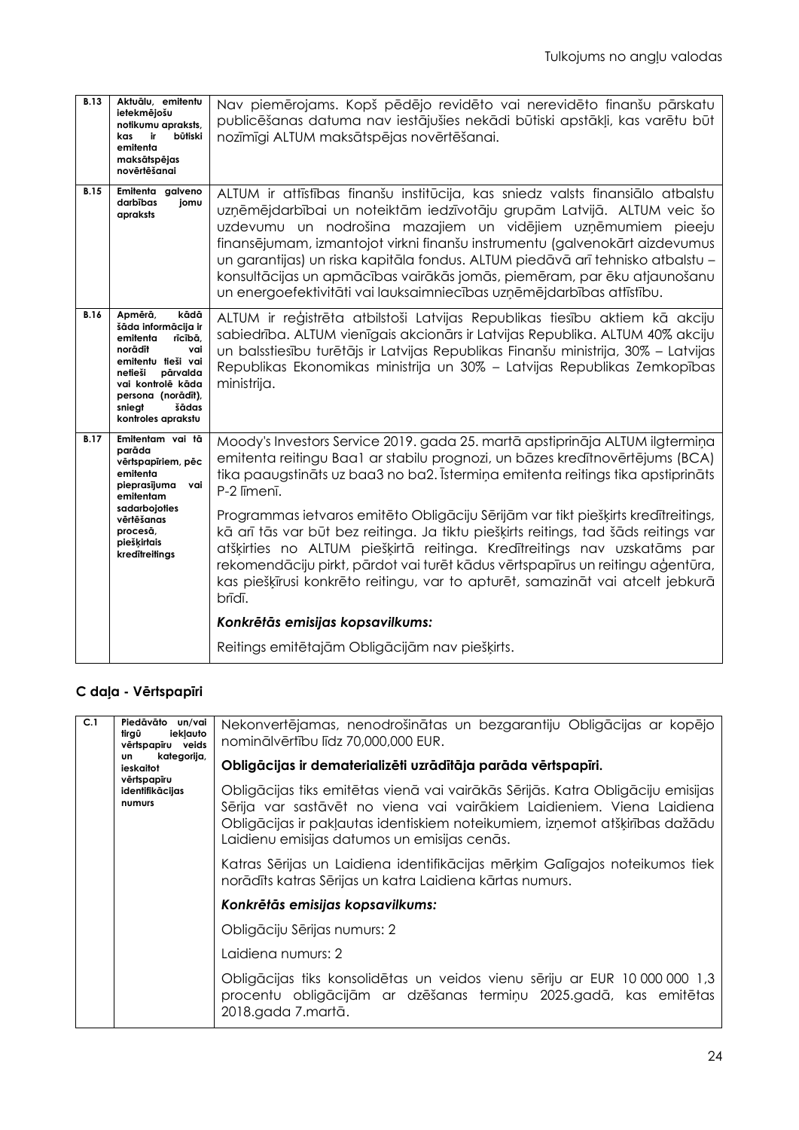| <b>B.13</b> | Aktuālu, emitentu<br>ietekmējošu<br>notikumu apraksts,<br>kas<br>ir<br>būtiski<br>emitenta<br>maksātspējas<br>novērtēšanai                                                                                       | Nav piemērojams. Kopš pēdējo revidēto vai nerevidēto finanšu pārskatu<br>publicēšanas datuma nav iestājušies nekādi būtiski apstākļi, kas varētu būt<br>nozīmīgi ALTUM maksātspējas novērtēšanai.                                                                                                                                                                                                                                                                                                                                              |
|-------------|------------------------------------------------------------------------------------------------------------------------------------------------------------------------------------------------------------------|------------------------------------------------------------------------------------------------------------------------------------------------------------------------------------------------------------------------------------------------------------------------------------------------------------------------------------------------------------------------------------------------------------------------------------------------------------------------------------------------------------------------------------------------|
| <b>B.15</b> | Emitenta<br>galveno<br>darbības<br>jomu<br>apraksts                                                                                                                                                              | ALTUM ir attīstības finanšu institūcija, kas sniedz valsts finansiālo atbalstu<br>uzņēmējdarbībai un noteiktām iedzīvotāju grupām Latvijā. ALTUM veic šo<br>uzdevumu un nodrošina mazajiem un vidējiem uzņēmumiem pieeju<br>finansējumam, izmantojot virkni finanšu instrumentu (galvenokārt aizdevumus<br>un garantijas) un riska kapitāla fondus. ALTUM piedāvā arī tehnisko atbalstu -<br>konsultācijas un apmācības vairākās jomās, piemēram, par ēku atjaunošanu<br>un energoefektivitāti vai lauksaimniecības uzņēmējdarbības attīstību. |
| <b>B.16</b> | kādā<br>Apmērā,<br>šāda informācija ir<br>emitenta<br>rīcībā,<br>norādīt<br>vai<br>emitentu tieši vai<br>netieši<br>pārvalda<br>vai kontrolē kāda<br>persona (norādīt),<br>sniegt<br>šādas<br>kontroles aprakstu | ALTUM ir reģistrēta atbilstoši Latvijas Republikas tiesību aktiem kā akciju<br>sabiedrība. ALTUM vienīgais akcionārs ir Latvijas Republika. ALTUM 40% akciju<br>un balsstiesību turētājs ir Latvijas Republikas Finanšu ministrija, 30% - Latvijas<br>Republikas Ekonomikas ministrija un 30% - Latvijas Republikas Zemkopības<br>ministrija.                                                                                                                                                                                                  |
| <b>B.17</b> | Emitentam vai tā<br>parāda<br>vērtspapīriem, pēc<br>emitenta<br>pieprasījuma<br>vai<br>emitentam<br>sadarbojoties<br>vērtēšanas<br>procesā,<br>piešķirtais<br>kredītreitings                                     | Moody's Investors Service 2019. gada 25. martā apstiprināja ALTUM ilgtermiņa<br>emitenta reitingu Baa1 ar stabilu prognozi, un bāzes kredītnovērtējums (BCA)<br>tika paaugstināts uz baa3 no ba2. Īstermiņa emitenta reitings tika apstiprināts<br>P-2 līmenī.                                                                                                                                                                                                                                                                                 |
|             |                                                                                                                                                                                                                  | Programmas ietvaros emitēto Obligāciju Sērijām var tikt piešķirts kredītreitings,<br>kā arī tās var būt bez reitinga. Ja tiktu piešķirts reitings, tad šāds reitings var<br>atšķirties no ALTUM piešķirtā reitinga. Kredītreitings nav uzskatāms par<br>rekomendāciju pirkt, pārdot vai turēt kādus vērtspapīrus un reitingu aģentūra,<br>kas piešķīrusi konkrēto reitingu, var to apturēt, samazināt vai atcelt jebkurā<br>brīdī.                                                                                                             |
|             |                                                                                                                                                                                                                  | Konkrētās emisijas kopsavilkums:                                                                                                                                                                                                                                                                                                                                                                                                                                                                                                               |
|             |                                                                                                                                                                                                                  | Reitings emitētajām Obligācijām nav piešķirts.                                                                                                                                                                                                                                                                                                                                                                                                                                                                                                 |

# **C daļa - Vērtspapīri**

| C.1 | Piedāvāto un/vai<br>ieklauto<br>tirgū<br>vērtspapīru veids<br>kategorija,<br>un.<br>ieskaitot<br>vērtspapīru<br>identifikācijas<br>numurs | Nekonvertējamas, nenodrošinātas un bezgarantiju Obligācijas ar kopējo<br>nominālvērtību līdz 70,000,000 EUR.                                                                                                                                                                            |
|-----|-------------------------------------------------------------------------------------------------------------------------------------------|-----------------------------------------------------------------------------------------------------------------------------------------------------------------------------------------------------------------------------------------------------------------------------------------|
|     |                                                                                                                                           | Obligācijas ir dematerializēti uzrādītāja parāda vērtspapīri.                                                                                                                                                                                                                           |
|     |                                                                                                                                           | Obligācijas tiks emitētas vienā vai vairākās Sērijās. Katra Obligāciju emisijas<br>Sērija var sastāvēt no viena vai vairākiem Laidieniem. Viena Laidiena<br>Obligācijas ir pakļautas identiskiem noteikumiem, izņemot atšķirības dažādu<br>Laidienu emisijas datumos un emisijas cenās. |
|     |                                                                                                                                           | Katras Sērijas un Laidiena identifikācijas mērķim Galīgajos noteikumos tiek<br>norādīts katras Sērijas un katra Laidiena kārtas numurs.                                                                                                                                                 |
|     |                                                                                                                                           | Konkrētās emisijas kopsavilkums:                                                                                                                                                                                                                                                        |
|     |                                                                                                                                           | Obligāciju Sērijas numurs: 2                                                                                                                                                                                                                                                            |
|     |                                                                                                                                           | Laidiena numurs: 2                                                                                                                                                                                                                                                                      |
|     |                                                                                                                                           | Obligācijas tiks konsolidētas un veidos vienu sēriju ar EUR 10 000 000 1,3<br>procentu obligācijām ar dzēšanas termiņu 2025.gadā, kas emitētas<br>2018.gada 7.martā.                                                                                                                    |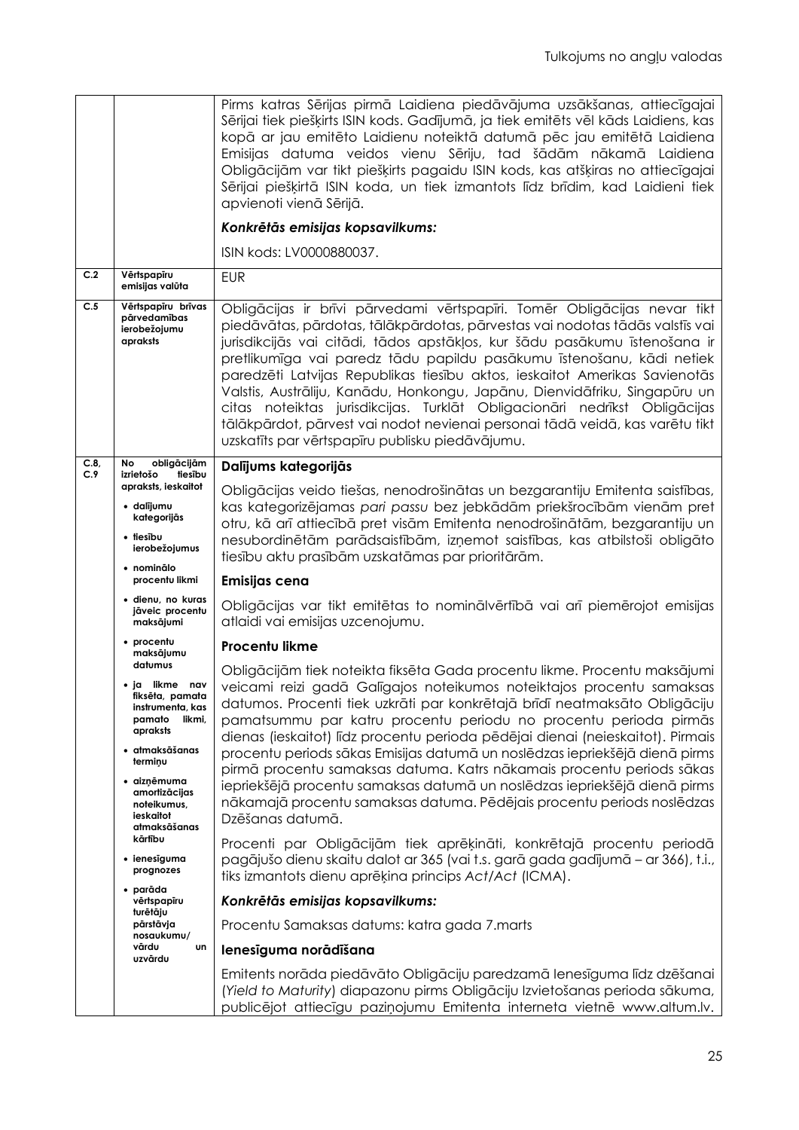|             |                                                                                                       | Pirms katras Sērijas pirmā Laidiena piedāvājuma uzsākšanas, attiecīgajai<br>Sērijai tiek piešķirts ISIN kods. Gadījumā, ja tiek emitēts vēl kāds Laidiens, kas<br>kopā ar jau emitēto Laidienu noteiktā datumā pēc jau emitētā Laidiena<br>Emisijas datuma veidos vienu Sēriju, tad šādām nākamā Laidiena<br>Obligācijām var tikt piešķirts pagaidu ISIN kods, kas atšķiras no attiecīgajai<br>Sērijai piešķirtā ISIN koda, un tiek izmantots līdz brīdim, kad Laidieni tiek<br>apvienoti vienā Sērijā.<br>Konkrētās emisijas kopsavilkums:<br>ISIN kods: LV0000880037.                                                                                                                     |
|-------------|-------------------------------------------------------------------------------------------------------|---------------------------------------------------------------------------------------------------------------------------------------------------------------------------------------------------------------------------------------------------------------------------------------------------------------------------------------------------------------------------------------------------------------------------------------------------------------------------------------------------------------------------------------------------------------------------------------------------------------------------------------------------------------------------------------------|
| C.2         | Vērtspapīru<br>emisijas valūta                                                                        | <b>EUR</b>                                                                                                                                                                                                                                                                                                                                                                                                                                                                                                                                                                                                                                                                                  |
| C.5         | Vērtspapīru brīvas<br>pārvedamības<br>ierobežojumu<br>apraksts                                        | Obligācijas ir brīvi pārvedami vērtspapīri. Tomēr Obligācijas nevar tikt<br>piedāvātas, pārdotas, tālākpārdotas, pārvestas vai nodotas tādās valstīs vai<br>jurisdikcijās vai citādi, tādos apstākļos, kur šādu pasākumu īstenošana ir<br>pretlikumīga vai paredz tādu papildu pasākumu īstenošanu, kādi netiek<br>paredzēti Latvijas Republikas tiesību aktos, ieskaitot Amerikas Savienotās<br>Valstis, Austrāliju, Kanādu, Honkongu, Japānu, Dienvidāfriku, Singapūru un<br>citas noteiktas jurisdikcijas. Turklāt Obligacionāri nedrīkst Obligācijas<br>tālākpārdot, pārvest vai nodot nevienai personai tādā veidā, kas varētu tikt<br>uzskatīts par vērtspapīru publisku piedāvājumu. |
| C.8,<br>C.9 | obligācijām<br>No<br>izrietošo<br>tiesību                                                             | Dalījums kategorijās                                                                                                                                                                                                                                                                                                                                                                                                                                                                                                                                                                                                                                                                        |
|             | apraksts, ieskaitot<br>• dalījumu<br>kategorijās                                                      | Obligācijas veido tiešas, nenodrošinātas un bezgarantiju Emitenta saistības,<br>kas kategorizējamas pari passu bez jebkādām priekšrocībām vienām pret                                                                                                                                                                                                                                                                                                                                                                                                                                                                                                                                       |
|             | • tiesību<br>ierobežojumus                                                                            | otru, kā arī attiecībā pret visām Emitenta nenodrošinātām, bezgarantiju un<br>nesubordinētām parādsaistībām, izņemot saistības, kas atbilstoši obligāto<br>tiesību aktu prasībām uzskatāmas par prioritārām.                                                                                                                                                                                                                                                                                                                                                                                                                                                                                |
|             | • nominālo<br>procentu likmi                                                                          | Emisijas cena                                                                                                                                                                                                                                                                                                                                                                                                                                                                                                                                                                                                                                                                               |
|             | · dienu, no kuras<br>jāveic procentu<br>maksājumi                                                     | Obligācijas var tikt emitētas to nominālvērtībā vai arī piemērojot emisijas<br>atlaidi vai emisijas uzcenojumu.                                                                                                                                                                                                                                                                                                                                                                                                                                                                                                                                                                             |
|             | • procentu<br>maksājumu                                                                               | Procentu likme                                                                                                                                                                                                                                                                                                                                                                                                                                                                                                                                                                                                                                                                              |
|             | datumus<br>• ja likme nav<br>fiksēta, pamata<br>instrumenta, kas<br>pamato<br>likmi,<br>apraksts      | Obligācijām tiek noteikta fiksēta Gada procentu likme. Procentu maksājumi<br>veicami reizi gadā Galīgajos noteikumos noteiktajos procentu samaksas<br>datumos. Procenti tiek uzkrāti par konkrētajā brīdī neatmaksāto Obligāciju<br>pamatsummu par katru procentu periodu no procentu perioda pirmās<br>dienas (ieskaitot) līdz procentu perioda pēdējai dienai (neieskaitot). Pirmais                                                                                                                                                                                                                                                                                                      |
|             | • atmaksāšanas<br>terminu<br>• aizņēmuma<br>amortizācijas<br>noteikumus,<br>ieskaitot<br>atmaksāšanas | procentu periods sākas Emisijas datumā un noslēdzas iepriekšējā dienā pirms<br>pirmā procentu samaksas datuma. Katrs nākamais procentu periods sākas<br>iepriekšējā procentu samaksas datumā un noslēdzas iepriekšējā dienā pirms<br>nākamajā procentu samaksas datuma. Pēdējais procentu periods noslēdzas<br>Dzēšanas datumā.                                                                                                                                                                                                                                                                                                                                                             |
|             | kārtību<br>• ienesīguma<br>prognozes                                                                  | Procenti par Obligācijām tiek aprēķināti, konkrētajā procentu periodā<br>pagājušo dienu skaitu dalot ar 365 (vai t.s. garā gada gadījumā - ar 366), t.i.,<br>tiks izmantots dienu aprēķina princips Act/Act (ICMA).                                                                                                                                                                                                                                                                                                                                                                                                                                                                         |
|             | • parāda<br>vērtspapīru                                                                               | Konkrētās emisijas kopsavilkums:                                                                                                                                                                                                                                                                                                                                                                                                                                                                                                                                                                                                                                                            |
|             | turētāju<br>pārstāvja<br>nosaukumu/                                                                   | Procentu Samaksas datums: katra gada 7. marts                                                                                                                                                                                                                                                                                                                                                                                                                                                                                                                                                                                                                                               |
|             | vārdu<br>un<br>uzvārdu                                                                                | lenesīguma norādīšana                                                                                                                                                                                                                                                                                                                                                                                                                                                                                                                                                                                                                                                                       |
|             |                                                                                                       | Emitents norāda piedāvāto Obligāciju paredzamā lenesīguma līdz dzēšanai<br>(Yield to Maturity) diapazonu pirms Obligāciju Izvietošanas perioda sākuma,<br>publicējot attiecīgu paziņojumu Emitenta interneta vietnē www.altum.lv.                                                                                                                                                                                                                                                                                                                                                                                                                                                           |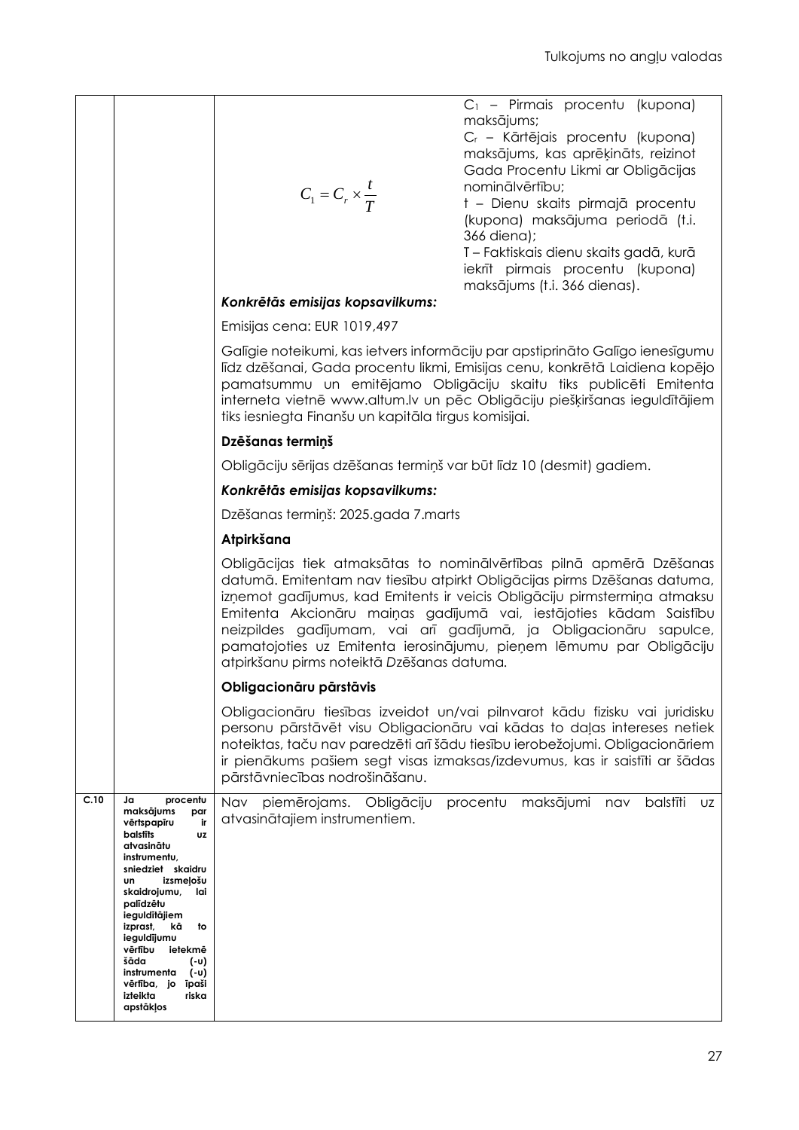|      |                                                                                                                                                                                                                                                                                                                                                                    | $C_1 = C_r \times \frac{I}{T}$                                       | C <sub>1</sub> – Pirmais procentu (kupona)<br>maksājums;<br>C <sub>r</sub> - Kārtējais procentu (kupona)<br>maksājums, kas aprēķināts, reizinot<br>Gada Procentu Likmi ar Obligācijas<br>nominālvērtību;<br>t - Dienu skaits pirmajā procentu<br>(kupona) maksājuma periodā (t.i.<br>366 diena);<br>T - Faktiskais dienu skaits gadā, kurā<br>iekrīt pirmais procentu (kupona)<br>maksājums (t.i. 366 dienas).                                  |
|------|--------------------------------------------------------------------------------------------------------------------------------------------------------------------------------------------------------------------------------------------------------------------------------------------------------------------------------------------------------------------|----------------------------------------------------------------------|-------------------------------------------------------------------------------------------------------------------------------------------------------------------------------------------------------------------------------------------------------------------------------------------------------------------------------------------------------------------------------------------------------------------------------------------------|
|      |                                                                                                                                                                                                                                                                                                                                                                    | Konkrētās emisijas kopsavilkums:                                     |                                                                                                                                                                                                                                                                                                                                                                                                                                                 |
|      |                                                                                                                                                                                                                                                                                                                                                                    | Emisijas cena: EUR 1019,497                                          |                                                                                                                                                                                                                                                                                                                                                                                                                                                 |
|      |                                                                                                                                                                                                                                                                                                                                                                    | tiks iesniegta Finanšu un kapitāla tirgus komisijai.                 | Galīgie noteikumi, kas ietvers informāciju par apstiprināto Galīgo ienesīgumu<br>līdz dzēšanai, Gada procentu likmi, Emisijas cenu, konkrētā Laidiena kopējo<br>pamatsummu un emitējamo Obligāciju skaitu tiks publicēti Emitenta<br>interneta vietnē www.altum.lv un pēc Obligāciju piešķiršanas ieguldītājiem                                                                                                                                 |
|      |                                                                                                                                                                                                                                                                                                                                                                    | Dzēšanas termiņš                                                     |                                                                                                                                                                                                                                                                                                                                                                                                                                                 |
|      |                                                                                                                                                                                                                                                                                                                                                                    | Obligāciju sērijas dzēšanas termiņš var būt līdz 10 (desmit) gadiem. |                                                                                                                                                                                                                                                                                                                                                                                                                                                 |
|      |                                                                                                                                                                                                                                                                                                                                                                    | Konkrētās emisijas kopsavilkums:                                     |                                                                                                                                                                                                                                                                                                                                                                                                                                                 |
|      |                                                                                                                                                                                                                                                                                                                                                                    | Dzēšanas termiņš: 2025.gada 7. marts                                 |                                                                                                                                                                                                                                                                                                                                                                                                                                                 |
|      |                                                                                                                                                                                                                                                                                                                                                                    | Atpirkšana                                                           |                                                                                                                                                                                                                                                                                                                                                                                                                                                 |
|      |                                                                                                                                                                                                                                                                                                                                                                    | atpirkšanu pirms noteiktā Dzēšanas datuma.                           | Obligācijas tiek atmaksātas to nominālvērtības pilnā apmērā Dzēšanas<br>datumā. Emitentam nav tiesību atpirkt Obligācijas pirms Dzēšanas datuma,<br>izņemot gadījumus, kad Emitents ir veicis Obligāciju pirmstermiņa atmaksu<br>Emitenta Akcionāru maiņas gadījumā vai, iestājoties kādam Saistību<br>neizpildes gadījumam, vai arī gadījumā, ja Obligacionāru sapulce,<br>pamatojoties uz Emitenta ierosinājumu, pieņem lēmumu par Obligāciju |
|      |                                                                                                                                                                                                                                                                                                                                                                    | Obligacionāru pārstāvis                                              |                                                                                                                                                                                                                                                                                                                                                                                                                                                 |
|      |                                                                                                                                                                                                                                                                                                                                                                    | pārstāvniecības nodrošināšanu.                                       | Obligacionāru tiesības izveidot un/vai pilnvarot kādu fizisku vai juridisku<br>personu pārstāvēt visu Obligacionāru vai kādas to daļas intereses netiek<br>noteiktas, taču nav paredzēti arī šādu tiesību ierobežojumi. Obligacionāriem<br>ir pienākums pašiem segt visas izmaksas/izdevumus, kas ir saistīti ar šādas                                                                                                                          |
| C.10 | procentu<br>Ja<br>maksājums<br>par<br>vērtspapīru<br>ir<br>balstīts<br>UZ<br>atvasinātu<br>instrumentu,<br>sniedziet skaidru<br>izsmeļošu<br>un<br>skaidrojumu,<br>lai<br>palīdzētu<br>ieguldītājiem<br>izprast,<br>to<br>kā<br>ieguldījumu<br>vērtību<br>ietekmē<br>šāda<br>(-υ)<br>instrumenta<br>(−υ)<br>vērtība, jo<br>īpaši<br>izteikta<br>riska<br>apstākļos | piemērojams. Obligāciju<br>Nav<br>atvasinātajiem instrumentiem.      | procentu<br>maksājumi<br>balstīti<br>nav<br>UZ                                                                                                                                                                                                                                                                                                                                                                                                  |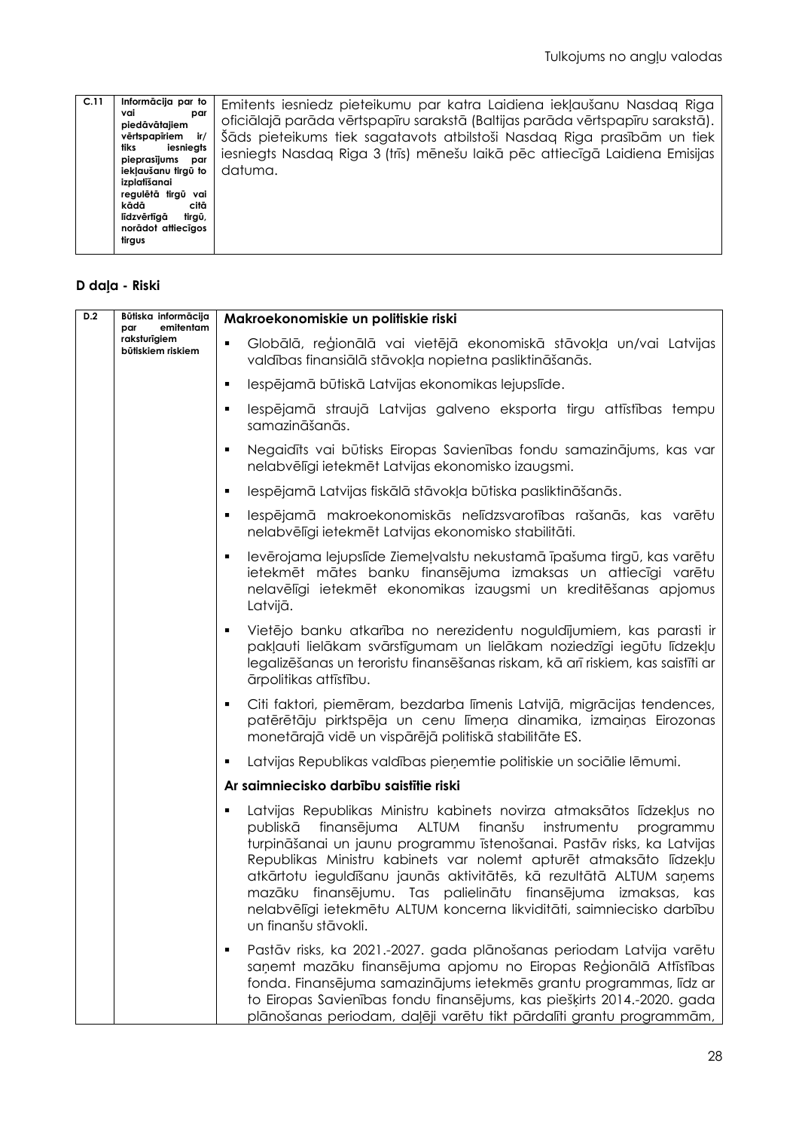| C.11 | Informācija par to<br>vai<br>par      | Emitents iesniedz pieteikumu par katra Laidiena iekļaušanu Nasdag Riga         |
|------|---------------------------------------|--------------------------------------------------------------------------------|
|      | piedāvātajiem                         | oficiālajā parāda vērtspapīru sarakstā (Baltijas parāda vērtspapīru sarakstā). |
|      | vērtspapīriem<br>ir/                  | Šāds pieteikums tiek sagatavots atbilstoši Nasdag Riga prasībām un tiek        |
|      | iesniegts<br>tiks<br>pieprasījums par | iesniegts Nasdag Riga 3 (trīs) mēnešu laikā pēc attiecīgā Laidiena Emisijas    |
|      | iekļaušanu tirgū to                   | datuma.                                                                        |
|      | izplatīšanai                          |                                                                                |
|      | regulētā tirgū vai<br>kādā<br>citā    |                                                                                |
|      | līdzvērtīgā<br>tirgū,                 |                                                                                |
|      | norādot attiecīgos                    |                                                                                |
|      | tirgus                                |                                                                                |

# **D daļa - Riski**

| D.2 | Būtiska informācija<br>emitentam<br>par | Makroekonomiskie un politiskie riski                                                                                                                                                                                                                                                                                                                                                                                                                                                                                                            |
|-----|-----------------------------------------|-------------------------------------------------------------------------------------------------------------------------------------------------------------------------------------------------------------------------------------------------------------------------------------------------------------------------------------------------------------------------------------------------------------------------------------------------------------------------------------------------------------------------------------------------|
|     | raksturīgiem<br>būtiskiem riskiem       | Globālā, reģionālā vai vietējā ekonomiskā stāvokļa un/vai Latvijas<br>valdības finansiālā stāvokļa nopietna pasliktināšanās.                                                                                                                                                                                                                                                                                                                                                                                                                    |
|     |                                         | Iespējamā būtiskā Latvijas ekonomikas lejupslīde.<br>٠                                                                                                                                                                                                                                                                                                                                                                                                                                                                                          |
|     |                                         | lespējamā straujā Latvijas galveno eksporta tirgu attīstības tempu<br>٠<br>samazināšanās.                                                                                                                                                                                                                                                                                                                                                                                                                                                       |
|     |                                         | Negaidīts vai būtisks Eiropas Savienības fondu samazinājums, kas var<br>٠<br>nelabvēlīgi ietekmēt Latvijas ekonomisko izaugsmi.                                                                                                                                                                                                                                                                                                                                                                                                                 |
|     |                                         | Iespējamā Latvijas fiskālā stāvokļa būtiska pasliktināšanās.<br>٠                                                                                                                                                                                                                                                                                                                                                                                                                                                                               |
|     |                                         | lespējamā makroekonomiskās nelīdzsvarotības rašanās, kas varētu<br>٠<br>nelabvēlīgi ietekmēt Latvijas ekonomisko stabilitāti.                                                                                                                                                                                                                                                                                                                                                                                                                   |
|     |                                         | levērojama lejupslīde Ziemeļvalstu nekustamā īpašuma tirgū, kas varētu<br>٠<br>ietekmēt mātes banku finansējuma izmaksas un attiecīgi varētu<br>nelavēlīgi ietekmēt ekonomikas izaugsmi un kreditēšanas apjomus<br>Latvijā.                                                                                                                                                                                                                                                                                                                     |
|     |                                         | Vietējo banku atkarība no nerezidentu noguldījumiem, kas parasti ir<br>$\blacksquare$<br>pakļauti lielākam svārstīgumam un lielākam noziedzīgi iegūtu līdzekļu<br>legalizēšanas un teroristu finansēšanas riskam, kā arī riskiem, kas saistīti ar<br>ārpolitikas attīstību.                                                                                                                                                                                                                                                                     |
|     |                                         | Citi faktori, piemēram, bezdarba līmenis Latvijā, migrācijas tendences,<br>٠<br>patērētāju pirktspēja un cenu līmeņa dinamika, izmaiņas Eirozonas<br>monetārajā vidē un vispārējā politiskā stabilitāte ES.                                                                                                                                                                                                                                                                                                                                     |
|     |                                         | Latvijas Republikas valdības pieņemtie politiskie un sociālie lēmumi.<br>٠                                                                                                                                                                                                                                                                                                                                                                                                                                                                      |
|     |                                         | Ar saimniecisko darbību saistītie riski                                                                                                                                                                                                                                                                                                                                                                                                                                                                                                         |
|     |                                         | Latvijas Republikas Ministru kabinets novirza atmaksātos līdzekļus no<br>٠<br>finanš∪<br>publiskā<br>finansējuma<br>ALTUM<br>instrumentu<br>programmu<br>turpināšanai un jaunu programmu īstenošanai. Pastāv risks, ka Latvijas<br>Republikas Ministru kabinets var nolemt apturēt atmaksāto līdzekļu<br>atkārtotu ieguldīšanu jaunās aktivitātēs, kā rezultātā ALTUM saņems<br>mazāku finansējumu. Tas palielinātu finansējuma izmaksas, kas<br>nelabvēlīgi ietekmētu ALTUM koncerna likviditāti, saimniecisko darbību<br>un finanšu stāvokli. |
|     |                                         | Pastāv risks, ka 2021.-2027. gada plānošanas periodam Latvija varētu<br>$\blacksquare$<br>saņemt mazāku finansējuma apjomu no Eiropas Reģionālā Attīstības<br>fonda. Finansējuma samazinājums ietekmēs grantu programmas, līdz ar<br>to Eiropas Savienības fondu finansējums, kas piešķirts 2014.-2020. gada<br>plānošanas periodam, daļēji varētu tikt pārdalīti grantu programmām,                                                                                                                                                            |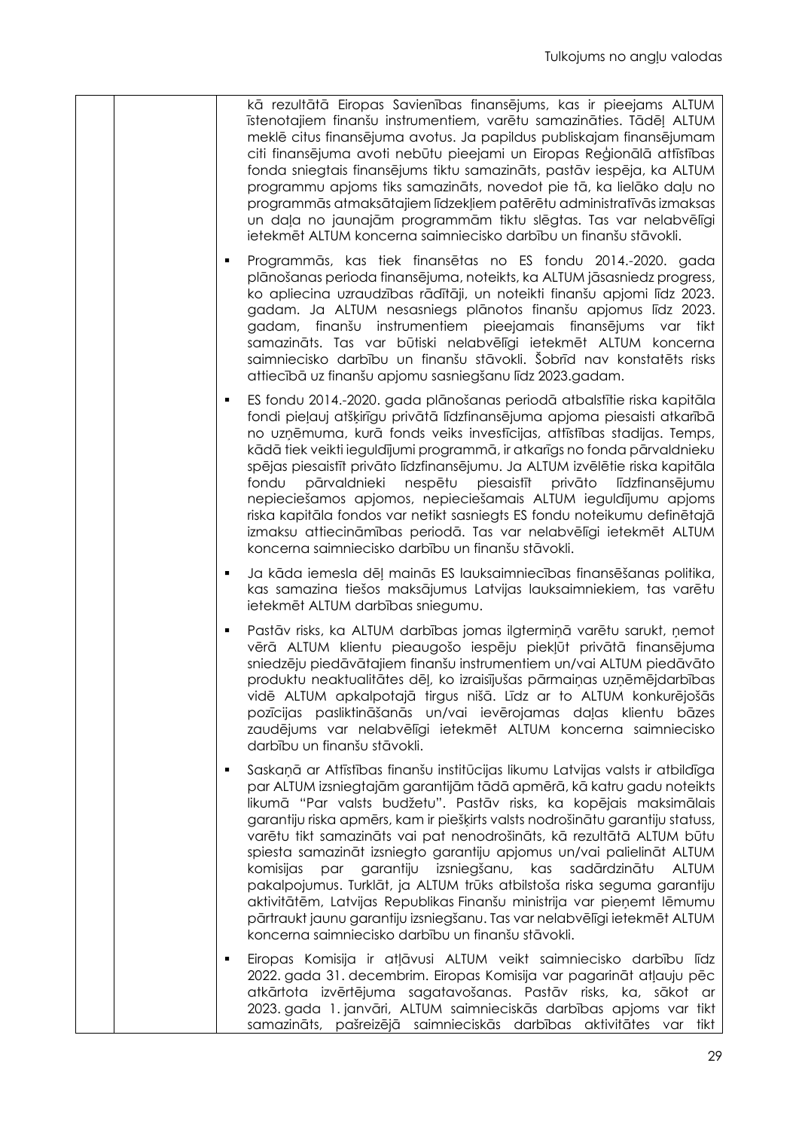| kā rezultātā Eiropas Savienības finansējums, kas ir pieejams ALTUM<br>īstenotajiem finanšu instrumentiem, varētu samazināties. Tādēļ ALTUM<br>meklē citus finansējuma avotus. Ja papildus publiskajam finansējumam<br>citi finansējuma avoti nebūtu pieejami un Eiropas Reģionālā attīstības<br>fonda sniegtais finansējums tiktu samazināts, pastāv iespēja, ka ALTUM<br>programmu apjoms tiks samazināts, novedot pie tā, ka lielāko daļu no<br>programmās atmaksātajiem līdzekļiem patērētu administratīvās izmaksas<br>un daļa no jaunajām programmām tiktu slēgtas. Tas var nelabvēlīgi<br>ietekmēt ALTUM koncerna saimniecisko darbību un finanšu stāvokli.                                                                                                                                                                   |
|-------------------------------------------------------------------------------------------------------------------------------------------------------------------------------------------------------------------------------------------------------------------------------------------------------------------------------------------------------------------------------------------------------------------------------------------------------------------------------------------------------------------------------------------------------------------------------------------------------------------------------------------------------------------------------------------------------------------------------------------------------------------------------------------------------------------------------------|
| Programmās, kas tiek finansētas no ES fondu 2014.-2020. gada<br>٠<br>plānošanas perioda finansējuma, noteikts, ka ALTUM jāsasniedz progress,<br>ko apliecina uzraudzības rādītāji, un noteikti finanšu apjomi līdz 2023.<br>gadam. Ja ALTUM nesasniegs plānotos finanšu apjomus līdz 2023.<br>gadam, finanšu instrumentiem pieejamais finansējums var tikt<br>samazināts. Tas var būtiski nelabvēlīgi ietekmēt ALTUM koncerna<br>saimniecisko darbību un finanšu stāvokli. Šobrīd nav konstatēts risks<br>attiecībā uz finanšu apjomu sasniegšanu līdz 2023.gadam.                                                                                                                                                                                                                                                                  |
| ES fondu 2014.-2020. gada plānošanas periodā atbalstītie riska kapitāla<br>٠<br>fondi pieļauj atšķirīgu privātā līdzfinansējuma apjoma piesaisti atkarībā<br>no uzņēmuma, kurā fonds veiks investīcijas, attīstības stadijas. Temps,<br>kādā tiek veikti ieguldījumi programmā, ir atkarīgs no fonda pārvaldnieku<br>spējas piesaistīt privāto līdzfinansējumu. Ja ALTUM izvēlētie riska kapitāla<br>pārvaldnieki<br>piesaistīt<br>fondu<br>nespētu<br>privāto<br>līdzfinansējumu<br>nepieciešamos apjomos, nepieciešamais ALTUM ieguldījumu apjoms<br>riska kapitāla fondos var netikt sasniegts ES fondu noteikumu definētajā<br>izmaksu attiecināmības periodā. Tas var nelabvēlīgi ietekmēt ALTUM<br>koncerna saimniecisko darbību un finanšu stāvokli.                                                                         |
| Ja kāda iemesla dēļ mainās ES lauksaimniecības finansēšanas politika,<br>٠<br>kas samazina tiešos maksājumus Latvijas lauksaimniekiem, tas varētu<br>ietekmēt ALTUM darbības sniegumu.                                                                                                                                                                                                                                                                                                                                                                                                                                                                                                                                                                                                                                              |
| Pastāv risks, ka ALTUM darbības jomas ilgtermiņā varētu sarukt, ņemot<br>٠<br>vērā ALTUM klientu pieaugošo iespēju piekļūt privātā finansējuma<br>sniedzēju piedāvātajiem finanšu instrumentiem un/vai ALTUM piedāvāto<br>produktu neaktualitātes dēļ, ko izraisījušas pārmaiņas uzņēmējdarbības<br>vidē ALTUM apkalpotajā tirgus nišā. Līdz ar to ALTUM konkurējošās<br>pozīcijas pasliktināšanās un/vai ievērojamas daļas klientu bāzes<br>zaudējums var nelabvēlīgi ietekmēt ALTUM koncerna saimniecisko<br>darbību un finanšu stāvokli.                                                                                                                                                                                                                                                                                         |
| Saskaņā ar Attīstības finanšu institūcijas likumu Latvijas valsts ir atbildīga<br>٠<br>par ALTUM izsniegtajām garantijām tādā apmērā, kā katru gadu noteikts<br>likumā "Par valsts budžetu". Pastāv risks, ka kopējais maksimālais<br>garantiju riska apmērs, kam ir piešķirts valsts nodrošinātu garantiju statuss,<br>varētu tikt samazināts vai pat nenodrošināts, kā rezultātā ALTUM būtu<br>spiesta samazināt izsniegto garantiju apjomus un/vai palielināt ALTUM<br>par garantiju izsniegšanu, kas sadārdzinātu<br>komisijas<br>ALTUM<br>pakalpojumus. Turklāt, ja ALTUM trūks atbilstoša riska seguma garantiju<br>aktivitātēm, Latvijas Republikas Finanšu ministrija var pieņemt lēmumu<br>pārtraukt jaunu garantiju izsniegšanu. Tas var nelabvēlīgi ietekmēt ALTUM<br>koncerna saimniecisko darbību un finanšu stāvokli. |
| Eiropas Komisija ir atļāvusi ALTUM veikt saimniecisko darbību līdz<br>٠<br>2022. gada 31. decembrim. Eiropas Komisija var pagarināt atļauju pēc<br>atkārtota izvērtējuma sagatavošanas. Pastāv risks, ka, sākot ar<br>2023. gada 1. janvāri, ALTUM saimnieciskās darbības apjoms var tikt<br>samazināts, pašreizējā saimnieciskās darbības aktivitātes var tikt                                                                                                                                                                                                                                                                                                                                                                                                                                                                     |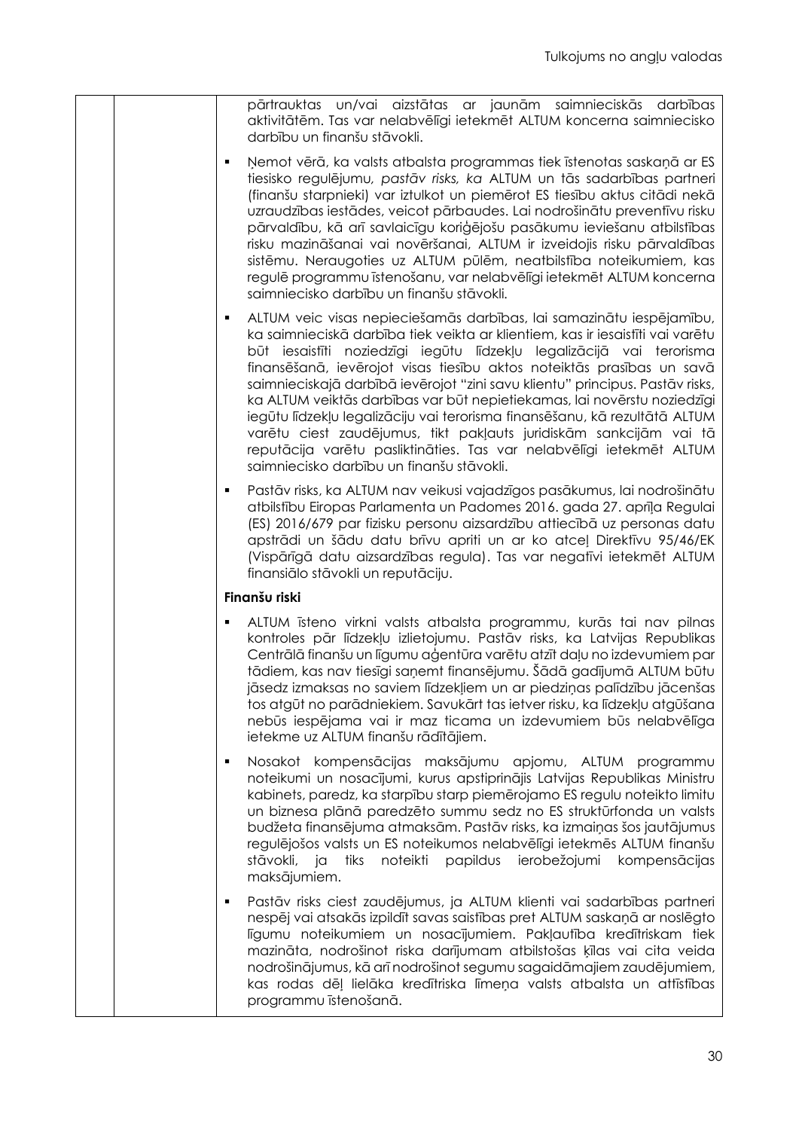| pārtrauktas un/vai aizstātas ar jaunām saimnieciskās darbības<br>aktivitātēm. Tas var nelabvēlīgi ietekmēt ALTUM koncerna saimniecisko<br>darbību un finanšu stāvokli.                                                                                                                                                                                                                                                                                                                                                                                                                                                                                                                                                                             |
|----------------------------------------------------------------------------------------------------------------------------------------------------------------------------------------------------------------------------------------------------------------------------------------------------------------------------------------------------------------------------------------------------------------------------------------------------------------------------------------------------------------------------------------------------------------------------------------------------------------------------------------------------------------------------------------------------------------------------------------------------|
| Ņemot vērā, ka valsts atbalsta programmas tiek īstenotas saskaņā ar ES<br>tiesisko regulējumu, pastāv risks, ka ALTUM un tās sadarbības partneri<br>(finanšu starpnieki) var iztulkot un piemērot ES tiesību aktus citādi nekā<br>uzraudzības iestādes, veicot pārbaudes. Lai nodrošinātu preventīvu risku<br>pārvaldību, kā arī savlaicīgu koriģējošu pasākumu ieviešanu atbilstības<br>risku mazināšanai vai novēršanai, ALTUM ir izveidojis risku pārvaldības<br>sistēmu. Neraugoties uz ALTUM pūlēm, neatbilstība noteikumiem, kas<br>regulē programmu īstenošanu, var nelabvēlīgi ietekmēt ALTUM koncerna<br>saimniecisko darbību un finanšu stāvokli.                                                                                        |
| ALTUM veic visas nepieciešamās darbības, lai samazinātu iespējamību,<br>٠<br>ka saimnieciskā darbība tiek veikta ar klientiem, kas ir iesaistīti vai varētu<br>būt iesaistīti noziedzīgi iegūtu līdzekļu legalizācijā vai terorisma<br>finansēšanā, ievērojot visas tiesību aktos noteiktās prasības un savā<br>saimnieciskajā darbībā ievērojot "zini savu klientu" principus. Pastāv risks,<br>ka ALTUM veiktās darbības var būt nepietiekamas, lai novērstu noziedzīgi<br>iegūtu līdzekļu legalizāciju vai terorisma finansēšanu, kā rezultātā ALTUM<br>varētu ciest zaudējumus, tikt pakļauts juridiskām sankcijām vai tā<br>reputācija varētu pasliktināties. Tas var nelabvēlīgi ietekmēt ALTUM<br>saimniecisko darbību un finanšu stāvokli. |
| Pastāv risks, ka ALTUM nav veikusi vajadzīgos pasākumus, lai nodrošinātu<br>٠<br>atbilstību Eiropas Parlamenta un Padomes 2016. gada 27. aprīļa Regulai<br>(ES) 2016/679 par fizisku personu aizsardzību attiecībā uz personas datu<br>apstrādi un šādu datu brīvu apriti un ar ko atceļ Direktīvu 95/46/EK<br>(Vispārīgā datu aizsardzības regula). Tas var negatīvi ietekmēt ALTUM<br>finansiālo stāvokli un reputāciju.                                                                                                                                                                                                                                                                                                                         |
| Finanšu riski                                                                                                                                                                                                                                                                                                                                                                                                                                                                                                                                                                                                                                                                                                                                      |
| ALTUM īsteno virkni valsts atbalsta programmu, kurās tai nav pilnas<br>٠<br>kontroles pār līdzekļu izlietojumu. Pastāv risks, ka Latvijas Republikas<br>Centrālā finanšu un līgumu aģentūra varētu atzīt daļu no izdevumiem par<br>tādiem, kas nav tiesīgi saņemt finansējumu. Šādā gadījumā ALTUM būtu<br>jāsedz izmaksas no saviem līdzekļiem un ar piedziņas palīdzību jācenšas<br>tos atgūt no parādniekiem. Savukārt tas ietver risku, ka līdzekļu atgūšana<br>nebūs iespējama vai ir maz ticama un izdevumiem būs nelabvēlīga<br>ietekme uz ALTUM finanšu rādītājiem.                                                                                                                                                                        |
| Nosakot kompensācijas maksājumu apjomu, ALTUM programmu<br>٠<br>noteikumi un nosacījumi, kurus apstiprinājis Latvijas Republikas Ministru<br>kabinets, paredz, ka starpību starp piemērojamo ES regulu noteikto limitu<br>un biznesa plānā paredzēto summu sedz no ES struktūrfonda un valsts<br>budžeta finansējuma atmaksām. Pastāv risks, ka izmaiņas šos jautājumus<br>regulējošos valsts un ES noteikumos nelabvēlīgi ietekmēs ALTUM finanšu<br>noteikti papildus ierobežojumi kompensācijas<br>stāvokli, ja<br>tiks<br>maksājumiem.                                                                                                                                                                                                          |
| Pastāv risks ciest zaudējumus, ja ALTUM klienti vai sadarbības partneri<br>٠<br>nespēj vai atsakās izpildīt savas saistības pret ALTUM saskaņā ar noslēgto<br>līgumu noteikumiem un nosacījumiem. Pakļautība kredītriskam tiek<br>mazināta, nodrošinot riska darījumam atbilstošas ķīlas vai cita veida<br>nodrošinājumus, kā arī nodrošinot segumu sagaidāmajiem zaudējumiem,<br>kas rodas dēļ lielāka kredītriska līmeņa valsts atbalsta un attīstības<br>programmu īstenošanā.                                                                                                                                                                                                                                                                  |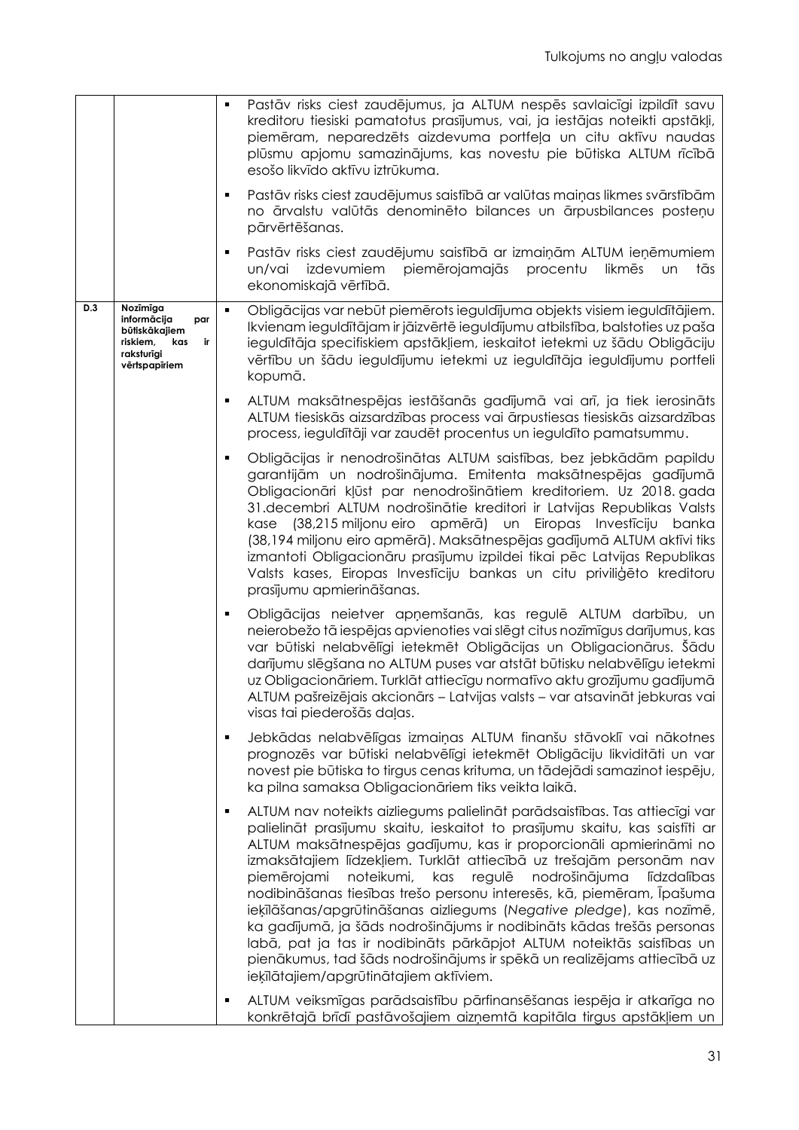|     |                                                                                                         |   | Pastāv risks ciest zaudējumus, ja ALTUM nespēs savlaicīgi izpildīt savu<br>kreditoru tiesiski pamatotus prasījumus, vai, ja iestājas noteikti apstākļi,<br>piemēram, neparedzēts aizdevuma portfeļa un citu aktīvu naudas<br>plūsmu apjomu samazinājums, kas novestu pie būtiska ALTUM rīcībā<br>esošo likvīdo aktīvu iztrūkuma.                                                                                                                                                                                                                                                                                                                                                                                                                                                                               |
|-----|---------------------------------------------------------------------------------------------------------|---|----------------------------------------------------------------------------------------------------------------------------------------------------------------------------------------------------------------------------------------------------------------------------------------------------------------------------------------------------------------------------------------------------------------------------------------------------------------------------------------------------------------------------------------------------------------------------------------------------------------------------------------------------------------------------------------------------------------------------------------------------------------------------------------------------------------|
|     |                                                                                                         | ٠ | Pastāv risks ciest zaudējumus saistībā ar valūtas maiņas likmes svārstībām<br>no ārvalstu valūtās denominēto bilances un ārpusbilances posteņu<br>pārvērtēšanas.                                                                                                                                                                                                                                                                                                                                                                                                                                                                                                                                                                                                                                               |
|     |                                                                                                         | ٠ | Pastāv risks ciest zaudējumu saistībā ar izmaiņām ALTUM ieņēmumiem<br>izdevumiem<br>piemērojamajās<br>procentu<br>likmēs<br>tās<br>un/vai<br><b>un</b><br>ekonomiskajā vērtībā.                                                                                                                                                                                                                                                                                                                                                                                                                                                                                                                                                                                                                                |
| D.3 | Nozīmīga<br>informācija<br>par<br>būtiskākajiem<br>riskiem,<br>kas<br>ir<br>raksturīgi<br>vērtspapīriem | ٠ | Obligācijas var nebūt piemērots ieguldījuma objekts visiem ieguldītājiem.<br>Ikvienam ieguldītājam ir jāizvērtē ieguldījumu atbilstība, balstoties uz paša<br>ieguldītāja specifiskiem apstākļiem, ieskaitot ietekmi uz šādu Obligāciju<br>vērtību un šādu ieguldījumu ietekmi uz ieguldītāja ieguldījumu portfeli<br>kopumā.                                                                                                                                                                                                                                                                                                                                                                                                                                                                                  |
|     |                                                                                                         | ٠ | ALTUM maksātnespējas iestāšanās gadījumā vai arī, ja tiek ierosināts<br>ALTUM tiesiskās aizsardzības process vai ārpustiesas tiesiskās aizsardzības<br>process, ieguldītāji var zaudēt procentus un ieguldīto pamatsummu.                                                                                                                                                                                                                                                                                                                                                                                                                                                                                                                                                                                      |
|     |                                                                                                         | ٠ | Obligācijas ir nenodrošinātas ALTUM saistības, bez jebkādām papildu<br>garantijām un nodrošinājuma. Emitenta maksātnespējas gadījumā<br>Obligacionāri kļūst par nenodrošinātiem kreditoriem. Uz 2018. gada<br>31.decembri ALTUM nodrošinātie kreditori ir Latvijas Republikas Valsts<br>kase (38,215 miljonu eiro apmērā) un Eiropas Investīciju banka<br>(38,194 miljonu eiro apmērā). Maksātnespējas gadījumā ALTUM aktīvi tiks<br>izmantoti Obligacionāru prasījumu izpildei tikai pēc Latvijas Republikas<br>Valsts kases, Eiropas Investīciju bankas un citu priviliģēto kreditoru<br>prasījumu apmierināšanas.                                                                                                                                                                                           |
|     |                                                                                                         | ٠ | Obligācijas neietver apņemšanās, kas regulē ALTUM darbību, un<br>neierobežo tā iespējas apvienoties vai slēgt citus nozīmīgus darījumus, kas<br>var būtiski nelabvēlīgi ietekmēt Obligācijas un Obligacionārus. Šādu<br>darījumu slēgšana no ALTUM puses var atstāt būtisku nelabvēlīgu ietekmi<br>uz Obligacionāriem. Turklāt attiecīgu normatīvo aktu grozījumu gadījumā<br>ALTUM pašreizējais akcionārs - Latvijas valsts - var atsavināt jebkuras vai<br>visas tai piederošās daļas.                                                                                                                                                                                                                                                                                                                       |
|     |                                                                                                         | ٠ | Jebkādas nelabvēlīgas izmaiņas ALTUM finanšu stāvoklī vai nākotnes<br>prognozēs var būtiski nelabvēlīgi ietekmēt Obligāciju likviditāti un var<br>novest pie būtiska to tirgus cenas krituma, un tādejādi samazinot iespēju,<br>ka pilna samaksa Obligacionāriem tiks veikta laikā.                                                                                                                                                                                                                                                                                                                                                                                                                                                                                                                            |
|     |                                                                                                         | ٠ | ALTUM nav noteikts aizliegums palielināt parādsaistības. Tas attiecīgi var<br>palielināt prasījumu skaitu, ieskaitot to prasījumu skaitu, kas saistīti ar<br>ALTUM maksātnespējas gadījumu, kas ir proporcionāli apmierināmi no<br>izmaksātajiem līdzekļiem. Turklāt attiecībā uz trešajām personām nav<br>noteikumi,<br>kas<br>regulē<br>nodrošinājuma<br>piemērojami<br>līdzdalības<br>nodibināšanas tiesības trešo personu interesēs, kā, piemēram, Īpašuma<br>ieķīlāšanas/apgrūtināšanas aizliegums (Negative pledge), kas nozīmē,<br>ka gadījumā, ja šāds nodrošinājums ir nodibināts kādas trešās personas<br>labā, pat ja tas ir nodibināts pārkāpjot ALTUM noteiktās saistības un<br>pienākumus, tad šāds nodrošinājums ir spēkā un realizējams attiecībā uz<br>ieķīlātajiem/apgrūtinātajiem aktīviem. |
|     |                                                                                                         | ٠ | ALTUM veiksmīgas parādsaistību pārfinansēšanas iespēja ir atkarīga no<br>konkrētajā brīdī pastāvošajiem aizņemtā kapitāla tirgus apstākļiem un                                                                                                                                                                                                                                                                                                                                                                                                                                                                                                                                                                                                                                                                 |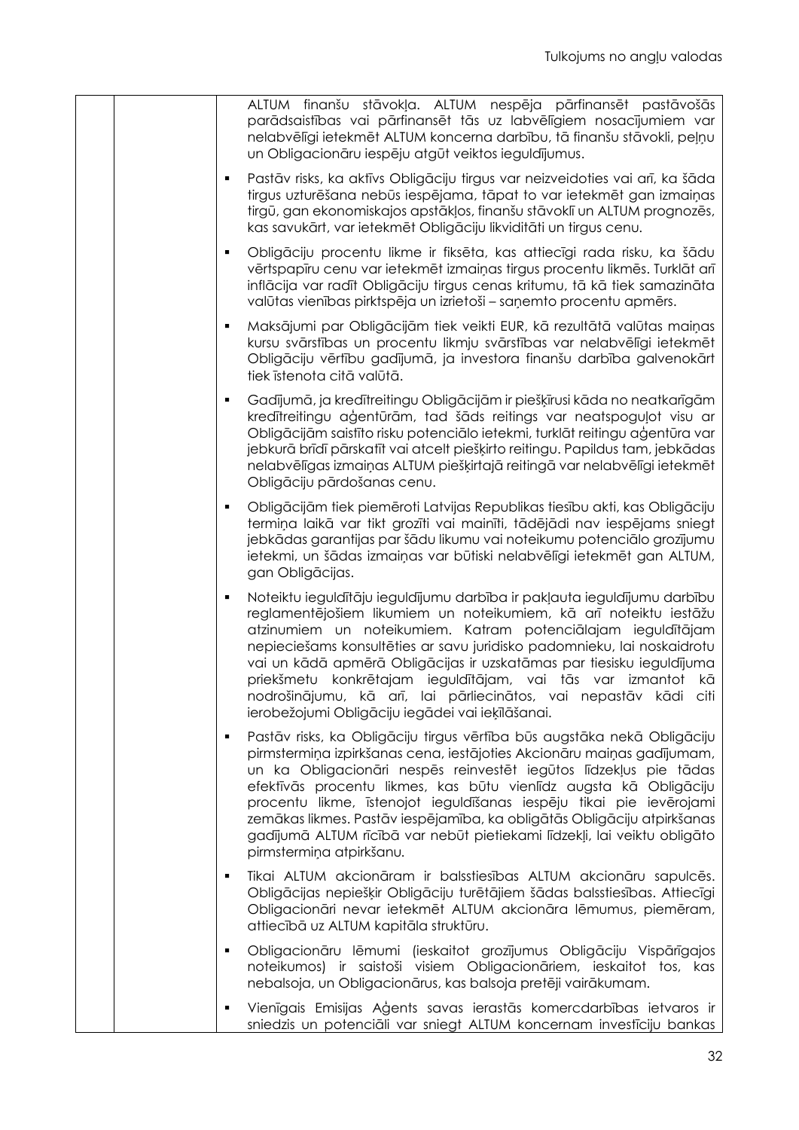| ALTUM finanšu stāvokļa. ALTUM nespēja pārfinansēt pastāvošās<br>parādsaistības vai pārfinansēt tās uz labvēlīgiem nosacījumiem var<br>nelabvēlīgi ietekmēt ALTUM koncerna darbību, tā finanšu stāvokli, peļņu<br>un Obligacionāru iespēju atgūt veiktos ieguldījumus.                                                                                                                                                                                                                                                                                          |
|----------------------------------------------------------------------------------------------------------------------------------------------------------------------------------------------------------------------------------------------------------------------------------------------------------------------------------------------------------------------------------------------------------------------------------------------------------------------------------------------------------------------------------------------------------------|
| Pastāv risks, ka aktīvs Obligāciju tirgus var neizveidoties vai arī, ka šāda<br>П<br>tirgus uzturēšana nebūs iespējama, tāpat to var ietekmēt gan izmaiņas<br>tirgū, gan ekonomiskajos apstākļos, finanšu stāvoklī un ALTUM prognozēs,<br>kas savukārt, var ietekmēt Obligāciju likviditāti un tirgus cenu.                                                                                                                                                                                                                                                    |
| Obligāciju procentu likme ir fiksēta, kas attiecīgi rada risku, ka šādu<br>٠<br>vērtspapīru cenu var ietekmēt izmaiņas tirgus procentu likmēs. Turklāt arī<br>inflācija var radīt Obligāciju tirgus cenas kritumu, tā kā tiek samazināta<br>valūtas vienības pirktspēja un izrietoši - saņemto procentu apmērs.                                                                                                                                                                                                                                                |
| Maksājumi par Obligācijām tiek veikti EUR, kā rezultātā valūtas maiņas<br>$\blacksquare$<br>kursu svārstības un procentu likmju svārstības var nelabvēlīgi ietekmēt<br>Obligāciju vērtību gadījumā, ja investora finanšu darbība galvenokārt<br>tiek īstenota citā valūtā.                                                                                                                                                                                                                                                                                     |
| Gadījumā, ja kredītreitingu Obligācijām ir piešķīrusi kāda no neatkarīgām<br>$\blacksquare$<br>kredītreitingu aģentūrām, tad šāds reitings var neatspoguļot visu ar<br>Obligācijām saistīto risku potenciālo ietekmi, turklāt reitingu aģentūra var<br>jebkurā brīdī pārskatīt vai atcelt piešķirto reitingu. Papildus tam, jebkādas<br>nelabvēlīgas izmaiņas ALTUM piešķirtajā reitingā var nelabvēlīgi ietekmēt<br>Obligāciju pārdošanas cenu.                                                                                                               |
| Obligācijām tiek piemēroti Latvijas Republikas tiesību akti, kas Obligāciju<br>٠<br>termiņa laikā var tikt grozīti vai mainīti, tādējādi nav iespējams sniegt<br>jebkādas garantijas par šādu likumu vai noteikumu potenciālo grozījumu<br>ietekmi, un šādas izmaiņas var būtiski nelabvēlīgi ietekmēt gan ALTUM,<br>gan Obligācijas.                                                                                                                                                                                                                          |
| Noteiktu ieguldītāju ieguldījumu darbība ir pakļauta ieguldījumu darbību<br>٠<br>reglamentējošiem likumiem un noteikumiem, kā arī noteiktu iestāžu<br>atzinumiem un noteikumiem. Katram potenciālajam ieguldītājam<br>nepieciešams konsultēties ar savu juridisko padomnieku, lai noskaidrotu<br>vai un kādā apmērā Obligācijas ir uzskatāmas par tiesisku ieguldījuma<br>priekšmetu konkrētajam ieguldītājam, vai tās var izmantot kā<br>nodrošinājumu, kā arī, lai pārliecinātos, vai nepastāv kādi citi<br>ierobežojumi Obligāciju iegādei vai ieķīlāšanai. |
| Pastāv risks, ka Obligāciju tirgus vērtība būs augstāka nekā Obligāciju<br>٠<br>pirmstermiņa izpirkšanas cena, iestājoties Akcionāru maiņas gadījumam,<br>un ka Obligacionāri nespēs reinvestēt iegūtos līdzekļus pie tādas<br>efektīvās procentu likmes, kas būtu vienlīdz augsta kā Obligāciju<br>procentu likme, īstenojot ieguldīšanas iespēju tikai pie ievērojami<br>zemākas likmes. Pastāv iespējamība, ka obligātās Obligāciju atpirkšanas<br>gadījumā ALTUM rīcībā var nebūt pietiekami līdzekļi, lai veiktu obligāto<br>pirmstermiņa atpirkšanu.     |
| Tikai ALTUM akcionāram ir balsstiesības ALTUM akcionāru sapulcēs.<br>٠<br>Obligācijas nepiešķir Obligāciju turētājiem šādas balsstiesības. Attiecīgi<br>Obligacionāri nevar ietekmēt ALTUM akcionāra lēmumus, piemēram,<br>attiecībā uz ALTUM kapitāla struktūru.                                                                                                                                                                                                                                                                                              |
| Obligacionāru lēmumi (ieskaitot grozījumus Obligāciju Vispārīgajos<br>٠<br>noteikumos) ir saistoši visiem Obligacionāriem, ieskaitot tos, kas<br>nebalsoja, un Obligacionārus, kas balsoja pretēji vairākumam.                                                                                                                                                                                                                                                                                                                                                 |
| Vienīgais Emisijas Aģents savas ierastās komercdarbības ietvaros ir<br>sniedzis un potenciāli var sniegt ALTUM koncernam investīciju bankas                                                                                                                                                                                                                                                                                                                                                                                                                    |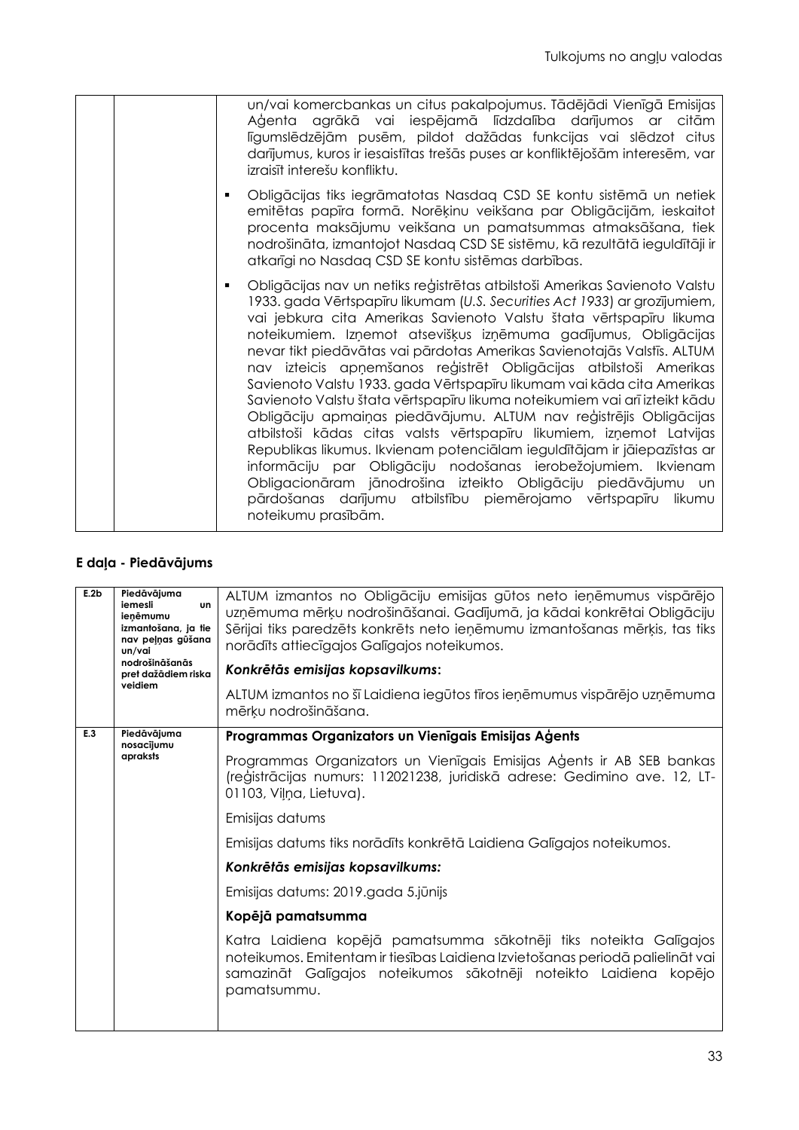| un/vai komercbankas un citus pakalpojumus. Tādējādi Vienīgā Emisijas<br>Aģenta agrākā vai iespējamā līdzdalība darījumos ar citām<br>līgumslēdzējām pusēm, pildot dažādas funkcijas vai slēdzot citus<br>darījumus, kuros ir iesaistītas trešās puses ar konfliktējošām interesēm, var<br>izraisīt interešu konfliktu.                                                                                                                                                                                                                                                                                                                                                                                                                                                                                                                                                                                                                                                                                                                                             |
|--------------------------------------------------------------------------------------------------------------------------------------------------------------------------------------------------------------------------------------------------------------------------------------------------------------------------------------------------------------------------------------------------------------------------------------------------------------------------------------------------------------------------------------------------------------------------------------------------------------------------------------------------------------------------------------------------------------------------------------------------------------------------------------------------------------------------------------------------------------------------------------------------------------------------------------------------------------------------------------------------------------------------------------------------------------------|
| Obligācijas tiks iegrāmatotas Nasdaq CSD SE kontu sistēmā un netiek<br>٠<br>emitētas papīra formā. Norēķinu veikšana par Obligācijām, ieskaitot<br>procenta maksājumu veikšana un pamatsummas atmaksāšana, tiek<br>nodrošināta, izmantojot Nasdaq CSD SE sistēmu, kā rezultātā ieguldītāji ir<br>atkarīgi no Nasdag CSD SE kontu sistēmas darbības.                                                                                                                                                                                                                                                                                                                                                                                                                                                                                                                                                                                                                                                                                                                |
| Obligācijas nav un netiks reģistrētas atbilstoši Amerikas Savienoto Valstu<br>٠<br>1933. gada Vērtspapīru likumam (U.S. Securities Act 1933) ar grozījumiem,<br>vai jebkura cita Amerikas Savienoto Valstu štata vērtspapīru likuma<br>noteikumiem. Izņemot atsevišķus izņēmuma gadījumus, Obligācijas<br>nevar tikt piedāvātas vai pārdotas Amerikas Savienotajās Valstīs. ALTUM<br>nav izteicis apņemšanos reģistrēt Obligācijas atbilstoši Amerikas<br>Savienoto Valstu 1933. gada Vērtspapīru likumam vai kāda cita Amerikas<br>Savienoto Valstu štata vērtspapīru likuma noteikumiem vai arī izteikt kādu<br>Obligāciju apmaiņas piedāvājumu. ALTUM nav reģistrējis Obligācijas<br>atbilstoši kādas citas valsts vērtspapīru likumiem, izņemot Latvijas<br>Republikas likumus. Ikvienam potenciālam ieguldītājam ir jāiepazīstas ar<br>informāciju par Obligāciju nodošanas ierobežojumiem. Ikvienam<br>Obligacionāram jānodrošina izteikto Obligāciju piedāvājumu un<br>pārdošanas darījumu atbilstību piemērojamo vērtspapīru likumu<br>noteikumu prasībām. |

# **E daļa - Piedāvājums**

| E.2b | Piedāvājuma                                                                  | ALTUM izmantos no Obligāciju emisijas gūtos neto ieņēmumus vispārējo                                                                                                                                                                     |
|------|------------------------------------------------------------------------------|------------------------------------------------------------------------------------------------------------------------------------------------------------------------------------------------------------------------------------------|
|      | iemesli<br><b>un</b><br>ienēmumu<br>izmantošana, ja tie<br>nav peļņas gūšana | uzņēmuma mērķu nodrošināšanai. Gadījumā, ja kādai konkrētai Obligāciju                                                                                                                                                                   |
|      |                                                                              | Sērijai tiks paredzēts konkrēts neto ieņēmumu izmantošanas mērķis, tas tiks                                                                                                                                                              |
|      | un/vai<br>nodrošināšanās                                                     | norādīts attiecīgajos Galīgajos noteikumos.                                                                                                                                                                                              |
|      | pret dažādiem riska<br>veidiem                                               | Konkrētās emisijas kopsavilkums:                                                                                                                                                                                                         |
|      |                                                                              | ALTUM izmantos no šī Laidiena iegūtos fīros ieņēmumus vispārējo uzņēmuma<br>mērķu nodrošināšana.                                                                                                                                         |
| E.3  | Piedāvājuma<br>nosacijumu                                                    | Programmas Organizators un Vienīgais Emisijas Aģents                                                                                                                                                                                     |
|      | apraksts                                                                     | Programmas Organizators un Vienīgais Emisijas Aģents ir AB SEB bankas<br>(reģistrācijas numurs: 112021238, juridiskā adrese: Gedimino ave. 12, LT-<br>01103, Vilna, Lietuva).                                                            |
|      |                                                                              | Emisijas datums                                                                                                                                                                                                                          |
|      |                                                                              | Emisijas datums tiks norādīts konkrētā Laidiena Galīgajos noteikumos.                                                                                                                                                                    |
|      |                                                                              | Konkrētās emisijas kopsavilkums:                                                                                                                                                                                                         |
|      |                                                                              | Emisijas datums: 2019.gada 5.jūnijs                                                                                                                                                                                                      |
|      |                                                                              | Kopējā pamatsumma                                                                                                                                                                                                                        |
|      |                                                                              | Katra Laidiena kopējā pamatsumma sākotnēji tiks noteikta Galīgajos<br>noteikumos. Emitentam ir tiesības Laidiena Izvietošanas periodā palielināt vai<br>samazināt Galīgajos noteikumos sākotnēji noteikto Laidiena kopējo<br>pamatsummu. |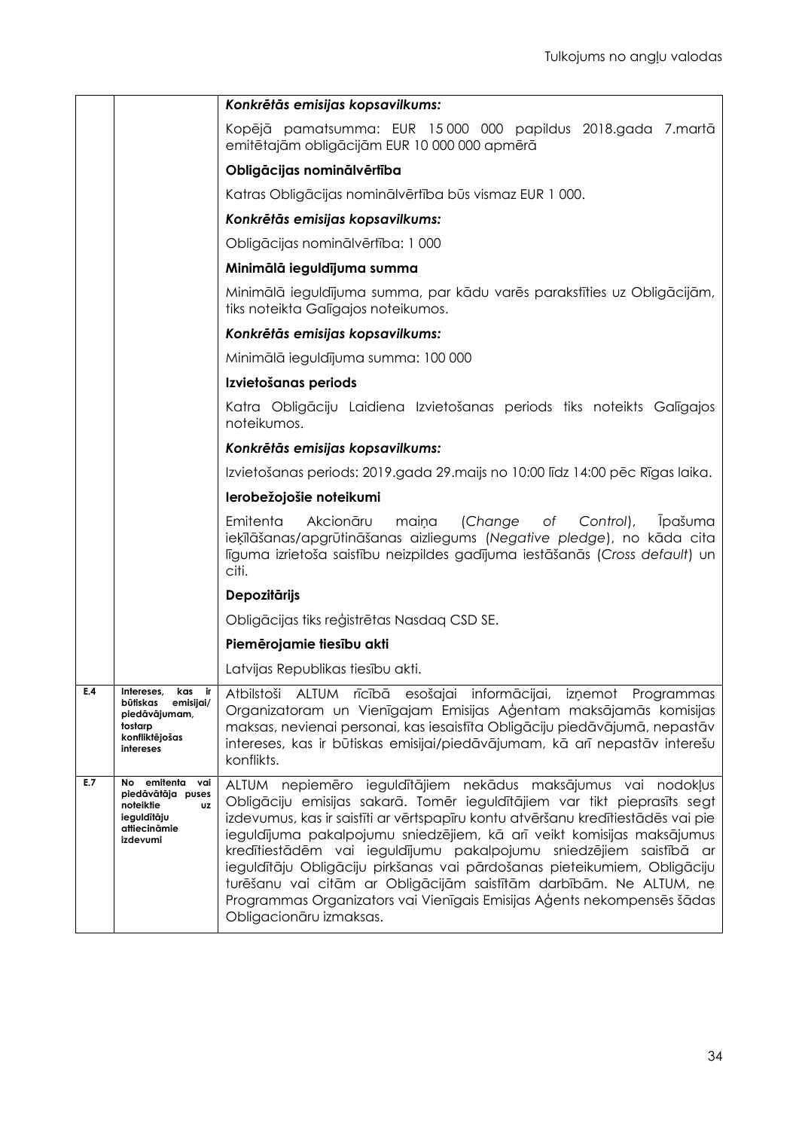|     |                                                                                                            | Konkrētās emisijas kopsavilkums:                                                                                                                                                                                                                                                                                                                                                                                                                                                                                                                                                                                                      |  |
|-----|------------------------------------------------------------------------------------------------------------|---------------------------------------------------------------------------------------------------------------------------------------------------------------------------------------------------------------------------------------------------------------------------------------------------------------------------------------------------------------------------------------------------------------------------------------------------------------------------------------------------------------------------------------------------------------------------------------------------------------------------------------|--|
|     |                                                                                                            | Kopējā pamatsumma: EUR 15000 000 papildus 2018.gada 7.martā<br>emitētajām obligācijām EUR 10 000 000 apmērā                                                                                                                                                                                                                                                                                                                                                                                                                                                                                                                           |  |
|     |                                                                                                            | Obligācijas nominālvērtība                                                                                                                                                                                                                                                                                                                                                                                                                                                                                                                                                                                                            |  |
|     |                                                                                                            | Katras Obligācijas nominālvērtība būs vismaz EUR 1 000.                                                                                                                                                                                                                                                                                                                                                                                                                                                                                                                                                                               |  |
|     |                                                                                                            | Konkrētās emisijas kopsavilkums:                                                                                                                                                                                                                                                                                                                                                                                                                                                                                                                                                                                                      |  |
|     |                                                                                                            | Obligācijas nominālvērtība: 1 000                                                                                                                                                                                                                                                                                                                                                                                                                                                                                                                                                                                                     |  |
|     |                                                                                                            | Minimālā ieguldījuma summa                                                                                                                                                                                                                                                                                                                                                                                                                                                                                                                                                                                                            |  |
|     |                                                                                                            | Minimālā ieguldījuma summa, par kādu varēs parakstīties uz Obligācijām,<br>tiks noteikta Galīgajos noteikumos.                                                                                                                                                                                                                                                                                                                                                                                                                                                                                                                        |  |
|     |                                                                                                            | Konkrētās emisijas kopsavilkums:                                                                                                                                                                                                                                                                                                                                                                                                                                                                                                                                                                                                      |  |
|     |                                                                                                            | Minimālā ieguldījuma summa: 100 000                                                                                                                                                                                                                                                                                                                                                                                                                                                                                                                                                                                                   |  |
|     |                                                                                                            | Izvietošanas periods                                                                                                                                                                                                                                                                                                                                                                                                                                                                                                                                                                                                                  |  |
|     |                                                                                                            | Katra Obligāciju Laidiena Izvietošanas periods tiks noteikts Galīgajos<br>noteikumos.                                                                                                                                                                                                                                                                                                                                                                                                                                                                                                                                                 |  |
|     |                                                                                                            | Konkrētās emisijas kopsavilkums:                                                                                                                                                                                                                                                                                                                                                                                                                                                                                                                                                                                                      |  |
|     |                                                                                                            | Izvietošanas periods: 2019.gada 29.maijs no 10:00 līdz 14:00 pēc Rīgas laika.                                                                                                                                                                                                                                                                                                                                                                                                                                                                                                                                                         |  |
|     |                                                                                                            | lerobežojošie noteikumi                                                                                                                                                                                                                                                                                                                                                                                                                                                                                                                                                                                                               |  |
|     |                                                                                                            | Emitenta<br>Akcionāru<br>(Change<br>Control),<br><i>l</i> pašuma<br>maina<br>Оf<br>ieķīlāšanas/apgrūtināšanas aizliegums (Negative pledge), no kāda cita<br>līguma izrietoša saistību neizpildes gadījuma iestāšanās (Cross default) un<br>citi.                                                                                                                                                                                                                                                                                                                                                                                      |  |
|     |                                                                                                            | <b>Depozitārijs</b>                                                                                                                                                                                                                                                                                                                                                                                                                                                                                                                                                                                                                   |  |
|     |                                                                                                            | Obligācijas tiks reģistrētas Nasdag CSD SE.                                                                                                                                                                                                                                                                                                                                                                                                                                                                                                                                                                                           |  |
|     |                                                                                                            | Piemērojamie tiesību akti                                                                                                                                                                                                                                                                                                                                                                                                                                                                                                                                                                                                             |  |
|     |                                                                                                            | Latvijas Republikas tiesību akti.                                                                                                                                                                                                                                                                                                                                                                                                                                                                                                                                                                                                     |  |
| E.4 | Intereses,<br>kas<br>ir I<br>būtiskas emisijai/<br>piedāvājumam,<br>tostarp<br>konfliktējošas<br>intereses | Atbilstoši ALTUM rīcībā esošajai informācijai, izņemot Programmas<br>Organizatoram un Vienīgajam Emisijas Aģentam maksājamās komisijas<br>maksas, nevienai personai, kas iesaistīta Obligāciju piedāvājumā, nepastāv<br>intereses, kas ir būtiskas emisijai/piedāvājumam, kā arī nepastāv interešu<br>konflikts.                                                                                                                                                                                                                                                                                                                      |  |
| E.7 | No emitenta vai<br>piedāvātāja puses<br>noteiktie<br>UZ<br>ieguldītāju<br>attiecināmie<br>izdevumi         | ALTUM nepiemēro ieguldītājiem nekādus maksājumus vai nodokļus<br>Obligāciju emisijas sakarā. Tomēr ieguldītājiem var tikt pieprasīts segt<br>izdevumus, kas ir saistīti ar vērtspapīru kontu atvēršanu kredītiestādēs vai pie<br>ieguldījuma pakalpojumu sniedzējiem, kā arī veikt komisijas maksājumus<br>kredītiestādēm vai ieguldījumu pakalpojumu sniedzējiem saistībā ar<br>ieguldītāju Obligāciju pirkšanas vai pārdošanas pieteikumiem, Obligāciju<br>turēšanu vai citām ar Obligācijām saistītām darbībām. Ne ALTUM, ne<br>Programmas Organizators vai Vienīgais Emisijas Aģents nekompensēs šādas<br>Obligacionāru izmaksas. |  |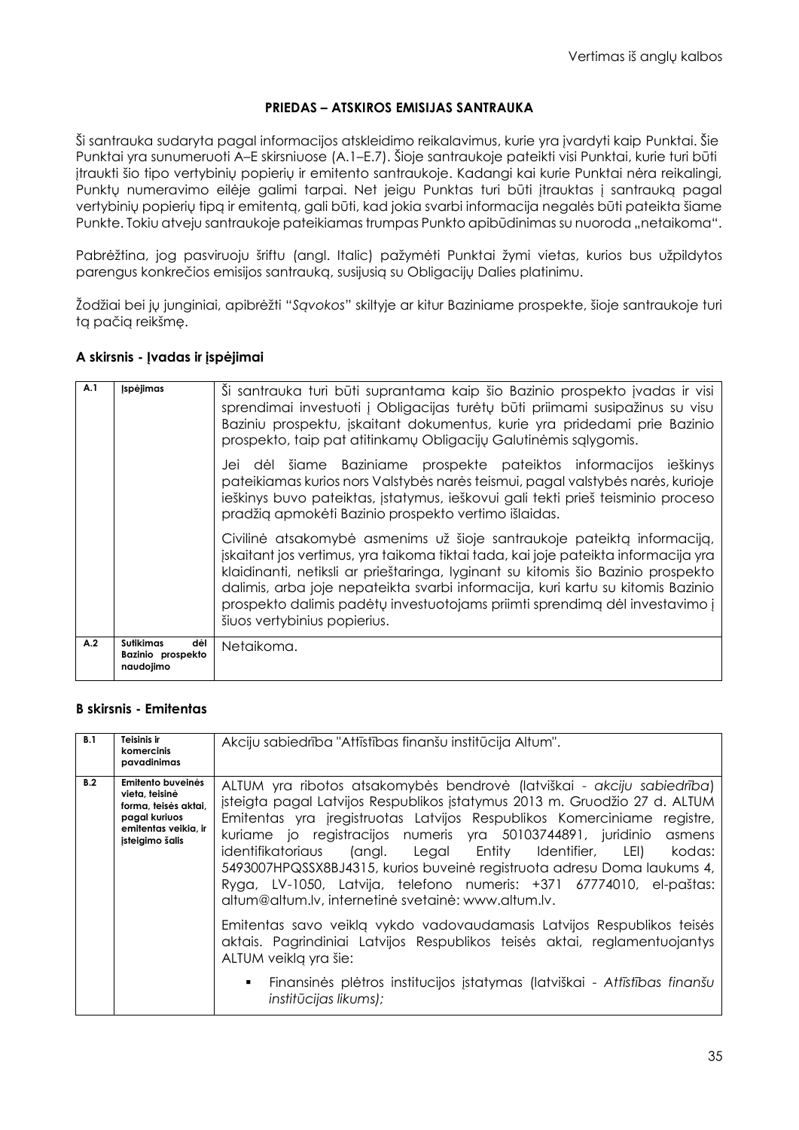### **PRIEDAS – ATSKIROS EMISIJAS SANTRAUKA**

Ši santrauka sudaryta pagal informacijos atskleidimo reikalavimus, kurie yra įvardyti kaip Punktai. Šie Punktai yra sunumeruoti A–E skirsniuose (A.1–E.7). Šioje santraukoje pateikti visi Punktai, kurie turi būti įtraukti šio tipo vertybinių popierių ir emitento santraukoje. Kadangi kai kurie Punktai nėra reikalingi, Punktų numeravimo eilėje galimi tarpai. Net jeigu Punktas turi būti įtrauktas į santrauką pagal vertybinių popierių tipą ir emitentą, gali būti, kad jokia svarbi informacija negalės būti pateikta šiame Punkte. Tokiu atveju santraukoje pateikiamas trumpas Punkto apibūdinimas su nuoroda "netaikoma".

Pabrėžtina, jog pasviruoju šriftu (angl. Italic) pažymėti Punktai žymi vietas, kurios bus užpildytos parengus konkrečios emisijos santrauką, susijusią su Obligacijų Dalies platinimu.

Žodžiai bei jų junginiai, apibrėžti "*Sąvokos*" skiltyje ar kitur Baziniame prospekte, šioje santraukoje turi tą pačią reikšmę.

### **A skirsnis - Įvadas ir įspėjimai**

| A.1 | <b>Ispėjimas</b>                                          | Si santrauka turi būti suprantama kaip šio Bazinio prospekto įvadas ir visi<br>sprendimai investuoti į Obligacijas turėtų būti priimami susipažinus su visu<br>Baziniu prospektu, įskaitant dokumentus, kurie yra pridedami prie Bazinio<br>prospekto, taip pat atitinkamų Obligacijų Galutinėmis sąlygomis.                                                                                                                                        |
|-----|-----------------------------------------------------------|-----------------------------------------------------------------------------------------------------------------------------------------------------------------------------------------------------------------------------------------------------------------------------------------------------------------------------------------------------------------------------------------------------------------------------------------------------|
|     |                                                           | Jei dėl šiame Baziniame prospekte pateiktos informacijos ieškinys<br>pateikiamas kurios nors Valstybės narės teismui, pagal valstybės narės, kurioje<br>ieškinys buvo pateiktas, įstatymus, ieškovui gali tekti prieš teisminio proceso<br>pradžią apmokėti Bazinio prospekto vertimo išlaidas.                                                                                                                                                     |
|     |                                                           | Civilinė atsakomybė asmenims už šioje santraukoje pateiktą informaciją,<br>jskaitant jos vertimus, yra taikoma tiktai tada, kai joje pateikta informacija yra<br>klaidinanti, netiksli ar prieštaringa, lyginant su kitomis šio Bazinio prospekto<br>dalimis, arba joje nepateikta svarbi informacija, kuri kartu su kitomis Bazinio<br>prospekto dalimis padėtų investuotojams priimti sprendimą dėl investavimo į<br>šiuos vertybinius popierius. |
| A.2 | <b>Sutikimas</b><br>dėl<br>Bazinio prospekto<br>naudojimo | Netaikoma.                                                                                                                                                                                                                                                                                                                                                                                                                                          |

### **B skirsnis - Emitentas**

| B.1 | Teisinis ir<br>komercinis<br>pavadinimas                                                                                | Akciju sabiedrība "Attīstības finanšu institūcija Altum".                                                                                                                                                                                                                                                                                                                                                                                                                                                                                                                       |
|-----|-------------------------------------------------------------------------------------------------------------------------|---------------------------------------------------------------------------------------------------------------------------------------------------------------------------------------------------------------------------------------------------------------------------------------------------------------------------------------------------------------------------------------------------------------------------------------------------------------------------------------------------------------------------------------------------------------------------------|
| B.2 | Emitento buveinės<br>vieta, teisinė<br>forma, teisės aktai,<br>pagal kuriuos<br>emitentas veikia, ir<br>įsteigimo šalis | ALTUM yra ribotos atsakomybės bendrovė (latviškai - akciju sabiedrība)<br>įsteigta pagal Latvijos Respublikos įstatymus 2013 m. Gruodžio 27 d. ALTUM<br>Emitentas yra jregistruotas Latvijos Respublikos Komerciniame registre,<br>kuriame jo registracijos numeris yra 50103744891, juridinio asmens<br>identifikatoriaus (angl. Legal Entity Identifier, LEI) kodas:<br>5493007HPQSSX8BJ4315, kurios buveinė registruota adresu Doma laukums 4,<br>Ryga, LV-1050, Latvija, telefono numeris: +371 67774010, el-paštas:<br>altum@altum.lv, internetinė svetainė: www.altum.lv. |
|     |                                                                                                                         | Emitentas savo veiklą vykdo vadovaudamasis Latvijos Respublikos teisės<br>aktais. Pagrindiniai Latvijos Respublikos teisės aktai, reglamentuojantys<br>ALTUM veiklą yra šie:<br>Finansinės plėtros institucijos įstatymas (latviškai - Attīstības finanšu<br>institūcijas likums);                                                                                                                                                                                                                                                                                              |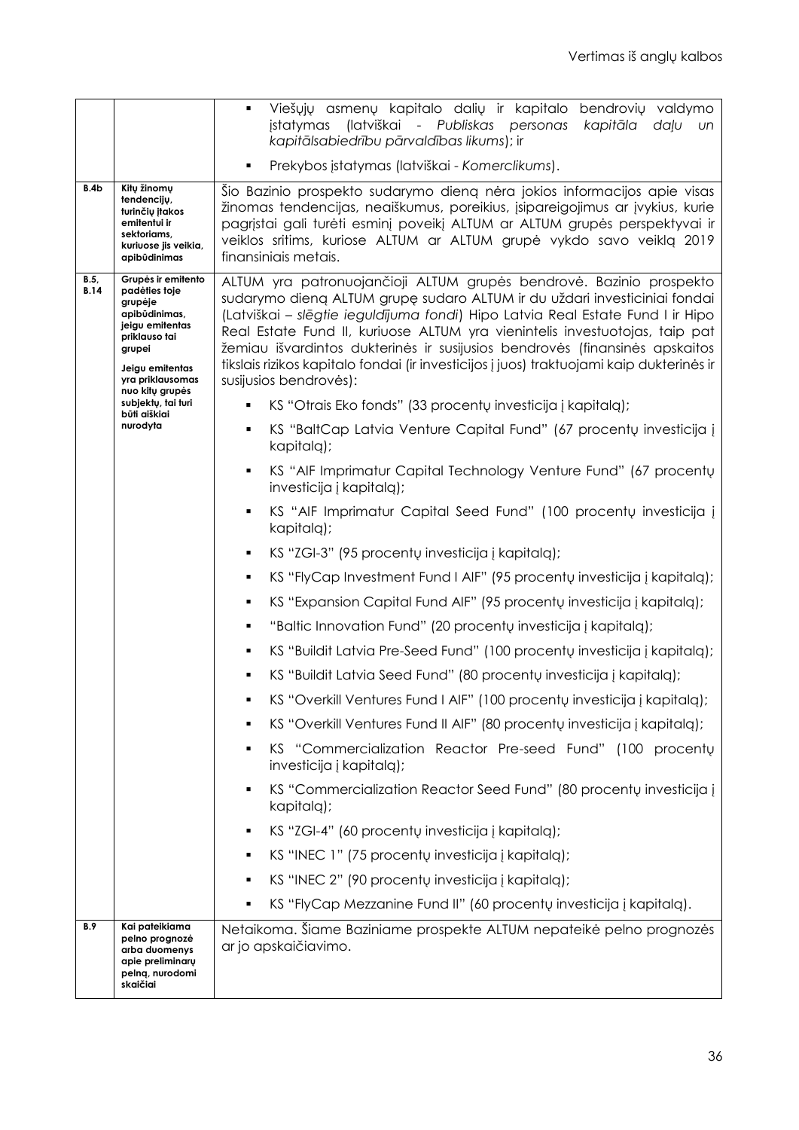|                     |                                                                                                                                                                                                                                                                                                                                                                                                                                                                                                                                                                                                                                                                                | Viešųjų asmenų kapitalo dalių ir kapitalo bendrovių valdymo<br>$\blacksquare$<br>įstatymas (latviškai - Publiskas personas<br>kapitāla<br>daļu<br>- un<br>kapitālsabiedrību pārvaldības likums); ir                                                                                                                                     |  |  |
|---------------------|--------------------------------------------------------------------------------------------------------------------------------------------------------------------------------------------------------------------------------------------------------------------------------------------------------------------------------------------------------------------------------------------------------------------------------------------------------------------------------------------------------------------------------------------------------------------------------------------------------------------------------------------------------------------------------|-----------------------------------------------------------------------------------------------------------------------------------------------------------------------------------------------------------------------------------------------------------------------------------------------------------------------------------------|--|--|
|                     |                                                                                                                                                                                                                                                                                                                                                                                                                                                                                                                                                                                                                                                                                | Prekybos įstatymas (latviškai - Komerclikums).<br>٠                                                                                                                                                                                                                                                                                     |  |  |
| B.4b                | Kitų žinomų<br>tendencijų,<br>turinčių įtakos<br>emitentui ir<br>sektoriams,<br>kuriuose jis veikia,<br>apibūdinimas                                                                                                                                                                                                                                                                                                                                                                                                                                                                                                                                                           | Šio Bazinio prospekto sudarymo dieną nėra jokios informacijos apie visas<br>žinomas tendencijas, neaiškumus, poreikius, įsipareigojimus ar įvykius, kurie<br>pagrįstai gali turėti esminį poveikį ALTUM ar ALTUM grupės perspektyvai ir<br>veiklos sritims, kuriose ALTUM ar ALTUM grupė vykdo savo veiklą 2019<br>finansiniais metais. |  |  |
| B.5.<br><b>B.14</b> | Grupės ir emitento<br>ALTUM yra patronuojančioji ALTUM grupės bendrovė. Bazinio prospekto<br>padėties toje<br>sudarymo dieną ALTUM grupę sudaro ALTUM ir du uždari investiciniai fondai<br>grupėje<br>apibūdinimas,<br>(Latviškai - slēgtie ieguldījuma fondi) Hipo Latvia Real Estate Fund I ir Hipo<br>jeigu emitentas<br>Real Estate Fund II, kuriuose ALTUM yra vienintelis investuotojas, taip pat<br>priklauso tai<br>žemiau išvardintos dukterinės ir susijusios bendrovės (finansinės apskaitos<br>grupei<br>tikslais rizikos kapitalo fondai (ir investicijos į juos) traktuojami kaip dukterinės ir<br>Jeigu emitentas<br>yra priklausomas<br>susijusios bendrovės): |                                                                                                                                                                                                                                                                                                                                         |  |  |
|                     | nuo kitų grupės<br>subjektų, tai turi<br>būti aiškiai                                                                                                                                                                                                                                                                                                                                                                                                                                                                                                                                                                                                                          | KS "Otrais Eko fonds" (33 procentų investicija į kapitalą);<br>٠                                                                                                                                                                                                                                                                        |  |  |
|                     | nurodyta                                                                                                                                                                                                                                                                                                                                                                                                                                                                                                                                                                                                                                                                       | KS "BaltCap Latvia Venture Capital Fund" (67 procenty investicija j<br>٠<br>kapitalą);                                                                                                                                                                                                                                                  |  |  |
|                     |                                                                                                                                                                                                                                                                                                                                                                                                                                                                                                                                                                                                                                                                                | KS "AIF Imprimatur Capital Technology Venture Fund" (67 procenty<br>٠<br>investicija į kapitalą);                                                                                                                                                                                                                                       |  |  |
|                     |                                                                                                                                                                                                                                                                                                                                                                                                                                                                                                                                                                                                                                                                                | KS "AIF Imprimatur Capital Seed Fund" (100 procentų investicija į<br>kapitalg);                                                                                                                                                                                                                                                         |  |  |
|                     |                                                                                                                                                                                                                                                                                                                                                                                                                                                                                                                                                                                                                                                                                | KS "ZGI-3" (95 procentų investicija į kapitalą);<br>٠                                                                                                                                                                                                                                                                                   |  |  |
|                     |                                                                                                                                                                                                                                                                                                                                                                                                                                                                                                                                                                                                                                                                                | KS "FlyCap Investment Fund I AIF" (95 procentų investicija į kapitalą);<br>٠                                                                                                                                                                                                                                                            |  |  |
|                     |                                                                                                                                                                                                                                                                                                                                                                                                                                                                                                                                                                                                                                                                                | KS "Expansion Capital Fund AIF" (95 procentų investicija į kapitalą);<br>٠                                                                                                                                                                                                                                                              |  |  |
|                     |                                                                                                                                                                                                                                                                                                                                                                                                                                                                                                                                                                                                                                                                                | "Baltic Innovation Fund" (20 procentų investicija į kapitalą);<br>٠                                                                                                                                                                                                                                                                     |  |  |
|                     |                                                                                                                                                                                                                                                                                                                                                                                                                                                                                                                                                                                                                                                                                | KS "Buildit Latvia Pre-Seed Fund" (100 procentų investicija į kapitalą);<br>٠                                                                                                                                                                                                                                                           |  |  |
|                     |                                                                                                                                                                                                                                                                                                                                                                                                                                                                                                                                                                                                                                                                                | KS "Buildit Latvia Seed Fund" (80 procentų investicija į kapitalą);<br>٠                                                                                                                                                                                                                                                                |  |  |
|                     |                                                                                                                                                                                                                                                                                                                                                                                                                                                                                                                                                                                                                                                                                | KS "Overkill Ventures Fund I AIF" (100 procentų investicija į kapitalą);                                                                                                                                                                                                                                                                |  |  |
|                     |                                                                                                                                                                                                                                                                                                                                                                                                                                                                                                                                                                                                                                                                                | KS "Overkill Ventures Fund II AIF" (80 procentų investicija į kapitalą);<br>٠                                                                                                                                                                                                                                                           |  |  |
|                     |                                                                                                                                                                                                                                                                                                                                                                                                                                                                                                                                                                                                                                                                                | KS "Commercialization Reactor Pre-seed Fund" (100 procenty<br>investicija į kapitalą);                                                                                                                                                                                                                                                  |  |  |
|                     |                                                                                                                                                                                                                                                                                                                                                                                                                                                                                                                                                                                                                                                                                | KS "Commercialization Reactor Seed Fund" (80 procenty investicija į<br>kapitalą);                                                                                                                                                                                                                                                       |  |  |
|                     |                                                                                                                                                                                                                                                                                                                                                                                                                                                                                                                                                                                                                                                                                | KS "ZGI-4" (60 procentų investicija į kapitalą);<br>٠                                                                                                                                                                                                                                                                                   |  |  |
|                     |                                                                                                                                                                                                                                                                                                                                                                                                                                                                                                                                                                                                                                                                                | KS "INEC 1" (75 procentų investicija į kapitalą);<br>٠                                                                                                                                                                                                                                                                                  |  |  |
|                     |                                                                                                                                                                                                                                                                                                                                                                                                                                                                                                                                                                                                                                                                                | KS "INEC 2" (90 procentų investicija į kapitalą);<br>٠                                                                                                                                                                                                                                                                                  |  |  |
|                     |                                                                                                                                                                                                                                                                                                                                                                                                                                                                                                                                                                                                                                                                                | KS "FlyCap Mezzanine Fund II" (60 procentų investicija į kapitalą).                                                                                                                                                                                                                                                                     |  |  |
| B.9                 | Kai pateikiama<br>pelno prognozė<br>arba duomenys<br>apie preliminarų<br>pelną, nurodomi<br>skaičiai                                                                                                                                                                                                                                                                                                                                                                                                                                                                                                                                                                           | Netaikoma. Šiame Baziniame prospekte ALTUM nepateikė pelno prognozės<br>ar jo apskaičiavimo.                                                                                                                                                                                                                                            |  |  |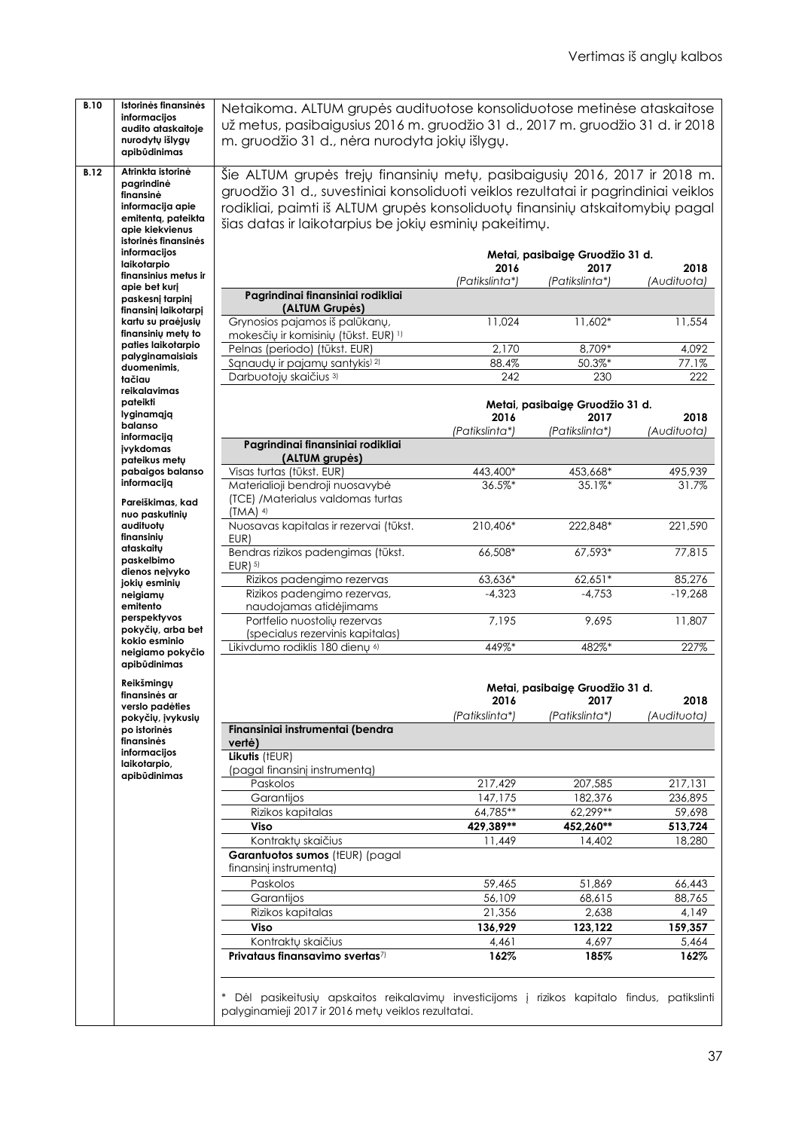| <b>B.10</b> | Istorinės finansinės                     | Netaikoma. ALTUM grupės audituotose konsoliduotose metinėse ataskaitose                     |                |                                 |             |
|-------------|------------------------------------------|---------------------------------------------------------------------------------------------|----------------|---------------------------------|-------------|
|             | informacijos                             | už metus, pasibaigusius 2016 m. gruodžio 31 d., 2017 m. gruodžio 31 d. ir 2018              |                |                                 |             |
|             | audito ataskaitoje                       |                                                                                             |                |                                 |             |
|             | nurodytų išlygų<br>apibūdinimas          | m. gruodžio 31 d., nėra nurodyta jokių išlygų.                                              |                |                                 |             |
|             |                                          |                                                                                             |                |                                 |             |
| <b>B.12</b> | Atrinkta istorinė                        | Šie ALTUM grupės trejų finansinių metų, pasibaigusių 2016, 2017 ir 2018 m.                  |                |                                 |             |
|             | pagrindinė<br>finansinė                  | gruodžio 31 d., suvestiniai konsoliduoti veiklos rezultatai ir pagrindiniai veiklos         |                |                                 |             |
|             | informacija apie                         | rodikliai, paimti iš ALTUM grupės konsoliduotų finansinių atskaitomybių pagal               |                |                                 |             |
|             | emitenta, pateikta                       |                                                                                             |                |                                 |             |
|             | apie kiekvienus                          | šias datas ir laikotarpius be jokių esminių pakeitimų.                                      |                |                                 |             |
|             | istorinės finansinės                     |                                                                                             |                |                                 |             |
|             | informacijos                             |                                                                                             |                | Metai, pasibaigę Gruodžio 31 d. |             |
|             | laikotarpio<br>finansinius metus ir      |                                                                                             | 2016           | 2017                            | 2018        |
|             | apie bet kurj                            |                                                                                             | (Patikslinta*) | (Patikslinta*)                  | (Audituota) |
|             | paskesnį tarpinį                         | Pagrindinai finansiniai rodikliai                                                           |                |                                 |             |
|             | finansinį laikotarpį                     | (ALTUM Grupės)                                                                              |                |                                 |             |
|             | kartu su praėjusių                       | Grynosios pajamos iš palūkanų,                                                              | 11,024         | $11,602*$                       | 11,554      |
|             | finansiniy mety to<br>paties laikotarpio | mokesčių ir komisinių (tūkst. EUR) 1)                                                       |                |                                 |             |
|             | palyginamaisiais                         | Pelnas (periodo) (tūkst. EUR)                                                               | 2,170          | 8,709*                          | 4,092       |
|             | duomenimis,                              | Sąnaudų ir pajamų santykis <sup>) 2)</sup>                                                  | 88.4%          | 50.3%*                          | 77.1%       |
|             | tačiau                                   | Darbuotojų skaičius 3)                                                                      | 242            | 230                             | 222         |
|             | reikalavimas                             |                                                                                             |                |                                 |             |
|             | pateikti                                 |                                                                                             |                | Metai, pasibaigę Gruodžio 31 d. |             |
|             | lyginamąją<br>balanso                    |                                                                                             | 2016           | 2017                            | 2018        |
|             | informacija                              |                                                                                             | (Patikslinta*) | (Patikslinta*)                  | (Audituota) |
|             | jvykdomas                                | Pagrindinai finansiniai rodikliai                                                           |                |                                 |             |
|             | pateikus metų                            | (ALTUM grupės)                                                                              |                |                                 |             |
|             | pabaigos balanso                         | Visas turtas (tūkst. EUR)                                                                   | 443,400*       | 453,668*                        | 495,939     |
|             | informaciją                              | Materialioji bendroji nuosavybė                                                             | 36.5%*         | $35.1%$ *                       | 31.7%       |
|             | Pareiškimas, kad                         | (TCE) /Materialus valdomas turtas                                                           |                |                                 |             |
|             | nuo paskutinių                           | $(TMA)$ <sup>4)</sup>                                                                       |                |                                 |             |
|             | audituotų                                | Nuosavas kapitalas ir rezervai (tūkst.                                                      | 210,406*       | 222,848*                        | 221,590     |
|             | finansinių<br>ataskaitu                  | EUR)                                                                                        |                |                                 |             |
|             | paskelbimo                               | Bendras rizikos padengimas (tūkst.                                                          | 66,508*        | 67,593*                         | 77,815      |
|             | dienos nejvyko                           | $EUR$ ) $5$                                                                                 |                |                                 |             |
|             | jokių esminių                            | Rizikos padengimo rezervas                                                                  | 63,636*        | 62,651*                         | 85,276      |
|             | neigiamy<br>emitento                     | Rizikos padengimo rezervas,                                                                 | $-4,323$       | $-4,753$                        | $-19,268$   |
|             | perspektyvos                             | naudojamas atidėjimams<br>Portfelio nuostolių rezervas                                      | 7,195          | 9,695                           | 11,807      |
|             | pokyčių, arba bet                        | (specialus rezervinis kapitalas)                                                            |                |                                 |             |
|             | kokio esminio                            | Likivdumo rodiklis 180 dienų 6)                                                             | 449%*          | 482%*                           | 227%        |
|             | neigiamo pokyčio                         |                                                                                             |                |                                 |             |
|             | apibūdinimas                             |                                                                                             |                |                                 |             |
|             | Reikšmingų                               |                                                                                             |                | Metai, pasibaigę Gruodžio 31 d. |             |
|             | finansinės ar                            |                                                                                             | 2016           | 2017                            | 2018        |
|             | verslo padėties                          |                                                                                             | (Patikslinta*) | (Patikslinta*)                  | (Audituota) |
|             | pokyčių, įvykusių<br>po istorinės        | Finansiniai instrumentai (bendra                                                            |                |                                 |             |
|             | finansinės                               | vertė)                                                                                      |                |                                 |             |
|             | informacijos                             | Likutis (tEUR)                                                                              |                |                                 |             |
|             | laikotarpio,                             | (pagal finansinj instrumenta)                                                               |                |                                 |             |
|             | apibūdinimas                             | Paskolos                                                                                    | 217,429        | 207,585                         | 217,131     |
|             |                                          | Garantijos                                                                                  | 147,175        | 182,376                         | 236,895     |
|             |                                          | Rizikos kapitalas                                                                           | 64,785**       | 62,299**                        | 59,698      |
|             |                                          | Viso                                                                                        | 429,389**      | 452,260**                       | 513,724     |
|             |                                          | Kontraktų skaičius                                                                          | 11,449         | 14,402                          | 18,280      |
|             |                                          | Garantuotos sumos (tEUR) (pagal                                                             |                |                                 |             |
|             |                                          | finansinį instrumentą)                                                                      |                |                                 |             |
|             |                                          | Paskolos                                                                                    | 59,465         | 51,869                          | 66,443      |
|             |                                          | Garantijos                                                                                  | 56,109         | 68,615                          | 88,765      |
|             |                                          | Rizikos kapitalas                                                                           |                |                                 |             |
|             |                                          |                                                                                             | 21,356         | 2,638                           | 4,149       |
|             |                                          | Viso                                                                                        | 136,929        | 123,122                         | 159,357     |
|             |                                          | Kontraktų skaičius                                                                          | 4,461          | 4,697                           | 5,464       |
|             |                                          | Privataus finansavimo svertas7)                                                             | 162%           | 185%                            | 162%        |
|             |                                          |                                                                                             |                |                                 |             |
|             |                                          |                                                                                             |                |                                 |             |
|             |                                          | Dėl pasikeitusių apskaitos reikalavimų investicijoms į rizikos kapitalo findus, patikslinti |                |                                 |             |
|             |                                          | palyginamieji 2017 ir 2016 metų veiklos rezultatai.                                         |                |                                 |             |
|             |                                          |                                                                                             |                |                                 |             |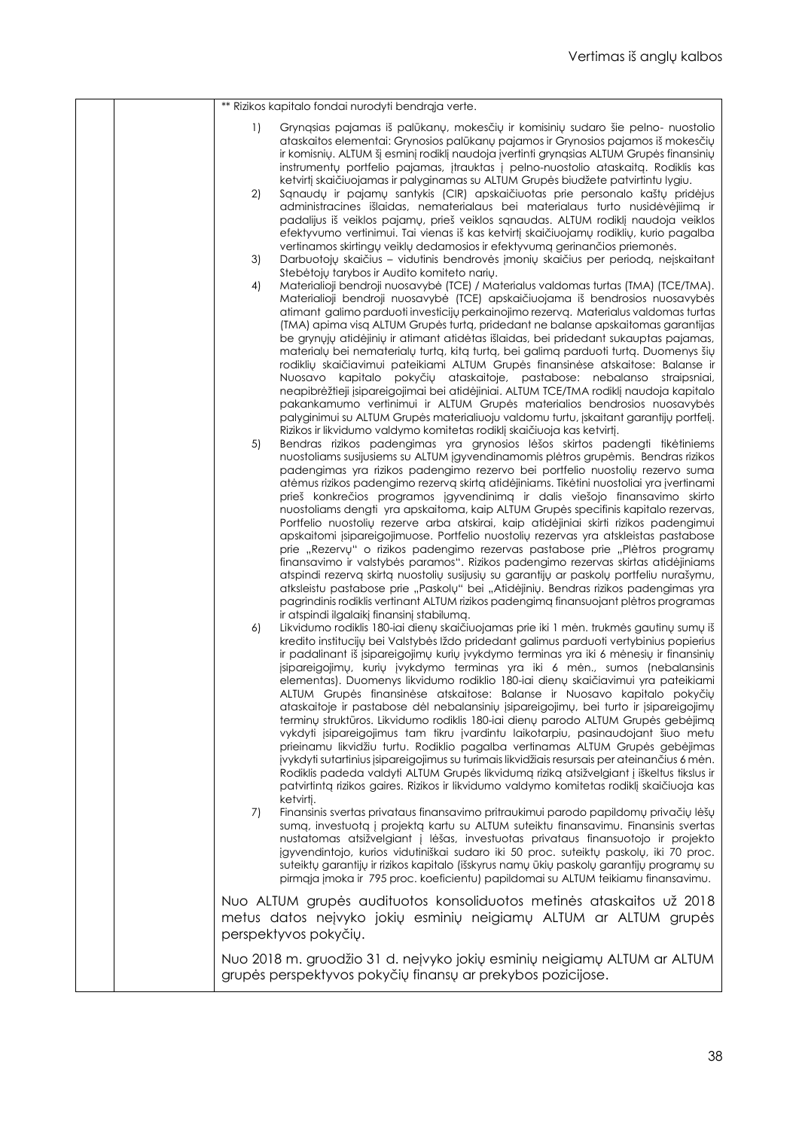|  | ** Rizikos kapitalo fondai nurodyti bendrąja verte.                                                                                                                                                                                                                                                                                                                                                                                                                                                                                                                                                                                                                                                                                                                                                                                                                                                                                                                                                                                                                                                                                                                                                                                                                                                                                                                                                                                                                                                                                                                                                                                                                                                                                                                                                                                                                                                                                                                                                                        |
|--|----------------------------------------------------------------------------------------------------------------------------------------------------------------------------------------------------------------------------------------------------------------------------------------------------------------------------------------------------------------------------------------------------------------------------------------------------------------------------------------------------------------------------------------------------------------------------------------------------------------------------------------------------------------------------------------------------------------------------------------------------------------------------------------------------------------------------------------------------------------------------------------------------------------------------------------------------------------------------------------------------------------------------------------------------------------------------------------------------------------------------------------------------------------------------------------------------------------------------------------------------------------------------------------------------------------------------------------------------------------------------------------------------------------------------------------------------------------------------------------------------------------------------------------------------------------------------------------------------------------------------------------------------------------------------------------------------------------------------------------------------------------------------------------------------------------------------------------------------------------------------------------------------------------------------------------------------------------------------------------------------------------------------|
|  | $\left  \right $<br>Gryngsias pajamas iš palūkanų, mokesčių ir komisinių sudaro šie pelno- nuostolio<br>ataskaitos elementai: Grynosios palūkanų pajamos ir Grynosios pajamos iš mokesčių<br>ir komisnių. ALTUM šį esminį rodiklį naudoja įvertinti grynąsias ALTUM Grupės finansinių<br>instrumentų portfelio pajamas, įtrauktas į pelno-nuostolio ataskaitą. Rodiklis kas<br>ketvirtį skaičiuojamas ir palyginamas su ALTUM Grupės biudžete patvirtintu lygiu.<br>2)<br>Sąnaudų ir pajamų santykis (CIR) apskaičiuotas prie personalo kaštų pridėjus<br>administracines išlaidas, nematerialaus bei materialaus turto nusidėvėjimą ir<br>padalijus iš veiklos pajamų, prieš veiklos sąnaudas. ALTUM rodiklį naudoja veiklos<br>efektyvumo vertinimui. Tai vienas iš kas ketvirtį skaičiuojamu rodiklių, kurio pagalba<br>vertinamos skirtingų veiklų dedamosios ir efektyvumą gerinančios priemonės.<br>3)<br>Darbuotojų skaičius – vidutinis bendrovės įmonių skaičius per periodą, neįskaitant<br>Stebėtoju tarybos ir Audito komiteto nariu.<br>Materialioji bendroji nuosavybė (TCE) / Materialus valdomas turtas (TMA) (TCE/TMA).<br>4)<br>Materialioji bendroji nuosavybė (TCE) apskaičiuojama iš bendrosios nuosavybės<br>atimant galimo parduoti investicijų perkainojimo rezervą. Materialus valdomas turtas<br>(TMA) apima visą ALTUM Grupės turtą, pridedant ne balanse apskaitomas garantijas<br>be grynųjų atidėjinių ir atimant atidėtas išlaidas, bei pridedant sukauptas pajamas,<br>materialų bei nematerialų turtą, kitą turtą, bei galimą parduoti turtą. Duomenys šių<br>rodiklių skaičiavimui pateikiami ALTUM Grupės finansinėse atskaitose: Balanse ir<br>Nuosavo kapitalo pokyčių ataskaitoje, pastabose: nebalanso straipsniai,<br>neapibrėžtieji įsipareigojimai bei atidėjiniai. ALTUM TCE/TMA rodiklį naudoja kapitalo<br>pakankamumo vertinimui ir ALTUM Grupės materialios bendrosios nuosavybės<br>palyginimui su ALTUM Grupės materialiuoju valdomu turtu, įskaitant garantijų portfelį. |
|  | Rizikos ir likvidumo valdymo komitetas rodiklį skaičiuoja kas ketvirtį.<br>5)<br>Bendras rizikos padengimas yra grynosios lėšos skirtos padengti tikėtiniems<br>nuostoliams susijusiems su ALTUM jąyvendinamomis plėtros grupėmis. Bendras rizikos<br>padengimas yra rizikos padengimo rezervo bei portfelio nuostolių rezervo suma<br>atėmus rizikos padengimo rezervą skirtą atidėjiniams. Tikėtini nuostoliai yra įvertinami<br>prieš konkrečios programos įgyvendinimą ir dalis viešojo finansavimo skirto<br>nuostoliams dengti yra apskaitoma, kaip ALTUM Grupės specifinis kapitalo rezervas,<br>Portfelio nuostolių rezerve arba atskirai, kaip atidėjiniai skirti rizikos padengimui<br>apskaitomi įsipareigojimuose. Portfelio nuostolių rezervas yra atskleistas pastabose<br>prie "Rezervu" o rizikos padengimo rezervas pastabose prie "Plėtros programų<br>finansavimo ir valstybės paramos". Rizikos padengimo rezervas skirtas atidėjiniams<br>atspindi rezervą skirtą nuostolių susijusių su garantijų ar paskolų portfeliu nurašymu,<br>atksleistu pastabose prie "Paskolų" bei "Atidėjinių. Bendras rizikos padengimas yra<br>pagrindinis rodiklis vertinant ALTUM rizikos padengimą finansuojant plėtros programas                                                                                                                                                                                                                                                                                                                                                                                                                                                                                                                                                                                                                                                                                                                                                                                     |
|  | ir atspindi ilgalaikį finansinį stabilumą.<br>Likvidumo rodiklis 180-iai dienų skaičiuojamas prie iki 1 mėn. trukmės gautinų sumų iš<br>6)<br>kredito institucijų bei Valstybės Iždo pridedant galimus parduoti vertybinius popierius<br>ir padalinant iš įsipareigojimų kurių įvykdymo terminas yra iki 6 mėnesių ir finansinių<br>jsipareigojimų, kurių įvykdymo terminas yra iki 6 mėn., sumos (nebalansinis<br>elementas). Duomenys likvidumo rodiklio 180-iai dienų skaičiavimui yra pateikiami<br>ALTUM Grupės finansinėse atskaitose: Balanse ir Nuosavo kapitalo pokyčių<br>ataskaitoje ir pastabose dėl nebalansinių įsipareigojimų, bei turto ir įsipareigojimų<br>terminų struktūros. Likvidumo rodiklis 180-iai dienų parodo ALTUM Grupės gebėjimą<br>vykdyti įsipareigojimus tam tikru įvardintu laikotarpiu, pasinaudojant šiuo metu<br>prieinamu likvidžiu turtu. Rodiklio pagalba vertinamas ALTUM Grupės gebėjimas<br>jvykdyti sutartinius įsipareigojimus su turimais likvidžiais resursais per ateinančius 6 mėn.<br>Rodiklis padeda valdyti ALTUM Grupės likvidumą riziką atsižvelgiant į iškeltus tikslus ir<br>patvirtintą rizikos gaires. Rizikos ir likvidumo valdymo komitetas rodiklį skaičiuoja kas                                                                                                                                                                                                                                                                                                                                                                                                                                                                                                                                                                                                                                                                                                                                                                                             |
|  | ketvirtj.<br>Finansinis svertas privataus finansavimo pritraukimui parodo papildomų privačių lėšų<br>7)<br>sumą, investuotą į projektą kartu su ALTUM suteiktu finansavimu. Finansinis svertas<br>nustatomas atsižvelgiant į lėšas, investuotas privataus finansuotojo ir projekto<br>jgyvendintojo, kurios vidutiniškai sudaro iki 50 proc. suteiktų paskolų, iki 70 proc.<br>suteiktų garantijų ir rizikos kapitalo (išskyrus namų ūkių paskolų garantijų programų su<br>pirmąja įmoka ir 795 proc. koeficientu) papildomai su ALTUM teikiamu finansavimu.<br>Nuo ALTUM grupės audituotos konsoliduotos metinės ataskaitos už 2018                                                                                                                                                                                                                                                                                                                                                                                                                                                                                                                                                                                                                                                                                                                                                                                                                                                                                                                                                                                                                                                                                                                                                                                                                                                                                                                                                                                       |
|  | metus datos neįvyko jokių esminių neigiamų ALTUM ar ALTUM grupės<br>perspektyvos pokyčių.                                                                                                                                                                                                                                                                                                                                                                                                                                                                                                                                                                                                                                                                                                                                                                                                                                                                                                                                                                                                                                                                                                                                                                                                                                                                                                                                                                                                                                                                                                                                                                                                                                                                                                                                                                                                                                                                                                                                  |
|  | Nuo 2018 m. gruodžio 31 d. nejvyko jokių esminių neigiamų ALTUM ar ALTUM<br>grupės perspektyvos pokyčių finansų ar prekybos pozicijose.                                                                                                                                                                                                                                                                                                                                                                                                                                                                                                                                                                                                                                                                                                                                                                                                                                                                                                                                                                                                                                                                                                                                                                                                                                                                                                                                                                                                                                                                                                                                                                                                                                                                                                                                                                                                                                                                                    |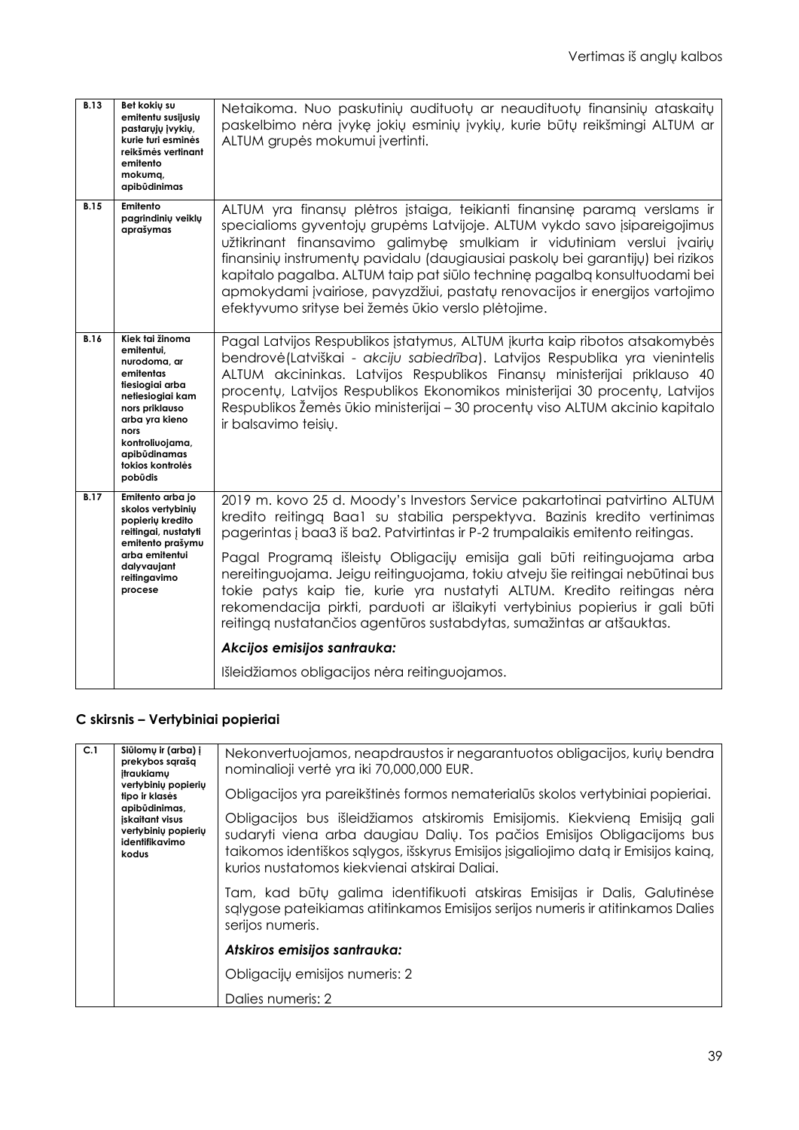| <b>B.13</b> | Bet kokių su<br>emitentu susijusių<br>pastaruju ivykiu,<br>kurie turi esminės<br>reikšmės vertinant<br>emitento<br>mokumg,<br>apibūdinimas                                                                      | Netaikoma. Nuo paskutinių audituotų ar neaudituotų finansinių ataskaitų<br>paskelbimo nėra įvykę jokių esminių įvykių, kurie būtų reikšmingi ALTUM ar<br>ALTUM grupės mokumui įvertinti.                                                                                                                                                                                                                                                                                                                                                                                                                                                                                                                                     |
|-------------|-----------------------------------------------------------------------------------------------------------------------------------------------------------------------------------------------------------------|------------------------------------------------------------------------------------------------------------------------------------------------------------------------------------------------------------------------------------------------------------------------------------------------------------------------------------------------------------------------------------------------------------------------------------------------------------------------------------------------------------------------------------------------------------------------------------------------------------------------------------------------------------------------------------------------------------------------------|
| <b>B.15</b> | Emitento<br>pagrindinių veiklų<br>aprašymas                                                                                                                                                                     | ALTUM yra finansų plėtros įstaiga, teikianti finansinę paramą verslams ir<br>specialioms gyventojų grupėms Latvijoje. ALTUM vykdo savo įsipareigojimus<br>užtikrinant finansavimo galimybę smulkiam ir vidutiniam verslui įvairių<br>finansinių instrumentų pavidalu (daugiausiai paskolų bei garantijų) bei rizikos<br>kapitalo pagalba. ALTUM taip pat siūlo techninę pagalbą konsultuodami bei<br>apmokydami įvairiose, pavyzdžiui, pastatų renovacijos ir energijos vartojimo<br>efektyvumo srityse bei žemės ūkio verslo plėtojime.                                                                                                                                                                                     |
| <b>B.16</b> | Kiek tai žinoma<br>emitentui,<br>nurodoma, ar<br>emitentas<br>tiesiogiai arba<br>netiesiogiai kam<br>nors priklauso<br>arba yra kieno<br>nors<br>kontroliuojama,<br>apibūdinamas<br>tokios kontrolės<br>pobūdis | Pagal Latvijos Respublikos įstatymus, ALTUM įkurta kaip ribotos atsakomybės<br>bendrovė (Latviškai - akciju sabiedrība). Latvijos Respublika yra vienintelis<br>ALTUM akcininkas. Latvijos Respublikos Finansų ministerijai priklauso 40<br>procentų, Latvijos Respublikos Ekonomikos ministerijai 30 procentų, Latvijos<br>Respublikos Žemės ūkio ministerijai - 30 procentų viso ALTUM akcinio kapitalo<br>ir balsavimo teisių.                                                                                                                                                                                                                                                                                            |
| <b>B.17</b> | Emitento arba jo<br>skolos vertybinių<br>popierių kredito<br>reitingai, nustatyti<br>emitento prašymu<br>arba emitentui<br>dalyvaujant<br>reitingavimo<br>procese                                               | 2019 m. kovo 25 d. Moody's Investors Service pakartotinai patvirtino ALTUM<br>kredito reitingą Baa1 su stabilia perspektyva. Bazinis kredito vertinimas<br>pagerintas į baa3 iš ba2. Patvirtintas ir P-2 trumpalaikis emitento reitingas.<br>Pagal Programa išleistų Obligacijų emisija gali būti reitinguojama arba<br>nereitinguojama. Jeigu reitinguojama, tokiu atveju šie reitingai nebūtinai bus<br>tokie patys kaip tie, kurie yra nustatyti ALTUM. Kredito reitingas nėra<br>rekomendacija pirkti, parduoti ar išlaikyti vertybinius popierius ir gali būti<br>reitingą nustatančios agentūros sustabdytas, sumažintas ar atšauktas.<br>Akcijos emisijos santrauka:<br>Išleidžiamos obligacijos nėra reitinguojamos. |
|             |                                                                                                                                                                                                                 |                                                                                                                                                                                                                                                                                                                                                                                                                                                                                                                                                                                                                                                                                                                              |

# **C skirsnis – Vertybiniai popieriai**

| C.1 | Siūlomų ir (arba) į<br>prekybos sąrašą<br>itraukiamu                                                                        | Nekonvertuojamos, neapdraustos ir negarantuotos obligacijos, kurių bendra<br>nominalioji vertė yra iki 70,000,000 EUR.                                                                                                                                                                        |
|-----|-----------------------------------------------------------------------------------------------------------------------------|-----------------------------------------------------------------------------------------------------------------------------------------------------------------------------------------------------------------------------------------------------------------------------------------------|
|     | vertybinių popierių<br>tipo ir klasės<br>apibūdinimas,<br>iskaitant visus<br>vertybinių popierių<br>identifikavimo<br>kodus | Obligacijos yra pareikštinės formos nematerialūs skolos vertybiniai popieriai.                                                                                                                                                                                                                |
|     |                                                                                                                             | Obligacijos bus išleidžiamos atskiromis Emisijomis. Kiekvieną Emisiją gali<br>sudaryti viena arba daugiau Dalių. Tos pačios Emisijos Obligacijoms bus<br>taikomos identiškos sąlygos, išskyrus Emisijos įsigaliojimo datą ir Emisijos kainą,<br>kurios nustatomos kiekvienai atskirai Daliai. |
|     |                                                                                                                             | Tam, kad būtų galima identifikuoti atskiras Emisijas ir Dalis, Galutinėse<br>sąlygose pateikiamas atitinkamos Emisijos serijos numeris ir atitinkamos Dalies<br>serijos numeris.                                                                                                              |
|     |                                                                                                                             | Atskiros emisijos santrauka:                                                                                                                                                                                                                                                                  |
|     |                                                                                                                             | Obligacijų emisijos numeris: 2                                                                                                                                                                                                                                                                |
|     |                                                                                                                             | Dalies numeris: 2                                                                                                                                                                                                                                                                             |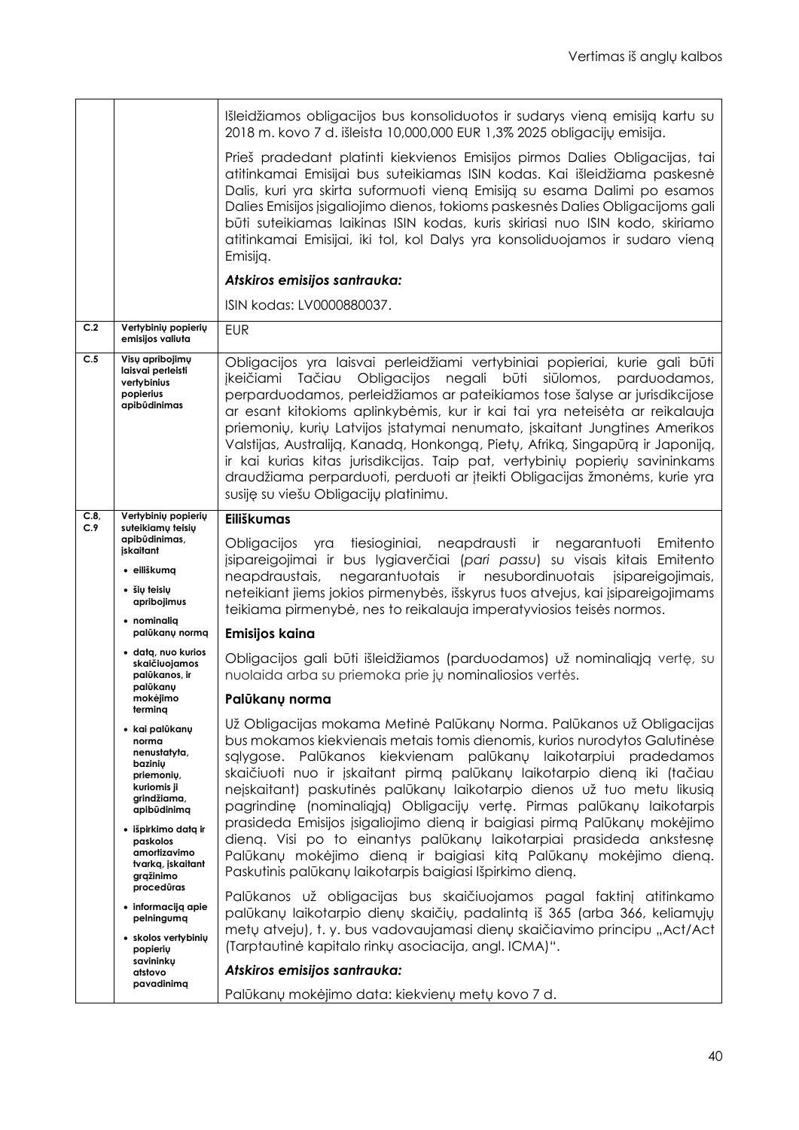|             |                                                                                                                                                                                                    | Išleidžiamos obligacijos bus konsoliduotos ir sudarys vieną emisiją kartu su<br>2018 m. kovo 7 d. išleista 10,000,000 EUR 1,3% 2025 obligacijų emisija.                                                                                                                                                                                                                                                                                                                                                                                                                                                                                                                                                                                           |
|-------------|----------------------------------------------------------------------------------------------------------------------------------------------------------------------------------------------------|---------------------------------------------------------------------------------------------------------------------------------------------------------------------------------------------------------------------------------------------------------------------------------------------------------------------------------------------------------------------------------------------------------------------------------------------------------------------------------------------------------------------------------------------------------------------------------------------------------------------------------------------------------------------------------------------------------------------------------------------------|
|             |                                                                                                                                                                                                    | Prieš pradedant platinti kiekvienos Emisijos pirmos Dalies Obligacijas, tai<br>atitinkamai Emisijai bus suteikiamas ISIN kodas. Kai išleidžiama paskesnė<br>Dalis, kuri yra skirta suformuoti vieną Emisiją su esama Dalimi po esamos<br>Dalies Emisijos įsigaliojimo dienos, tokioms paskesnės Dalies Obligacijoms gali<br>būti suteikiamas laikinas ISIN kodas, kuris skiriasi nuo ISIN kodo, skiriamo<br>atitinkamai Emisijai, iki tol, kol Dalys yra konsoliduojamos ir sudaro vieną<br>Emisijg.                                                                                                                                                                                                                                              |
|             |                                                                                                                                                                                                    | Atskiros emisijos santrauka:                                                                                                                                                                                                                                                                                                                                                                                                                                                                                                                                                                                                                                                                                                                      |
|             |                                                                                                                                                                                                    | ISIN kodas: LV0000880037.                                                                                                                                                                                                                                                                                                                                                                                                                                                                                                                                                                                                                                                                                                                         |
| C.2         | Vertybinių popierių<br>emisijos valiuta                                                                                                                                                            | <b>EUR</b>                                                                                                                                                                                                                                                                                                                                                                                                                                                                                                                                                                                                                                                                                                                                        |
| C.5         | Visų apribojimų<br>laisvai perleisti<br>vertybinius<br>popierius<br>apibūdinimas                                                                                                                   | Obligacijos yra laisvai perleidžiami vertybiniai popieriai, kurie gali būti<br>ikeičiami Tačiau<br>Obligacijos<br>negali būti<br>siūlomos,<br>parduodamos,<br>perparduodamos, perleidžiamos ar pateikiamos tose šalyse ar jurisdikcijose<br>ar esant kitokioms aplinkybėmis, kur ir kai tai yra neteisėta ar reikalauja<br>priemonių, kurių Latvijos įstatymai nenumato, įskaitant Jungtines Amerikos<br>Valstijas, Australiją, Kanadą, Honkongą, Pietų, Afriką, Singapūrą ir Japoniją,<br>ir kai kurias kitas jurisdikcijas. Taip pat, vertybinių popierių savininkams<br>draudžiama perparduoti, perduoti ar įteikti Obligacijas žmonėms, kurie yra<br>susiję su viešu Obligacijų platinimu.                                                    |
| C.8,<br>C.9 | Vertybinių popierių<br>suteikiamų teisių                                                                                                                                                           | <b>Eiliškumas</b>                                                                                                                                                                                                                                                                                                                                                                                                                                                                                                                                                                                                                                                                                                                                 |
|             | apibūdinimas,<br>įskaitant                                                                                                                                                                         | Obligacijos yra tiesioginiai, neapdrausti ir negarantuoti Emitento                                                                                                                                                                                                                                                                                                                                                                                                                                                                                                                                                                                                                                                                                |
|             |                                                                                                                                                                                                    |                                                                                                                                                                                                                                                                                                                                                                                                                                                                                                                                                                                                                                                                                                                                                   |
|             | · eiliškumą<br>• šių teisių<br>apribojimus                                                                                                                                                         | įsipareigojimai ir bus lygiaverčiai (pari passu) su visais kitais Emitento<br>negarantuotais ir nesubordinuotais įsipareigojimais,<br>neapdraustais,<br>neteikiant jiems jokios pirmenybės, išskyrus tuos atvejus, kai įsipareigojimams                                                                                                                                                                                                                                                                                                                                                                                                                                                                                                           |
|             | • nominalig<br>palūkanų norma                                                                                                                                                                      | teikiama pirmenybė, nes to reikalauja imperatyviosios teisės normos.<br>Emisijos kaina                                                                                                                                                                                                                                                                                                                                                                                                                                                                                                                                                                                                                                                            |
|             | · datą, nuo kurios<br>skaičiuojamos<br>palūkanos, ir                                                                                                                                               | Obligacijos gali būti išleidžiamos (parduodamos) už nominaligia vertę, su<br>nuolaida arba su priemoka prie jų nominaliosios vertės.                                                                                                                                                                                                                                                                                                                                                                                                                                                                                                                                                                                                              |
|             | palūkanų<br>mokėjimo<br>terming                                                                                                                                                                    | Palūkanų norma                                                                                                                                                                                                                                                                                                                                                                                                                                                                                                                                                                                                                                                                                                                                    |
|             | • kai palūkanų<br>norma<br>nenustatyta,<br>baziniy<br>priemonių,<br>kuriomis ji<br>grindžiama,<br>apibūdinimg<br>· išpirkimo data ir<br>paskolos<br>amortizavimo<br>tvarką, įskaitant<br>gražinimo | Už Obligacijas mokama Metinė Palūkanų Norma. Palūkanos už Obligacijas<br>bus mokamos kiekvienais metais tomis dienomis, kurios nurodytos Galutinėse<br>Palūkanos kiekvienam palūkanų laikotarpiui pradedamos<br>sglygose.<br>skaičiuoti nuo ir įskaitant pirmą palūkanų laikotarpio dieną iki (tačiau<br>nejskaitant) paskutinės palūkanų laikotarpio dienos už tuo metu likusig<br>pagrindinę (nominaliąją) Obligacijų vertę. Pirmas palūkanų laikotarpis<br>prasideda Emisijos įsigaliojimo dieną ir baigiasi pirmą Palūkanų mokėjimo<br>dieng. Visi po to einantys palūkanų laikotarpiai prasideda ankstesnę<br>Palūkanų mokėjimo dieną ir baigiasi kitą Palūkanų mokėjimo dieną.<br>Paskutinis palūkanų laikotarpis baigiasi Išpirkimo dieną. |
|             | procedūras<br>• informaciją apie                                                                                                                                                                   | Palūkanos už obligacijas bus skaičiuojamos pagal faktinį atitinkamo                                                                                                                                                                                                                                                                                                                                                                                                                                                                                                                                                                                                                                                                               |
|             | pelningumg<br>• skolos vertybinių                                                                                                                                                                  | palūkanų laikotarpio dienų skaičių, padalintą iš 365 (arba 366, keliamųjų<br>metų atveju), t. y. bus vadovaujamasi dienų skaičiavimo principu "Act/Act                                                                                                                                                                                                                                                                                                                                                                                                                                                                                                                                                                                            |
|             | popierių<br>savininky<br>atstovo                                                                                                                                                                   | (Tarptautinė kapitalo rinkų asociacija, angl. ICMA)".<br>Atskiros emisijos santrauka:                                                                                                                                                                                                                                                                                                                                                                                                                                                                                                                                                                                                                                                             |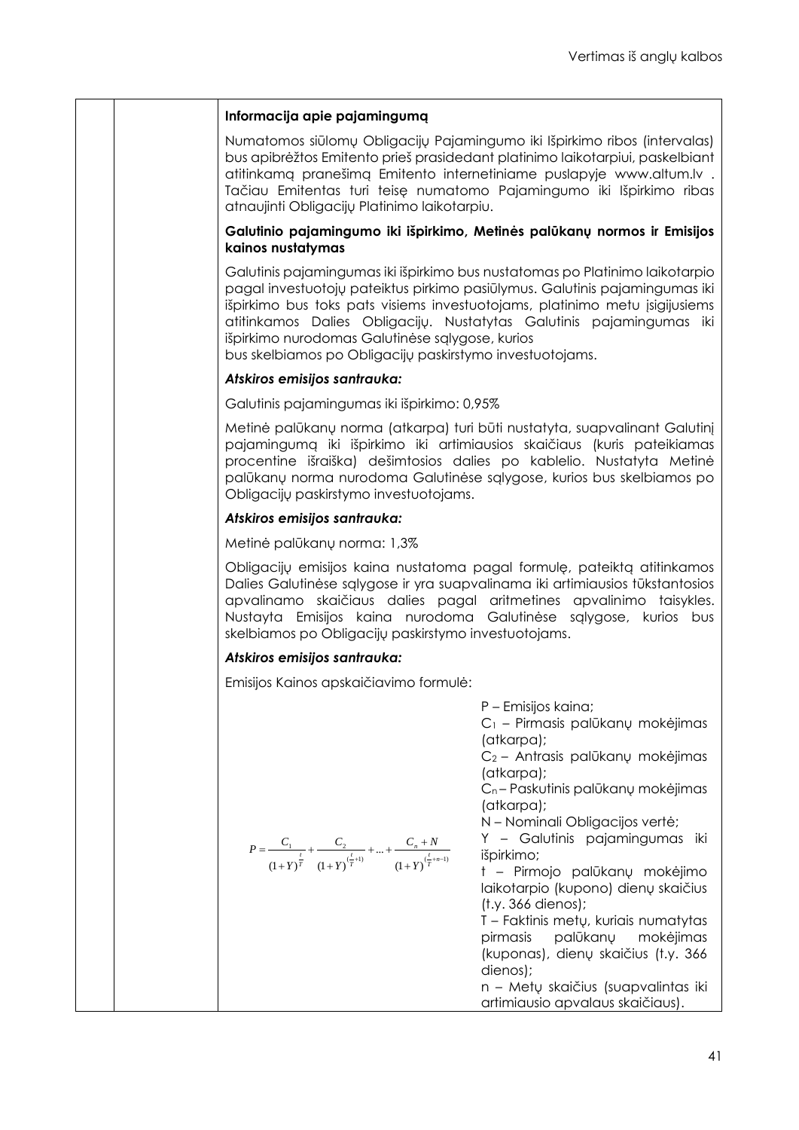### **Informacija apie pajamingumą**

Numatomos siūlomų Obligacijų Pajamingumo iki Išpirkimo ribos (intervalas) bus apibrėžtos Emitento prieš prasidedant platinimo laikotarpiui, paskelbiant atitinkamą pranešimą Emitento internetiniame puslapyje www.altum.lv . Tačiau Emitentas turi teisę numatomo Pajamingumo iki Išpirkimo ribas atnaujinti Obligacijų Platinimo laikotarpiu.

### **Galutinio pajamingumo iki išpirkimo, Metinės palūkanų normos ir Emisijos kainos nustatymas**

Galutinis pajamingumas iki išpirkimo bus nustatomas po Platinimo laikotarpio pagal investuotojų pateiktus pirkimo pasiūlymus. Galutinis pajamingumas iki išpirkimo bus toks pats visiems investuotojams, platinimo metu įsigijusiems atitinkamos Dalies Obligacijų. Nustatytas Galutinis pajamingumas iki išpirkimo nurodomas Galutinėse sąlygose, kurios

bus skelbiamos po Obligacijų paskirstymo investuotojams.

### *Atskiros emisijos santrauka:*

Galutinis pajamingumas iki išpirkimo: 0,95%

Metinė palūkanų norma (atkarpa) turi būti nustatyta, suapvalinant Galutinį pajamingumą iki išpirkimo iki artimiausios skaičiaus (kuris pateikiamas procentine išraiška) dešimtosios dalies po kablelio. Nustatyta Metinė palūkanų norma nurodoma Galutinėse sąlygose, kurios bus skelbiamos po Obligacijų paskirstymo investuotojams.

#### *Atskiros emisijos santrauka:*

Metinė palūkanų norma: 1,3%

Obligacijų emisijos kaina nustatoma pagal formulę, pateiktą atitinkamos Dalies Galutinėse sąlygose ir yra suapvalinama iki artimiausios tūkstantosios apvalinamo skaičiaus dalies pagal aritmetines apvalinimo taisykles. Nustayta Emisijos kaina nurodoma Galutinėse sąlygose, kurios bus skelbiamos po Obligacijų paskirstymo investuotojams.

#### *Atskiros emisijos santrauka:*

Emisijos Kainos apskaičiavimo formulė:

|                                                                                                                          | P - Emisijos kaina;                          |
|--------------------------------------------------------------------------------------------------------------------------|----------------------------------------------|
|                                                                                                                          | $C_1$ – Pirmasis palūkanų mokėjimas          |
|                                                                                                                          | (atkarpa);                                   |
|                                                                                                                          | C <sub>2</sub> – Antrasis palūkanų mokėjimas |
|                                                                                                                          | (atkarpa);                                   |
|                                                                                                                          | $C_n$ – Paskutinis palūkanų mokėjimas        |
|                                                                                                                          | (atkarpa);                                   |
|                                                                                                                          | N - Nominali Obligacijos vertė;              |
|                                                                                                                          | Y - Galutinis pajamingumas iki               |
| $P = \frac{C_1}{(1+Y)^{\frac{t}{T}}} + \frac{C_2}{(1+Y)^{(\frac{t}{T}+1)}} +  + \frac{C_n+N}{(1+Y)^{(\frac{t}{T}+n-1)}}$ | išpirkimo;                                   |
|                                                                                                                          | t - Pirmojo palūkanų mokėjimo                |
|                                                                                                                          | laikotarpio (kupono) dienų skaičius          |
|                                                                                                                          | $(t.y. 366$ dienos);                         |
|                                                                                                                          | T – Faktinis metų, kuriais numatytas         |
|                                                                                                                          | pirmasis palūkanų mokėjimas                  |
|                                                                                                                          | (kuponas), dienų skaičius (t.y. 366          |
|                                                                                                                          | dienos);                                     |
|                                                                                                                          | n – Metų skaičius (suapvalintas iki          |
|                                                                                                                          | artimiausio apvalaus skaičiaus).             |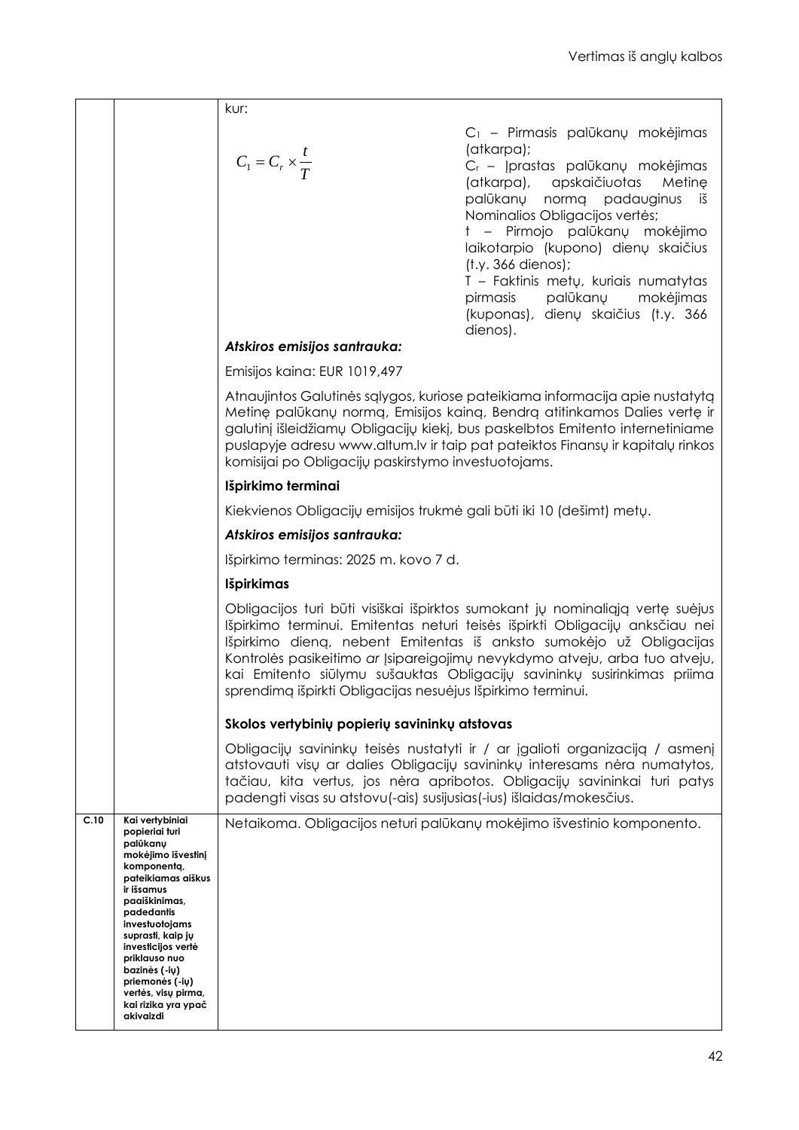|      |                                     | kur:                                                                  |                                                                                                                                                                                                                                                                                                                                                                                               |
|------|-------------------------------------|-----------------------------------------------------------------------|-----------------------------------------------------------------------------------------------------------------------------------------------------------------------------------------------------------------------------------------------------------------------------------------------------------------------------------------------------------------------------------------------|
|      |                                     |                                                                       |                                                                                                                                                                                                                                                                                                                                                                                               |
|      |                                     |                                                                       | C <sub>1</sub> - Pirmasis palūkanų mokėjimas<br>(atkarpa);                                                                                                                                                                                                                                                                                                                                    |
|      |                                     | $C_1 = C_r \times \frac{t}{T}$                                        | C <sub>r</sub> - Įprastas palūkanų mokėjimas                                                                                                                                                                                                                                                                                                                                                  |
|      |                                     |                                                                       | (atkarpa), apskaičiuotas<br>Metine                                                                                                                                                                                                                                                                                                                                                            |
|      |                                     |                                                                       | palūkanų normą padauginus<br>iš                                                                                                                                                                                                                                                                                                                                                               |
|      |                                     |                                                                       | Nominalios Obligacijos vertės;                                                                                                                                                                                                                                                                                                                                                                |
|      |                                     |                                                                       | t - Pirmojo palūkanų mokėjimo<br>laikotarpio (kupono) dienų skaičius                                                                                                                                                                                                                                                                                                                          |
|      |                                     |                                                                       | $(t.y. 366$ dienos);                                                                                                                                                                                                                                                                                                                                                                          |
|      |                                     |                                                                       | T - Faktinis metų, kuriais numatytas                                                                                                                                                                                                                                                                                                                                                          |
|      |                                     |                                                                       | pirmasis<br>palūkanų mokėjimas<br>(kuponas), dienų skaičius (t.y. 366                                                                                                                                                                                                                                                                                                                         |
|      |                                     |                                                                       | dienos).                                                                                                                                                                                                                                                                                                                                                                                      |
|      |                                     | Atskiros emisijos santrauka:                                          |                                                                                                                                                                                                                                                                                                                                                                                               |
|      |                                     | Emisijos kaina: EUR 1019,497                                          |                                                                                                                                                                                                                                                                                                                                                                                               |
|      |                                     |                                                                       | Atnaujintos Galutinės sąlygos, kuriose pateikiama informacija apie nustatytą                                                                                                                                                                                                                                                                                                                  |
|      |                                     |                                                                       | Metinę palūkanų normą, Emisijos kainą, Bendrą atitinkamos Dalies vertę ir<br>galutinį išleidžiamų Obligacijų kiekį, bus paskelbtos Emitento internetiniame                                                                                                                                                                                                                                    |
|      |                                     |                                                                       | puslapyje adresu www.altum.lv ir taip pat pateiktos Finansų ir kapitalų rinkos                                                                                                                                                                                                                                                                                                                |
|      |                                     | komisijai po Obligacijų paskirstymo investuotojams.                   |                                                                                                                                                                                                                                                                                                                                                                                               |
|      |                                     | Išpirkimo terminai                                                    |                                                                                                                                                                                                                                                                                                                                                                                               |
|      |                                     | Kiekvienos Obligacijų emisijos trukmė gali būti iki 10 (dešimt) metų. |                                                                                                                                                                                                                                                                                                                                                                                               |
|      |                                     | Atskiros emisijos santrauka:                                          |                                                                                                                                                                                                                                                                                                                                                                                               |
|      |                                     | Išpirkimo terminas: 2025 m. kovo 7 d.                                 |                                                                                                                                                                                                                                                                                                                                                                                               |
|      |                                     | <b>Išpirkimas</b>                                                     |                                                                                                                                                                                                                                                                                                                                                                                               |
|      |                                     |                                                                       | Obligacijos turi būti visiškai išpirktos sumokant jų nominaliąją vertę suėjus<br>Išpirkimo terminui. Emitentas neturi teisės išpirkti Obligacijų anksčiau nei<br>Išpirkimo dieną, nebent Emitentas iš anksto sumokėjo už Obligacijas<br>Kontrolės pasikeitimo ar Įsipareigojimų nevykdymo atveju, arba tuo atveju,<br>kai Emitento siūlymu sušauktas Obligacijų savininkų susirinkimas priima |
|      |                                     | sprendimą išpirkti Obligacijas nesuėjus Išpirkimo terminui.           |                                                                                                                                                                                                                                                                                                                                                                                               |
|      |                                     | Skolos vertybinių popierių savininkų atstovas                         |                                                                                                                                                                                                                                                                                                                                                                                               |
|      |                                     | padengti visas su atstovu(-ais) susijusias(-ius) išlaidas/mokesčius.  | Obligacijų savininkų teisės nustatyti ir / ar įgalioti organizaciją / asmenį<br>atstovauti visu ar dalies Obligacijų savininkų interesams nėra numatytos,<br>tačiau, kita vertus, jos nėra apribotos. Obligacijų savininkai turi patys                                                                                                                                                        |
| C.10 | Kai vertybiniai<br>popieriai turi   |                                                                       | Netaikoma. Obligacijos neturi palūkanų mokėjimo išvestinio komponento.                                                                                                                                                                                                                                                                                                                        |
|      | palūkanų<br>mokėjimo išvestinį      |                                                                       |                                                                                                                                                                                                                                                                                                                                                                                               |
|      | komponenta,<br>pateikiamas aiškus   |                                                                       |                                                                                                                                                                                                                                                                                                                                                                                               |
|      | ir išsamus                          |                                                                       |                                                                                                                                                                                                                                                                                                                                                                                               |
|      | paaiškinimas,<br>padedantis         |                                                                       |                                                                                                                                                                                                                                                                                                                                                                                               |
|      | investuotojams<br>suprasti, kaip jų |                                                                       |                                                                                                                                                                                                                                                                                                                                                                                               |
|      | investicijos vertė<br>priklauso nuo |                                                                       |                                                                                                                                                                                                                                                                                                                                                                                               |
|      | bazinės (-ių)<br>priemonės (-ių)    |                                                                       |                                                                                                                                                                                                                                                                                                                                                                                               |
|      | vertės, visų pirma,                 |                                                                       |                                                                                                                                                                                                                                                                                                                                                                                               |
|      | kai rizika yra ypač<br>akivaizdi    |                                                                       |                                                                                                                                                                                                                                                                                                                                                                                               |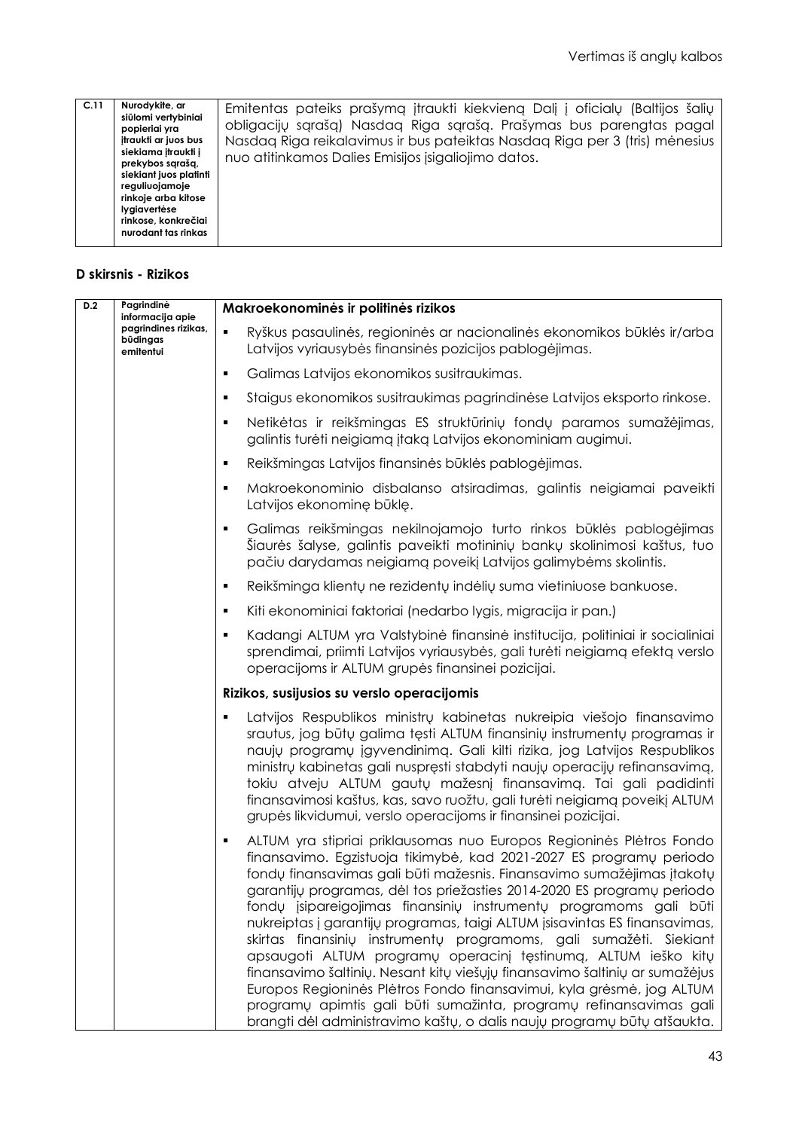| Nurodykite, ar<br>C.11<br>siūlomi vertybiniai<br>popieriai yra<br>itraukti ar juos bus<br>siekiama itraukti į<br>prekybos saraša,<br>siekiant juos platinti<br>reguliuojamoje<br>rinkoje arba kitose<br>lygiavertėse<br>rinkose, konkrečiai<br>nurodant tas rinkas | Emitentas pateiks prašymą įtraukti kiekvieną Dalį į oficialų (Baltijos šalių<br>obligacijų sgrašą) Nasdag Riga sgrašą. Prašymas bus parengtas pagal<br>Nasdaq Riga reikalavimus ir bus pateiktas Nasdaq Riga per 3 (tris) mėnesius<br>nuo atitinkamos Dalies Emisijos įsigaliojimo datos. |
|--------------------------------------------------------------------------------------------------------------------------------------------------------------------------------------------------------------------------------------------------------------------|-------------------------------------------------------------------------------------------------------------------------------------------------------------------------------------------------------------------------------------------------------------------------------------------|
|--------------------------------------------------------------------------------------------------------------------------------------------------------------------------------------------------------------------------------------------------------------------|-------------------------------------------------------------------------------------------------------------------------------------------------------------------------------------------------------------------------------------------------------------------------------------------|

### **D skirsnis - Rizikos**

| D.2 | Pagrindinė<br>informacija apie                | Makroekonominės ir politinės rizikos                                                                                                                                                                                                                                                                                                                                                                                                                                                                                                                                                                                                                                                                                                                                                                                                                                                                                  |
|-----|-----------------------------------------------|-----------------------------------------------------------------------------------------------------------------------------------------------------------------------------------------------------------------------------------------------------------------------------------------------------------------------------------------------------------------------------------------------------------------------------------------------------------------------------------------------------------------------------------------------------------------------------------------------------------------------------------------------------------------------------------------------------------------------------------------------------------------------------------------------------------------------------------------------------------------------------------------------------------------------|
|     | pagrindines rizikas,<br>būdingas<br>emitentui | Ryškus pasaulinės, regioninės ar nacionalinės ekonomikos būklės ir/arba<br>$\blacksquare$<br>Latvijos vyriausybės finansinės pozicijos pablogėjimas.                                                                                                                                                                                                                                                                                                                                                                                                                                                                                                                                                                                                                                                                                                                                                                  |
|     |                                               | Galimas Latvijos ekonomikos susitraukimas.<br>$\blacksquare$                                                                                                                                                                                                                                                                                                                                                                                                                                                                                                                                                                                                                                                                                                                                                                                                                                                          |
|     |                                               | Staigus ekonomikos susitraukimas pagrindinėse Latvijos eksporto rinkose.<br>٠                                                                                                                                                                                                                                                                                                                                                                                                                                                                                                                                                                                                                                                                                                                                                                                                                                         |
|     |                                               | Netikėtas ir reikšmingas ES struktūrinių fondų paramos sumažėjimas,<br>$\blacksquare$<br>galintis turėti neigiamą įtaką Latvijos ekonominiam augimui.                                                                                                                                                                                                                                                                                                                                                                                                                                                                                                                                                                                                                                                                                                                                                                 |
|     |                                               | Reikšmingas Latvijos finansinės būklės pablogėjimas.<br>٠                                                                                                                                                                                                                                                                                                                                                                                                                                                                                                                                                                                                                                                                                                                                                                                                                                                             |
|     |                                               | Makroekonominio disbalanso atsiradimas, galintis neigiamai paveikti<br>$\blacksquare$<br>Latvijos ekonominę būklę.                                                                                                                                                                                                                                                                                                                                                                                                                                                                                                                                                                                                                                                                                                                                                                                                    |
|     |                                               | Galimas reikšmingas nekilnojamojo turto rinkos būklės pablogėjimas<br>$\blacksquare$<br>Šiaurės šalyse, galintis paveikti motininių bankų skolinimosi kaštus, tuo<br>pačiu darydamas neigiamą poveikį Latvijos galimybėms skolintis.                                                                                                                                                                                                                                                                                                                                                                                                                                                                                                                                                                                                                                                                                  |
|     |                                               | Reikšminga klientų ne rezidentų indėlių suma vietiniuose bankuose.<br>٠                                                                                                                                                                                                                                                                                                                                                                                                                                                                                                                                                                                                                                                                                                                                                                                                                                               |
|     |                                               | Kiti ekonominiai faktoriai (nedarbo lygis, migracija ir pan.)<br>٠                                                                                                                                                                                                                                                                                                                                                                                                                                                                                                                                                                                                                                                                                                                                                                                                                                                    |
|     |                                               | Kadangi ALTUM yra Valstybinė finansinė institucija, politiniai ir socialiniai<br>$\blacksquare$<br>sprendimai, priimti Latvijos vyriausybės, gali turėti neigiamą efektą verslo<br>operacijoms ir ALTUM grupės finansinei pozicijai.                                                                                                                                                                                                                                                                                                                                                                                                                                                                                                                                                                                                                                                                                  |
|     |                                               | Rizikos, susijusios su verslo operacijomis                                                                                                                                                                                                                                                                                                                                                                                                                                                                                                                                                                                                                                                                                                                                                                                                                                                                            |
|     |                                               | Latvijos Respublikos ministrų kabinetas nukreipia viešojo finansavimo<br>٠<br>srautus, jog būtų galima tęsti ALTUM finansinių instrumentų programas ir<br>naujų programų įgyvendinimą. Gali kilti rizika, jog Latvijos Respublikos<br>ministrų kabinetas gali nuspręsti stabdyti naujų operacijų refinansavimą,<br>tokiu atveju ALTUM gautų mažesnį finansavimą. Tai gali padidinti<br>finansavimosi kaštus, kas, savo ruožtu, gali turėti neigiamą poveikį ALTUM<br>grupės likvidumui, verslo operacijoms ir finansinei pozicijai.                                                                                                                                                                                                                                                                                                                                                                                   |
|     |                                               | ALTUM yra stipriai priklausomas nuo Europos Regioninės Plėtros Fondo<br>$\blacksquare$<br>finansavimo. Egzistuoja tikimybė, kad 2021-2027 ES programų periodo<br>fondų finansavimas gali būti mažesnis. Finansavimo sumažėjimas įtakotų<br>garantijų programas, dėl tos priežasties 2014-2020 ES programų periodo<br>fondų įsipareigojimas finansinių instrumentų programoms gali būti<br>nukreiptas į garantijų programas, taigi ALTUM įsisavintas ES finansavimas,<br>skirtas finansinių instrumentų programoms, gali sumažėti. Siekiant<br>apsaugoti ALTUM programų operacinį tęstinumą, ALTUM ieško kitų<br>finansavimo šaltinių. Nesant kitų viešųjų finansavimo šaltinių ar sumažėjus<br>Europos Regioninės Plėtros Fondo finansavimui, kyla grėsmė, jog ALTUM<br>programų apimtis gali būti sumažinta, programų refinansavimas gali<br>brangti dėl administravimo kaštų, o dalis naujų programų būtų atšaukta. |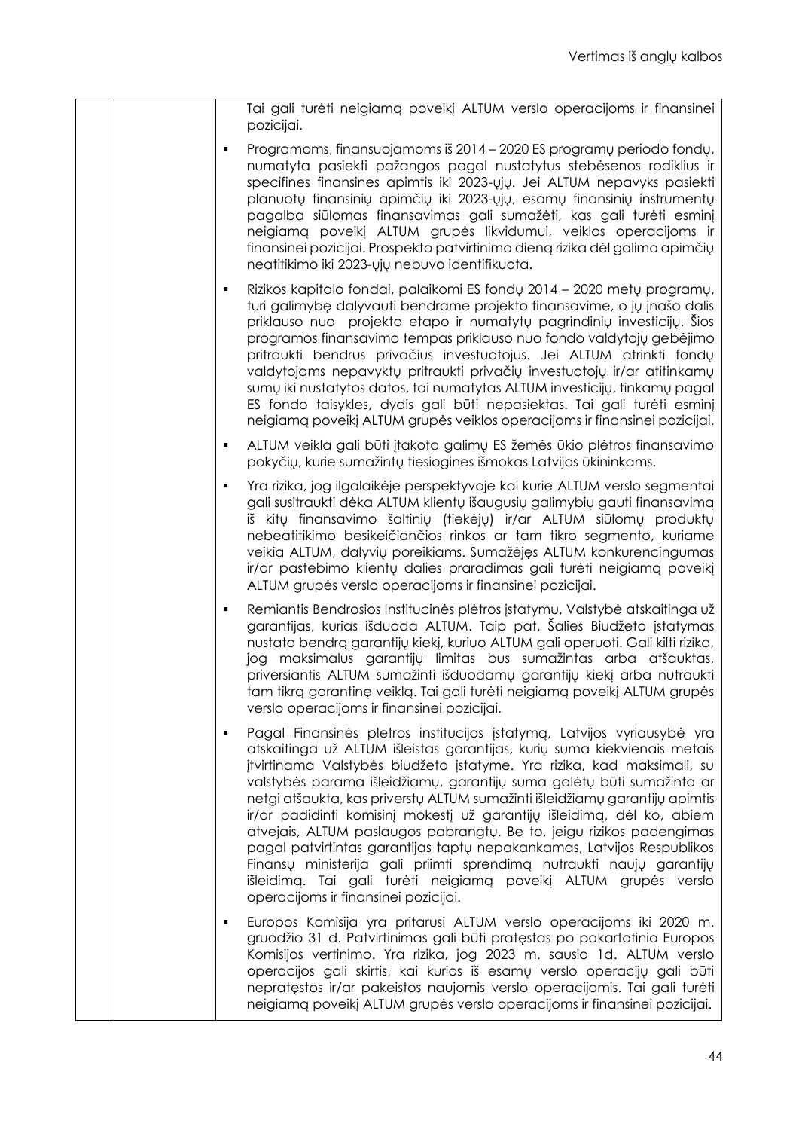| Tai gali turėti neigiamą poveikį ALTUM verslo operacijoms ir finansinei<br>pozicijai.                                                                                                                                                                                                                                                                                                                                                                                                                                                                                                                                                                                                                                                                                                                                  |
|------------------------------------------------------------------------------------------------------------------------------------------------------------------------------------------------------------------------------------------------------------------------------------------------------------------------------------------------------------------------------------------------------------------------------------------------------------------------------------------------------------------------------------------------------------------------------------------------------------------------------------------------------------------------------------------------------------------------------------------------------------------------------------------------------------------------|
| Programoms, finansuojamoms iš 2014 - 2020 ES programų periodo fondų,<br>٠<br>numatyta pasiekti pažangos pagal nustatytus stebėsenos rodiklius ir<br>specifines finansines apimtis iki 2023-yiy. Jei ALTUM nepavyks pasiekti<br>planuotų finansinių apimčių iki 2023-ųjų, esamų finansinių instrumentų<br>pagalba siūlomas finansavimas gali sumažėti, kas gali turėti esminį<br>neigiamą poveikį ALTUM grupės likvidumui, veiklos operacijoms ir<br>finansinei pozicijai. Prospekto patvirtinimo dieną rizika dėl galimo apimčių<br>neatitikimo iki 2023-yiy nebuvo identifikuota.                                                                                                                                                                                                                                     |
| Rizikos kapitalo fondai, palaikomi ES fondų 2014 – 2020 metų programų,<br>٠<br>turi galimybę dalyvauti bendrame projekto finansavime, o jų įnašo dalis<br>priklauso nuo projekto etapo ir numatytų pagrindinių investicijų. Šios<br>programos finansavimo tempas priklauso nuo fondo valdytojų gebėjimo<br>pritraukti bendrus privačius investuotojus. Jei ALTUM atrinkti fondų<br>valdytojams nepavyktų pritraukti privačių investuotojų ir/ar atitinkamų<br>sumų iki nustatytos datos, tai numatytas ALTUM investicijų, tinkamų pagal<br>ES fondo taisykles, dydis gali būti nepasiektas. Tai gali turėti esminį<br>neigiamą poveikį ALTUM grupės veiklos operacijoms ir finansinei pozicijai.                                                                                                                       |
| ALTUM veikla gali būti įtakota galimų ES žemės ūkio plėtros finansavimo<br>٠<br>pokyčių, kurie sumažintų tiesiogines išmokas Latvijos ūkininkams.                                                                                                                                                                                                                                                                                                                                                                                                                                                                                                                                                                                                                                                                      |
| Yra rizika, jog ilgalaikėje perspektyvoje kai kurie ALTUM verslo segmentai<br>$\blacksquare$<br>gali susitraukti dėka ALTUM klientų išaugusių galimybių gauti finansavimą<br>iš kitų finansavimo šaltinių (tiekėjų) ir/ar ALTUM siūlomų produktų<br>nebeatitikimo besikeičiančios rinkos ar tam tikro segmento, kuriame<br>veikia ALTUM, dalyvių poreikiams. Sumažėjęs ALTUM konkurencingumas<br>ir/ar pastebimo klientų dalies praradimas gali turėti neigiamą poveikį<br>ALTUM grupės verslo operacijoms ir finansinei pozicijai.                                                                                                                                                                                                                                                                                    |
| Remiantis Bendrosios Institucinės plėtros įstatymu, Valstybė atskaitinga už<br>п<br>garantijas, kurias išduoda ALTUM. Taip pat, Šalies Biudžeto įstatymas<br>nustato bendrą garantijų kiekį, kuriuo ALTUM gali operuoti. Gali kilti rizika,<br>jog maksimalus garantijų limitas bus sumažintas arba atšauktas,<br>priversiantis ALTUM sumažinti išduodamų garantijų kiekį arba nutraukti<br>tam tikrą garantinę veiklą. Tai gali turėti neigiamą poveikį ALTUM grupės<br>verslo operacijoms ir finansinei pozicijai.                                                                                                                                                                                                                                                                                                   |
| Pagal Finansinės pletros institucijos įstatymą, Latvijos vyriausybė yra<br>$\blacksquare$<br>atskaitinga už ALTUM išleistas garantijas, kurių suma kiekvienais metais<br>įtvirtinama Valstybės biudžeto įstatyme. Yra rizika, kad maksimali, su<br>valstybės parama išleidžiamų, garantijų suma galėtų būti sumažinta ar<br>netgi atšaukta, kas priverstų ALTUM sumažinti išleidžiamų garantijų apimtis<br>ir/ar padidinti komisinį mokestį už garantijų išleidimą, dėl ko, abiem<br>atvejais, ALTUM paslaugos pabrangtų. Be to, jeigu rizikos padengimas<br>pagal patvirtintas garantijas taptų nepakankamas, Latvijos Respublikos<br>Finansų ministerija gali priimti sprendimą nutraukti naujų garantijų<br>išleidimą. Tai gali turėti neigiamą poveikį ALTUM grupės verslo<br>operacijoms ir finansinei pozicijai. |
| Europos Komisija yra pritarusi ALTUM verslo operacijoms iki 2020 m.<br>п<br>gruodžio 31 d. Patvirtinimas gali būti pratęstas po pakartotinio Europos<br>Komisijos vertinimo. Yra rizika, jog 2023 m. sausio 1d. ALTUM verslo<br>operacijos gali skirtis, kai kurios iš esamų verslo operacijų gali būti<br>nepratęstos ir/ar pakeistos naujomis verslo operacijomis. Tai gali turėti<br>neigiamą poveikį ALTUM grupės verslo operacijoms ir finansinei pozicijai.                                                                                                                                                                                                                                                                                                                                                      |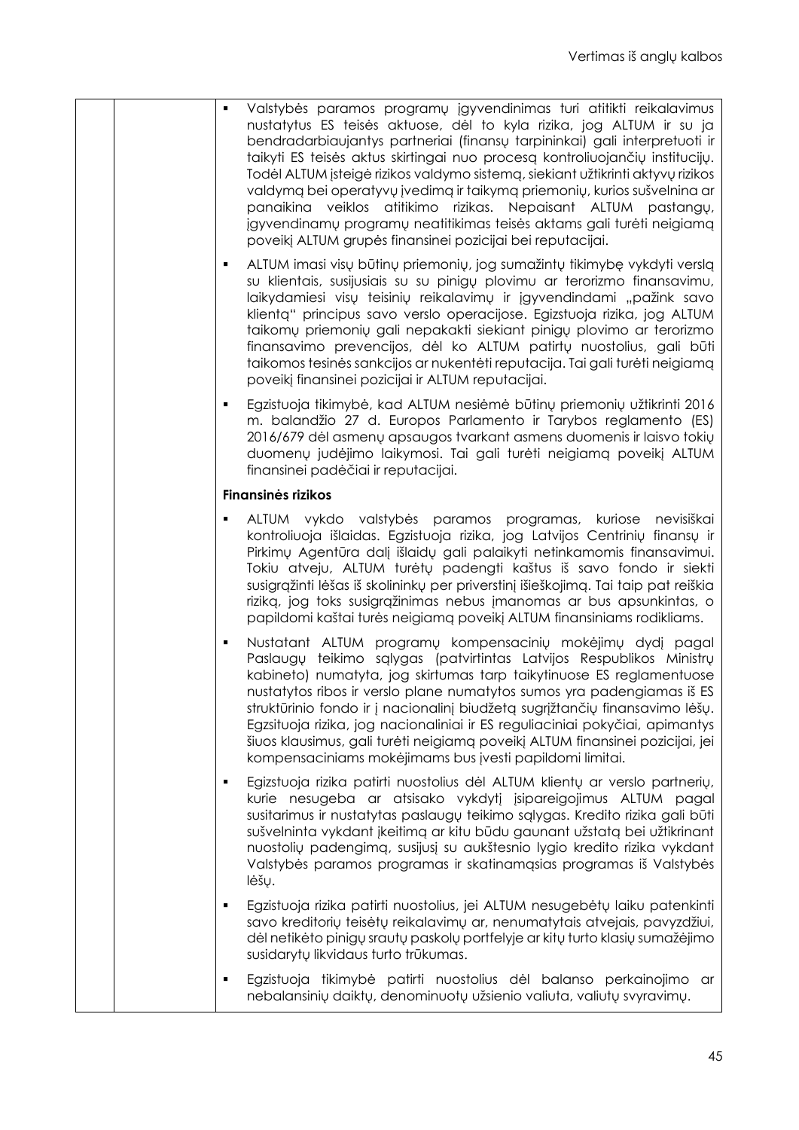|   | Valstybės paramos programų įgyvendinimas turi atitikti reikalavimus<br>nustatytus ES teisės aktuose, dėl to kyla rizika, jog ALTUM ir su ja<br>bendradarbiaujantys partneriai (finansų tarpininkai) gali interpretuoti ir<br>taikyti ES teisės aktus skirtingai nuo procesą kontroliuojančių institucijų.<br>Todėl ALTUM įsteigė rizikos valdymo sistemą, siekiant užtikrinti aktyvų rizikos<br>valdymą bei operatyvų įvedimą ir taikymą priemonių, kurios sušvelnina ar<br>panaikina veiklos atitikimo rizikas. Nepaisant ALTUM pastangų,<br>įgyvendinamų programų neatitikimas teisės aktams gali turėti neigiamą<br>poveikį ALTUM grupės finansinei pozicijai bei reputacijai. |
|---|-----------------------------------------------------------------------------------------------------------------------------------------------------------------------------------------------------------------------------------------------------------------------------------------------------------------------------------------------------------------------------------------------------------------------------------------------------------------------------------------------------------------------------------------------------------------------------------------------------------------------------------------------------------------------------------|
| ٠ | ALTUM imasi visų būtinų priemonių, jog sumažintų tikimybę vykdyti verslą<br>su klientais, susijusiais su su pinigų plovimu ar terorizmo finansavimu,<br>laikydamiesi visų teisinių reikalavimų ir įgyvendindami "pažink savo<br>klientą" principus savo verslo operacijose. Egizstuoja rizika, jog ALTUM<br>taikomų priemonių gali nepakakti siekiant pinigų plovimo ar terorizmo<br>finansavimo prevencijos, dėl ko ALTUM patirtų nuostolius, gali būti<br>taikomos tesinės sankcijos ar nukentėti reputacija. Tai gali turėti neigiamą<br>poveikį finansinei pozicijai ir ALTUM reputacijai.                                                                                    |
| ٠ | Egzistuoja tikimybė, kad ALTUM nesiėmė būtinų priemonių užtikrinti 2016<br>m. balandžio 27 d. Europos Parlamento ir Tarybos reglamento (ES)<br>2016/679 dėl asmenų apsaugos tvarkant asmens duomenis ir laisvo tokių<br>duomenų judėjimo laikymosi. Tai gali turėti neigiamą poveikį ALTUM<br>finansinei padėčiai ir reputacijai.                                                                                                                                                                                                                                                                                                                                                 |
|   | Finansinės rizikos                                                                                                                                                                                                                                                                                                                                                                                                                                                                                                                                                                                                                                                                |
| ٠ | ALTUM vykdo valstybės paramos programas, kuriose nevisiškai<br>kontroliuoja išlaidas. Egzistuoja rizika, jog Latvijos Centrinių finansų ir<br>Pirkimų Agentūra dalį išlaidų gali palaikyti netinkamomis finansavimui.<br>Tokiu atveju, ALTUM turėtų padengti kaštus iš savo fondo ir siekti<br>susigrąžinti lėšas iš skolininkų per priverstinį išieškojimą. Tai taip pat reiškia<br>riziką, jog toks susigrąžinimas nebus įmanomas ar bus apsunkintas, o<br>papildomi kaštai turės neigiamą poveikį ALTUM finansiniams rodikliams.                                                                                                                                               |
| ٠ | Nustatant ALTUM programų kompensacinių mokėjimų dydį pagal<br>Paslaugų teikimo sąlygas (patvirtintas Latvijos Respublikos Ministrų<br>kabineto) numatyta, jog skirtumas tarp taikytinuose ES reglamentuose<br>nustatytos ribos ir verslo plane numatytos sumos yra padengiamas iš ES<br>struktūrinio fondo ir į nacionalinį biudžetą sugrįžtančių finansavimo lėšų.<br>Egzsituoja rizika, jog nacionaliniai ir ES reguliaciniai pokyčiai, apimantys<br>šiuos klausimus, gali turėti neigiamą poveikį ALTUM finansinei pozicijai, jei<br>kompensaciniams mokėjimams bus įvesti papildomi limitai.                                                                                  |
| ٠ | Egizstuoja rizika patirti nuostolius dėl ALTUM klientų ar verslo partnerių,<br>kurie nesugeba ar atsisako vykdytį įsipareigojimus ALTUM pagal<br>susitarimus ir nustatytas paslaugų teikimo sąlygas. Kredito rizika gali būti<br>sušvelninta vykdant įkeitimą ar kitu būdu gaunant užstatą bei užtikrinant<br>nuostolių padengimą, susijusį su aukštesnio lygio kredito rizika vykdant<br>Valstybės paramos programas ir skatinamąsias programas iš Valstybės<br>lėšų.                                                                                                                                                                                                            |
| ٠ | Egzistuoja rizika patirti nuostolius, jei ALTUM nesugebėtų laiku patenkinti<br>savo kreditorių teisėtų reikalavimų ar, nenumatytais atvejais, pavyzdžiui,<br>dėl netikėto pinigų srautų paskolų portfelyje ar kitų turto klasių sumažėjimo<br>susidarytų likvidaus turto trūkumas.                                                                                                                                                                                                                                                                                                                                                                                                |
| ٠ | Egzistuoja tikimybė patirti nuostolius dėl balanso perkainojimo ar<br>nebalansinių daiktų, denominuotų užsienio valiuta, valiutų svyravimų.                                                                                                                                                                                                                                                                                                                                                                                                                                                                                                                                       |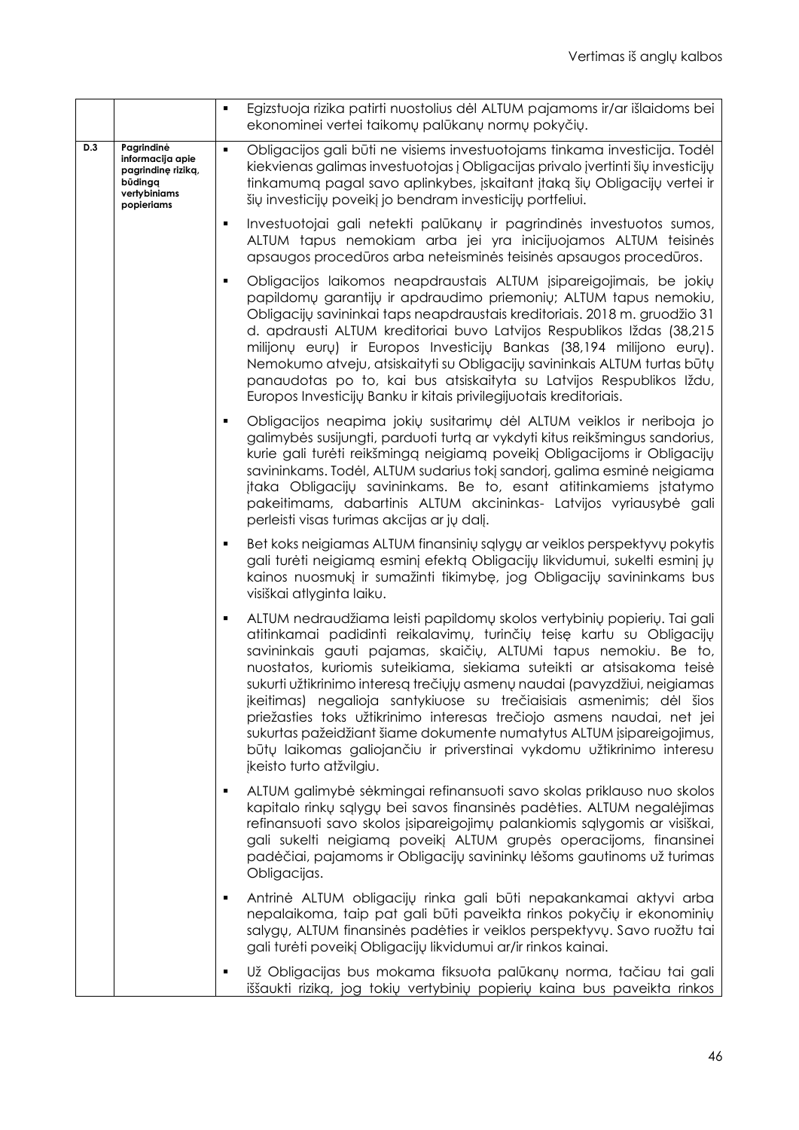|     |                                                                                               | Egizstuoja rizika patirti nuostolius dėl ALTUM pajamoms ir/ar išlaidoms bei<br>ekonominei vertei taikomų palūkanų normų pokyčių.                                                                                                                                                                                                                                                                                                                                                                                                                                                                                                                                                                              |
|-----|-----------------------------------------------------------------------------------------------|---------------------------------------------------------------------------------------------------------------------------------------------------------------------------------------------------------------------------------------------------------------------------------------------------------------------------------------------------------------------------------------------------------------------------------------------------------------------------------------------------------------------------------------------------------------------------------------------------------------------------------------------------------------------------------------------------------------|
| D.3 | Pagrindinė<br>informacija apie<br>pagrindinę riziką,<br>būdingg<br>vertybiniams<br>popieriams | Obligacijos gali būti ne visiems investuotojams tinkama investicija. Todėl<br>kiekvienas galimas investuotojas į Obligacijas privalo įvertinti šių investicijų<br>tinkamumą pagal savo aplinkybes, įskaitant įtaką šių Obligacijų vertei ir<br>šių investicijų poveikį jo bendram investicijų portfeliui.                                                                                                                                                                                                                                                                                                                                                                                                     |
|     |                                                                                               | Investuotojai gali netekti palūkanų ir pagrindinės investuotos sumos,<br>ALTUM tapus nemokiam arba jei yra inicijuojamos ALTUM teisinės<br>apsaugos procedūros arba neteisminės teisinės apsaugos procedūros.                                                                                                                                                                                                                                                                                                                                                                                                                                                                                                 |
|     |                                                                                               | Obligacijos laikomos neapdraustais ALTUM įsipareigojimais, be jokių<br>papildomų garantijų ir apdraudimo priemonių; ALTUM tapus nemokiu,<br>Obligacijų savininkai taps neapdraustais kreditoriais. 2018 m. gruodžio 31<br>d. apdrausti ALTUM kreditoriai buvo Latvijos Respublikos Iždas (38,215<br>milijonų eurų) ir Europos Investicijų Bankas (38,194 milijono eurų).<br>Nemokumo atveju, atsiskaityti su Obligacijų savininkais ALTUM turtas būtų<br>panaudotas po to, kai bus atsiskaityta su Latvijos Respublikos Iždu,<br>Europos Investicijų Banku ir kitais privilegijuotais kreditoriais.                                                                                                           |
|     |                                                                                               | Obligacijos neapima jokių susitarimų dėl ALTUM veiklos ir neriboja jo<br>galimybės susijungti, parduoti turtą ar vykdyti kitus reikšmingus sandorius,<br>kurie gali turėti reikšmingą neigiamą poveikį Obligacijoms ir Obligacijų<br>savininkams. Todėl, ALTUM sudarius tokį sandorį, galima esminė neigiama<br>įtaka Obligacijų savininkams. Be to, esant atitinkamiems įstatymo<br>pakeitimams, dabartinis ALTUM akcininkas- Latvijos vyriausybė gali<br>perleisti visas turimas akcijas ar jų dalį.                                                                                                                                                                                                        |
|     |                                                                                               | Bet koks neigiamas ALTUM finansinių sąlygų ar veiklos perspektyvų pokytis<br>gali turėti neigiamą esminį efektą Obligacijų likvidumui, sukelti esminį jų<br>kainos nuosmukį ir sumažinti tikimybę, jog Obligacijų savininkams bus<br>visiškai atlyginta laiku.                                                                                                                                                                                                                                                                                                                                                                                                                                                |
|     |                                                                                               | ALTUM nedraudžiama leisti papildomų skolos vertybinių popierių. Tai gali<br>atitinkamai padidinti reikalavimų, turinčių teisę kartu su Obligacijų<br>savininkais gauti pajamas, skaičių, ALTUMi tapus nemokiu. Be to,<br>nuostatos, kuriomis suteikiama, siekiama suteikti ar atsisakoma teisė<br>sukurti užtikrinimo interesą trečiųjų asmenų naudai (pavyzdžiui, neigiamas<br>įkeitimas) negalioja santykiuose su trečiaisiais asmenimis; dėl šios<br>priežasties toks užtikrinimo interesas trečiojo asmens naudai, net jei<br>sukurtas pažeidžiant šiame dokumente numatytus ALTUM įsipareigojimus,<br>būtų laikomas galiojančiu ir priverstinai vykdomu užtikrinimo interesu<br>jkeisto turto atžvilgiu. |
|     |                                                                                               | ALTUM galimybė sėkmingai refinansuoti savo skolas priklauso nuo skolos<br>kapitalo rinkų sąlygų bei savos finansinės padėties. ALTUM negalėjimas<br>refinansuoti savo skolos įsipareigojimų palankiomis sąlygomis ar visiškai,<br>gali sukelti neigiamą poveikį ALTUM grupės operacijoms, finansinei<br>padėčiai, pajamoms ir Obligacijų savininkų lėšoms gautinoms už turimas<br>Obligacijas.                                                                                                                                                                                                                                                                                                                |
|     |                                                                                               | Antrinė ALTUM obligacijų rinka gali būti nepakankamai aktyvi arba<br>nepalaikoma, taip pat gali būti paveikta rinkos pokyčių ir ekonominių<br>salygų, ALTUM finansinės padėties ir veiklos perspektyvų. Savo ruožtu tai<br>gali turėti poveikį Obligacijų likvidumui ar/ir rinkos kainai.                                                                                                                                                                                                                                                                                                                                                                                                                     |
|     |                                                                                               | Už Obligacijas bus mokama fiksuota palūkanų norma, tačiau tai gali<br>iššaukti riziką, jog tokių vertybinių popierių kaina bus paveikta rinkos                                                                                                                                                                                                                                                                                                                                                                                                                                                                                                                                                                |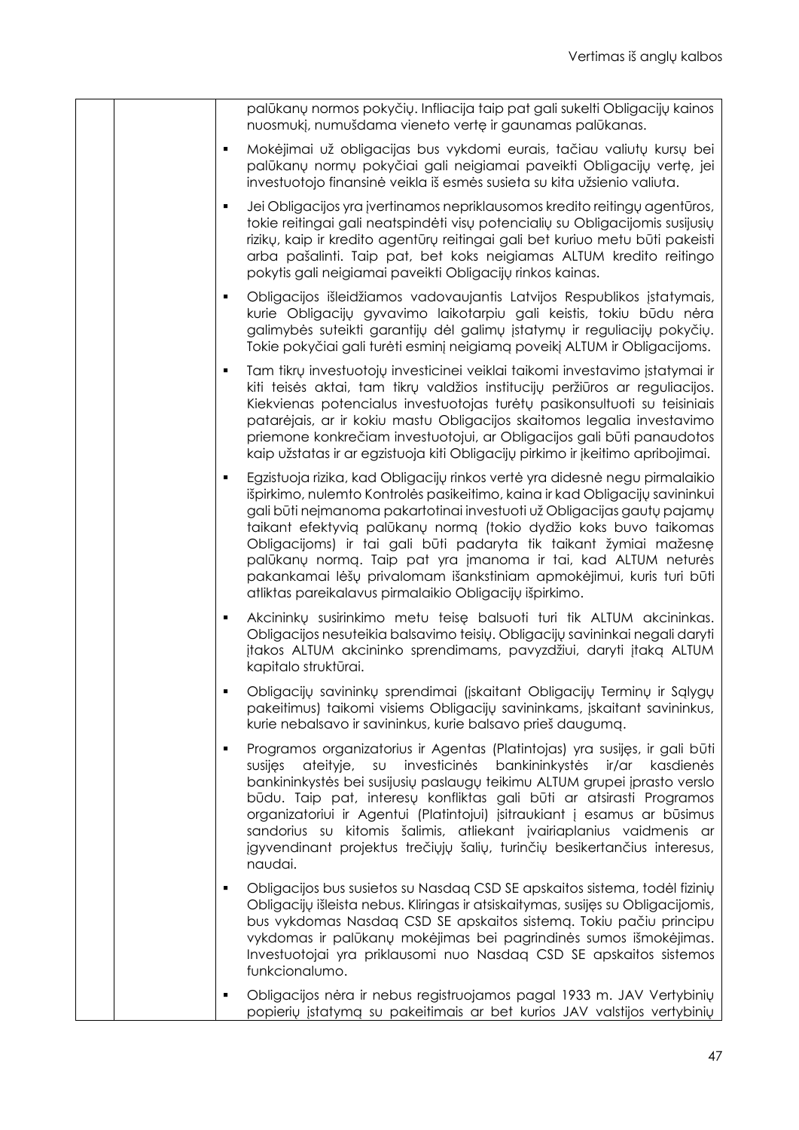| palūkanų normos pokyčių. Infliacija taip pat gali sukelti Obligacijų kainos<br>nuosmukį, numušdama vieneto vertę ir gaunamas palūkanas.                                                                                                                                                                                                                                                                                                                                                                                                                                                     |
|---------------------------------------------------------------------------------------------------------------------------------------------------------------------------------------------------------------------------------------------------------------------------------------------------------------------------------------------------------------------------------------------------------------------------------------------------------------------------------------------------------------------------------------------------------------------------------------------|
| Mokėjimai už obligacijas bus vykdomi eurais, tačiau valiutų kursų bei<br>$\blacksquare$<br>palūkanų normų pokyčiai gali neigiamai paveikti Obligacijų vertę, jei<br>investuotojo finansinė veikla iš esmės susieta su kita užsienio valiuta.                                                                                                                                                                                                                                                                                                                                                |
| Jei Obligacijos yra įvertinamos nepriklausomos kredito reitingų agentūros,<br>$\blacksquare$<br>tokie reitingai gali neatspindėti visų potencialių su Obligacijomis susijusių<br>rizikų, kaip ir kredito agentūrų reitingai gali bet kuriuo metu būti pakeisti<br>arba pašalinti. Taip pat, bet koks neigiamas ALTUM kredito reitingo<br>pokytis gali neigiamai paveikti Obligacijų rinkos kainas.                                                                                                                                                                                          |
| Obligacijos išleidžiamos vadovaujantis Latvijos Respublikos įstatymais,<br>$\blacksquare$<br>kurie Obligacijų gyvavimo laikotarpiu gali keistis, tokiu būdu nėra<br>galimybės suteikti garantijų dėl galimų įstatymų ir reguliacijų pokyčių.<br>Tokie pokyčiai gali turėti esminį neigiamą poveikį ALTUM ir Obligacijoms.                                                                                                                                                                                                                                                                   |
| Tam tikrų investuotojų investicinei veiklai taikomi investavimo įstatymai ir<br>п<br>kiti teisės aktai, tam tikrų valdžios institucijų peržiūros ar reguliacijos.<br>Kiekvienas potencialus investuotojas turėtų pasikonsultuoti su teisiniais<br>patarėjais, ar ir kokiu mastu Obligacijos skaitomos legalia investavimo<br>priemone konkrečiam investuotojui, ar Obligacijos gali būti panaudotos<br>kaip užstatas ir ar egzistuoja kiti Obligacijų pirkimo ir įkeitimo apribojimai.                                                                                                      |
| Egzistuoja rizika, kad Obligacijų rinkos vertė yra didesnė negu pirmalaikio<br>٠<br>išpirkimo, nulemto Kontrolės pasikeitimo, kaina ir kad Obligacijų savininkui<br>gali būti neįmanoma pakartotinai investuoti už Obligacijas gautų pajamų<br>taikant efektyvią palūkanų normą (tokio dydžio koks buvo taikomas<br>Obligacijoms) ir tai gali būti padaryta tik taikant žymiai mažesnę<br>palūkanų normą. Taip pat yra įmanoma ir tai, kad ALTUM neturės<br>pakankamai lėšų privalomam išankstiniam apmokėjimui, kuris turi būti<br>atliktas pareikalavus pirmalaikio Obligacijų išpirkimo. |
| Akcininkų susirinkimo metu teisę balsuoti turi tik ALTUM akcininkas.<br>$\blacksquare$<br>Obligacijos nesuteikia balsavimo teisių. Obligacijų savininkai negali daryti<br>jtakos ALTUM akcininko sprendimams, pavyzdžiui, daryti jtaką ALTUM<br>kapitalo struktūrai.                                                                                                                                                                                                                                                                                                                        |
| Obligacijų savininkų sprendimai (įskaitant Obligacijų Terminų ir Sąlygų<br>pakeitimus) taikomi visiems Obligacijų savininkams, įskaitant savininkus,<br>kurie nebalsavo ir savininkus, kurie balsavo prieš daugumą.                                                                                                                                                                                                                                                                                                                                                                         |
| Programos organizatorius ir Agentas (Platintojas) yra susijęs, ir gali būti<br>٠<br>investicinės<br>bankininkystės<br>ateityje,<br>SU<br>ir/ar<br>susijes<br>kasdienės<br>bankininkystės bei susijusių paslaugų teikimu ALTUM grupei įprasto verslo<br>būdu. Taip pat, interesų konfliktas gali būti ar atsirasti Programos<br>organizatoriui ir Agentui (Platintojui) įsitraukiant į esamus ar būsimus<br>sandorius su kitomis šalimis, atliekant įvairiaplanius vaidmenis ar<br>įgyvendinant projektus trečiųjų šalių, turinčių besikertančius interesus,<br>naudai.                      |
| Obligacijos bus susietos su Nasdaq CSD SE apskaitos sistema, todėl fizinių<br>٠<br>Obligacijų išleista nebus. Kliringas ir atsiskaitymas, susijęs su Obligacijomis,<br>bus vykdomas Nasdaq CSD SE apskaitos sistemą. Tokiu pačiu principu<br>vykdomas ir palūkanų mokėjimas bei pagrindinės sumos išmokėjimas.<br>Investuotojai yra priklausomi nuo Nasdaq CSD SE apskaitos sistemos<br>funkcionalumo.                                                                                                                                                                                      |
| Obligacijos nėra ir nebus registruojamos pagal 1933 m. JAV Vertybinių<br>$\blacksquare$<br>popierių įstatymą su pakeitimais ar bet kurios JAV valstijos vertybinių                                                                                                                                                                                                                                                                                                                                                                                                                          |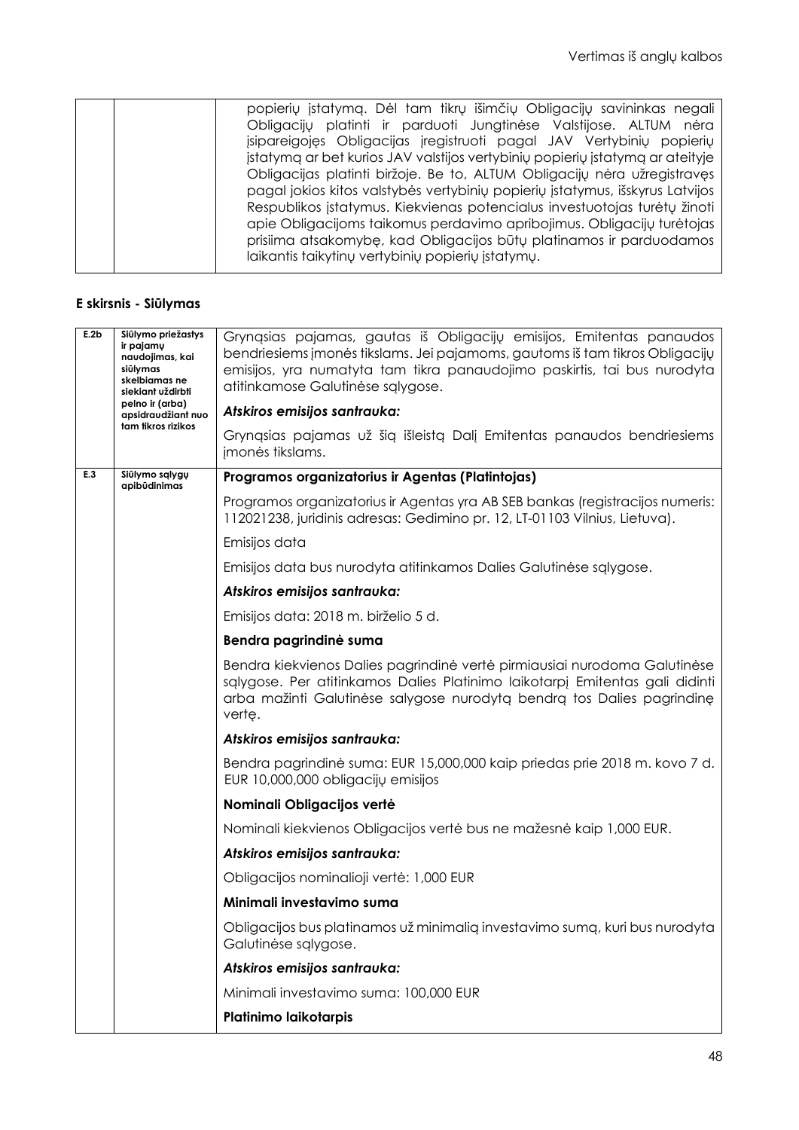|  | popierių įstatymą. Dėl tam tikrų išimčių Obligacijų savininkas negali         |
|--|-------------------------------------------------------------------------------|
|  | Obligacijų platinti ir parduoti Jungtinėse Valstijose. ALTUM nėra             |
|  | jsipareigojęs Obligacijas jregistruoti pagal JAV Vertybinių popierių          |
|  | jstatymą ar bet kurios JAV valstijos vertybinių popierių įstatymą ar ateityje |
|  | Obligacijas platinti biržoje. Be to, ALTUM Obligacijų nėra užregistravęs      |
|  | pagal jokios kitos valstybės vertybinių popierių įstatymus, išskyrus Latvijos |
|  | Respublikos įstatymus. Kiekvienas potencialus investuotojas turėtų žinoti     |
|  | apie Obligacijoms taikomus perdavimo apribojimus. Obligacijų turėtojas        |
|  | prisiima atsakomybę, kad Obligacijos būtų platinamos ir parduodamos           |
|  | laikantis taikytinų vertybinių popierių įstatymų.                             |
|  |                                                                               |

# **E skirsnis - Siūlymas**

| E.2b | Siūlymo priežastys<br>ir pajamų<br>naudojimas, kai<br>siūlymas<br>skelbiamas ne<br>siekiant uždirbti<br>pelno ir (arba) | Gryngsias pajamas, gautas iš Obligacijų emisijos, Emitentas panaudos<br>bendriesiems įmonės tikslams. Jei pajamoms, gautoms iš tam tikros Obligacijų<br>emisijos, yra numatyta tam tikra panaudojimo paskirtis, tai bus nurodyta<br>atitinkamose Galutinėse sąlygose. |
|------|-------------------------------------------------------------------------------------------------------------------------|-----------------------------------------------------------------------------------------------------------------------------------------------------------------------------------------------------------------------------------------------------------------------|
|      | apsidraudžiant nuo<br>tam tikros rizikos                                                                                | Atskiros emisijos santrauka:                                                                                                                                                                                                                                          |
|      |                                                                                                                         | Grynąsias pajamas už šią išleistą Dalį Emitentas panaudos bendriesiems<br>jmonės tikslams.                                                                                                                                                                            |
| E.3  | Siūlymo sąlygų<br>apibūdinimas                                                                                          | Programos organizatorius ir Agentas (Platintojas)                                                                                                                                                                                                                     |
|      |                                                                                                                         | Programos organizatorius ir Agentas yra AB SEB bankas (registracijos numeris:<br>112021238, juridinis adresas: Gedimino pr. 12, LT-01103 Vilnius, Lietuva).                                                                                                           |
|      |                                                                                                                         | Emisijos data                                                                                                                                                                                                                                                         |
|      |                                                                                                                         | Emisijos data bus nurodyta atitinkamos Dalies Galutinėse sąlygose.                                                                                                                                                                                                    |
|      |                                                                                                                         | Atskiros emisijos santrauka:                                                                                                                                                                                                                                          |
|      |                                                                                                                         | Emisijos data: 2018 m. birželio 5 d.                                                                                                                                                                                                                                  |
|      |                                                                                                                         | Bendra pagrindinė suma                                                                                                                                                                                                                                                |
|      |                                                                                                                         | Bendra kiekvienos Dalies pagrindinė vertė pirmiausiai nurodoma Galutinėse<br>salygose. Per atitinkamos Dalies Platinimo laikotarpj Emitentas gali didinti<br>arba mažinti Galutinėse salygose nurodytą bendrą tos Dalies pagrindinę<br>verte.                         |
|      |                                                                                                                         | Atskiros emisijos santrauka:                                                                                                                                                                                                                                          |
|      |                                                                                                                         | Bendra pagrindinė suma: EUR 15,000,000 kaip priedas prie 2018 m. kovo 7 d.<br>EUR 10,000,000 obligacijų emisijos                                                                                                                                                      |
|      |                                                                                                                         | Nominali Obligacijos vertė                                                                                                                                                                                                                                            |
|      |                                                                                                                         | Nominali kiekvienos Obligacijos vertė bus ne mažesnė kaip 1,000 EUR.                                                                                                                                                                                                  |
|      |                                                                                                                         | Atskiros emisijos santrauka:                                                                                                                                                                                                                                          |
|      |                                                                                                                         | Obligacijos nominalioji vertė: 1,000 EUR                                                                                                                                                                                                                              |
|      |                                                                                                                         | Minimali investavimo suma                                                                                                                                                                                                                                             |
|      |                                                                                                                         | Obligacijos bus platinamos už minimalią investavimo sumą, kuri bus nurodyta<br>Galutinėse sąlygose.                                                                                                                                                                   |
|      |                                                                                                                         | Atskiros emisijos santrauka:                                                                                                                                                                                                                                          |
|      |                                                                                                                         | Minimali investavimo suma: 100,000 EUR                                                                                                                                                                                                                                |
|      |                                                                                                                         | Platinimo laikotarpis                                                                                                                                                                                                                                                 |